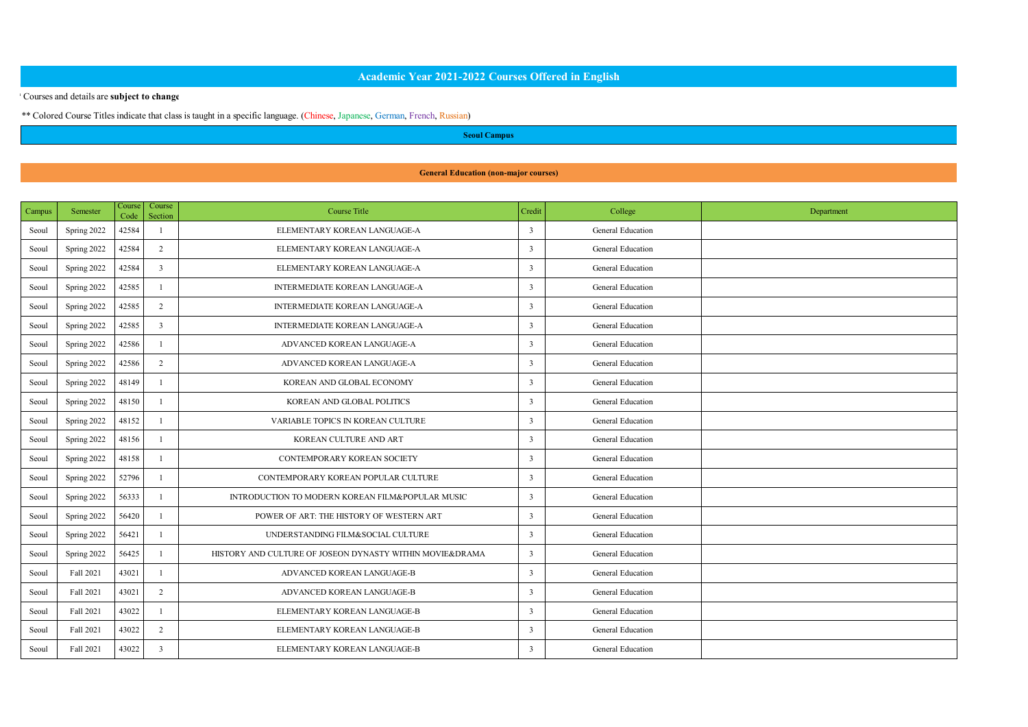# **Academic Year 2021-2022 Courses Offered in English**

### \* Courses and details are **subject to change.**

\*\* Colored Course Titles indicate that class is taught in a specific language. (Chinese, Japanese, German, French, Russian)

**Seoul Campus**

#### **General Education (non-major courses)**

| <b>Campus</b> | Semester    | Course<br>Code | Course<br>Section       | <b>Course Title</b>                                      | Credit       | College           | Department |
|---------------|-------------|----------------|-------------------------|----------------------------------------------------------|--------------|-------------------|------------|
| Seoul         | Spring 2022 | 42584          | ×                       | ELEMENTARY KOREAN LANGUAGE-A                             | $\mathbf{R}$ | General Education |            |
| Seoul         | Spring 2022 | 47584          | $\overline{2}$          | ELEMENTARY KOREAN LANGUAGE-A                             | $\mathbf{R}$ | General Education |            |
| Seoul         | Spring 2022 | 42584          | $\overline{\mathbf{a}}$ | ELEMENTARY KOREAN LANGUAGE-A                             | $\mathbf{R}$ | General Education |            |
| Seoul         | Spring 2022 | 42585          | ĭ                       | <b>INTERMEDIATE KOREAN LANGUAGE-A</b>                    | ٦            | General Education |            |
| Seoul         | Spring 2022 | 42585          | $\overline{2}$          | <b>INTERMEDIATE KOREAN LANGUAGE-A</b>                    | ٦            | General Education |            |
| Seoul         | Spring 2022 | 42585          | $\overline{\mathbf{a}}$ | <b>INTERMEDIATE KOREAN LANGUAGE-A</b>                    | ٦            | General Education |            |
| Seoul         | Spring 2022 | 42586          | ×                       | ADVANCED KOREAN LANGUAGE-A                               | $\mathbf{R}$ | General Education |            |
| Seoul         | Spring 2022 | 42586          | $\overline{2}$          | ADVANCED KOREAN LANGUAGE-A                               | $\mathbf{R}$ | General Education |            |
| Seoul         | Spring 2022 | 48149          |                         | KOREAN AND GLOBAL ECONOMY                                | ٦            | General Education |            |
| Seoul         | Spring 2022 | 48150          | л                       | KOREAN AND GLOBAL POLITICS                               | ٦            | General Education |            |
| Seoul         | Spring 2022 | 48157          | ĭ                       | VARIABLE TOPICS IN KOREAN CULTURE                        | $\mathbf{R}$ | General Education |            |
| Seoul         | Spring 2022 | 48156          | л                       | KOREAN CULTURE AND ART                                   | $\mathbf{R}$ | General Education |            |
| Seoul         | Spring 2022 | 48158          | ×                       | CONTEMPORARY KOREAN SOCIETY                              | $\mathbf{R}$ | General Education |            |
| Seoul         | Spring 2022 | 52796          | ĭ                       | CONTEMPORARY KOREAN POPULAR CULTURE                      | ٦            | General Education |            |
| Seoul         | Spring 2022 | 56333          | ×                       | INTRODUCTION TO MODERN KOREAN FILM&POPULAR MUSIC         | ٦            | General Education |            |
| Seoul         | Spring 2022 | \$6470         | ×                       | POWER OF ART: THE HISTORY OF WESTERN ART                 | ٦            | General Education |            |
| Seoul         | Spring 2022 | 56421          | ٠                       | UNDERSTANDING FILM&SOCIAL CULTURE                        | $\mathbf{R}$ | General Education |            |
| Seoul         | Spring 2022 | 56425          | ×                       | HISTORY AND CULTURE OF JOSEON DYNASTY WITHIN MOVIE&DRAMA | $\mathbf{R}$ | General Education |            |
| Seoul         | Fall 2021   | 43021          | ×                       | ADVANCED KOREAN LANGUAGE-B                               | $\mathbf{R}$ | General Education |            |
| Seoul         | Fall 2021   | 43021          | $\overline{2}$          | ADVANCED KOREAN LANGUAGE-B                               | ٦            | General Education |            |
| Seoul         | Fall 2021   | 43022          | ×                       | ELEMENTARY KOREAN LANGUAGE-B                             | $\mathbf{R}$ | General Education |            |
| Seoul         | Fall 2021   | 43022          | $\overline{2}$          | ELEMENTARY KOREAN LANGUAGE-B                             | $\mathbf{R}$ | General Education |            |
| Seoul         | Fall 2021   | 43022          | $\overline{\mathbf{a}}$ | ELEMENTARY KOREAN LANGUAGE-B                             | $\mathbf{r}$ | General Education |            |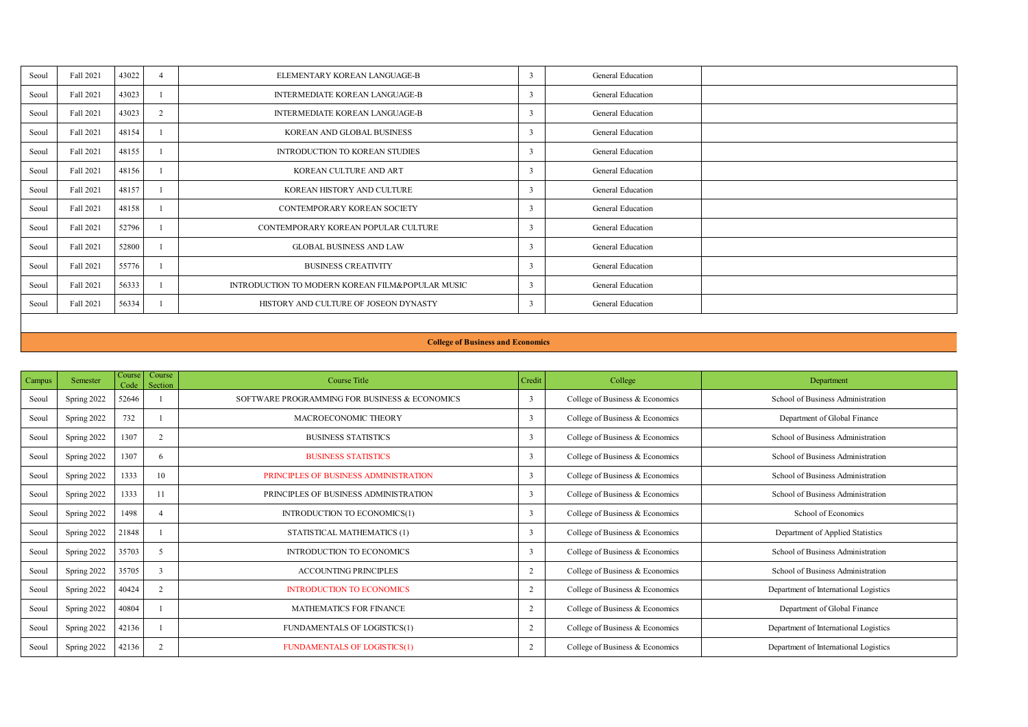| Seoul | Fall 2021 | 43022 |                | ELEMENTARY KOREAN LANGUAGE-B                     | General Education |  |
|-------|-----------|-------|----------------|--------------------------------------------------|-------------------|--|
| Seoul | Fall 2021 | 43023 |                | <b>INTERMEDIATE KOREAN LANGUAGE-B</b>            | General Education |  |
| Seoul | Fall 2021 | 43023 | $\overline{2}$ | <b>INTERMEDIATE KOREAN LANGUAGE-B</b>            | General Education |  |
| Seoul | Fall 2021 | 48154 |                | KOREAN AND GLOBAL BUSINESS.                      | General Education |  |
| Seoul | Fall 2021 | 48155 |                | <b>INTRODUCTION TO KOREAN STUDIES</b>            | General Education |  |
| Seoul | Fall 2021 | 48156 |                | KOREAN CULTURE AND ART                           | General Education |  |
| Seoul | Fall 2021 | 48157 |                | KOREAN HISTORY AND CULTURE                       | General Education |  |
| Seoul | Fall 2021 | 48158 |                | <b>CONTEMPORARY KOREAN SOCIETY</b>               | General Education |  |
| Seoul | Fall 2021 | 52796 |                | CONTEMPORARY KOREAN POPULAR CULTURE              | General Education |  |
| Seoul | Fall 2021 | 52800 |                | <b>GLOBAL BUSINESS AND LAW</b>                   | General Education |  |
| Seoul | Fall 2021 | 55776 |                | <b>BUSINESS CREATIVITY</b>                       | General Education |  |
| Seoul | Fall 2021 | 56333 |                | INTRODUCTION TO MODERN KOREAN FILM&POPULAR MUSIC | General Education |  |
| Seoul | Fall 2021 | 56334 |                | HISTORY AND CHUTURE OF JOSEON DYNASTY            | General Education |  |

#### **College of Business and Economics**

| Campus | Semester    | Course<br>Code | Course<br>Section | Course Title                                  | Credit         | College                         | Department                            |
|--------|-------------|----------------|-------------------|-----------------------------------------------|----------------|---------------------------------|---------------------------------------|
| Seoul  | Spring 2022 | 52646          |                   | SOFTWARE PROGRAMMING FOR BUSINESS & ECONOMICS |                | College of Business & Economics | School of Business Administration     |
| Seoul  | Spring 2022 | 732            |                   | MACROECONOMIC THEORY                          | ٦              | College of Business & Economics | Department of Global Finance          |
| Seoul  | Spring 2022 | 1307           | 2                 | <b>BUSINESS STATISTICS</b>                    | ٦              | College of Business & Economics | School of Business Administration     |
| Seoul  | Spring 2022 | 1307           | 6.                | <b>BUSINESS STATISTICS</b>                    | ٦              | College of Business & Economics | School of Business Administration     |
| Seoul  | Spring 2022 | 1333           | 10                | PRINCIPLES OF RUSINESS ADMINISTRATION         | ٦              | College of Business & Economics | School of Basiness Administration     |
| Seoul  | Spring 2022 | 1333           | 11                | PRINCIPLES OF BUSINESS ADMINISTRATION         | ٦              | College of Business & Economics | School of Business Administration     |
| Seoul  | Spring 2022 | 1498           | A                 | INTRODUCTION TO ECONOMICS(1)                  | ٦              | College of Business & Economics | School of Economics                   |
| Seoul  | Spring 2022 | 21848          |                   | STATISTICAL MATHEMATICS (1)                   |                | College of Business & Economics | Department of Applied Statistics      |
| Seoul  | Spring 2022 | 35703          | ×                 | <b>INTRODUCTION TO ECONOMICS</b>              |                | College of Business & Economics | School of Basiness Administration     |
| Seoul  | Spring 2022 | 35705          | ٦                 | <b>ACCOUNTING PRINCIPLES</b>                  |                | College of Business & Economics | School of Business Administration     |
| Seoul  | Spring 2022 | 40424          | 2                 | <b>INTRODUCTION TO ECONOMICS</b>              | $\overline{2}$ | College of Business & Economics | Department of International Logistics |
| Seoul  | Spring 2022 | 40804          |                   | MATHEMATICS FOR FINANCE                       | ٠              | College of Business & Economics | Department of Global Finance          |
| Seoul  | Spring 2022 | 42136          |                   | FUNDAMENTALS OF LOGISTICS(1)                  | ٠              | College of Business & Economics | Department of International Logistics |
| Seoul  | Spring 2022 | 42136          | 2                 | <b>FUNDAMENTALS OF LOGISTICS(1)</b>           | ٠              | College of Business & Economics | Department of International Logistics |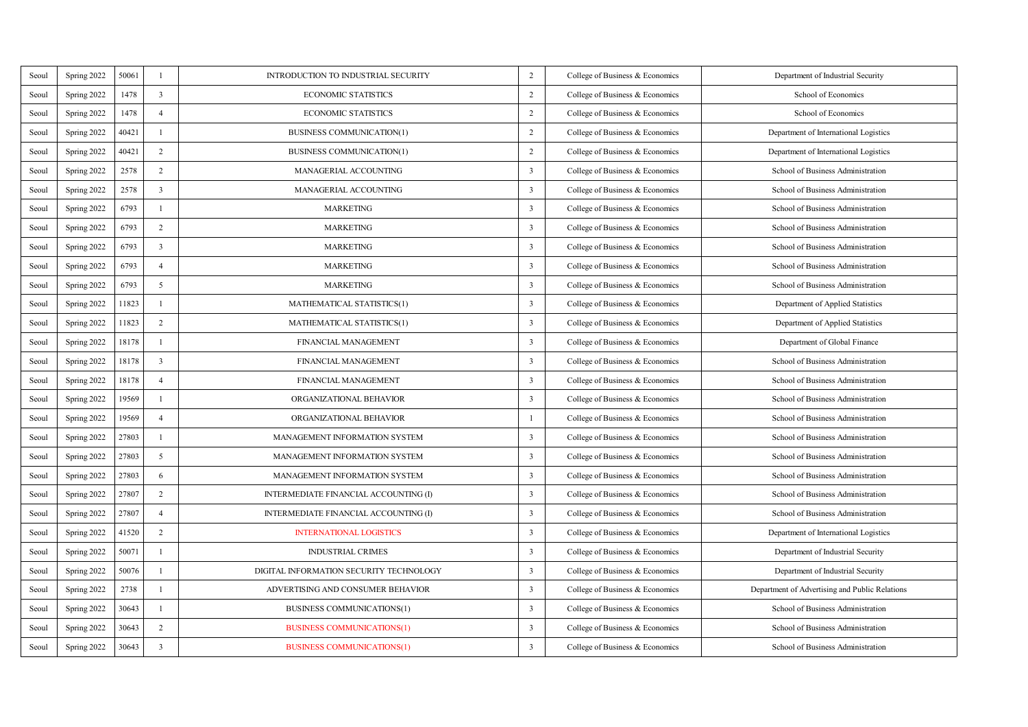| Seoul | Spring 2022 | 50061 | $\mathbf{I}$            | INTRODUCTION TO INDUSTRIAL SECURITY     | $\overline{2}$ | College of Business & Economics | Department of Industrial Security              |
|-------|-------------|-------|-------------------------|-----------------------------------------|----------------|---------------------------------|------------------------------------------------|
| Seoul | Spring 2022 | 1478  | $\overline{\mathbf{3}}$ | <b>ECONOMIC STATISTICS</b>              | $\overline{2}$ | College of Business & Economics | School of Economics                            |
| Seoul | Spring 2022 | 1478  | $\overline{4}$          | <b>ECONOMIC STATISTICS</b>              | $\overline{2}$ | College of Business & Economics | School of Economics                            |
| Seoul | Spring 2022 | 40421 | $\mathbf{I}$            | <b>BUSINESS COMMUNICATION(1)</b>        | $\overline{2}$ | College of Business & Economics | Department of International Logistics          |
| Seoul | Spring 2022 | 40421 | $\overline{2}$          | <b>BUSINESS COMMUNICATION(1)</b>        | $\overline{2}$ | College of Business & Economics | Department of International Logistics          |
| Seoul | Spring 2022 | 2578  | $\overline{2}$          | MANAGERIAL ACCOUNTING                   | 3              | College of Business & Economics | School of Business Administration              |
| Seoul | Spring 2022 | 2578  | $\overline{1}$          | MANAGERIAL ACCOUNTING                   | 3              | College of Business & Economics | School of Business Administration              |
| Seoul | Spring 2022 | 6793  | $\mathbf{I}$            | <b>MARKETING</b>                        | 3              | College of Business & Economics | School of Business Administration              |
| Seoul | Spring 2022 | 6793  | $\overline{2}$          | <b>MARKETING</b>                        | 3              | College of Business & Economics | School of Business Administration              |
| Seoul | Spring 2022 | 6793  | $\overline{\mathbf{3}}$ | <b>MARKETING</b>                        | 3              | College of Business & Economics | School of Business Administration              |
| Seoul | Spring 2022 | 6793  | $\ddot{4}$              | <b>MARKETING</b>                        | 3              | College of Business & Economics | School of Business Administration              |
| Seoul | Spring 2022 | 6793  | 5                       | <b>MARKETING</b>                        | 3              | College of Business & Economics | School of Business Administration              |
| Seoul | Spring 2022 | 11823 | $\mathbf{I}$            | MATHEMATICAL STATISTICS(1)              | 3              | College of Business & Economics | Department of Applied Statistics               |
| Seoul | Spring 2022 | 11823 | $\overline{2}$          | MATHEMATICAL STATISTICS(1)              | 3              | College of Business & Economics | Department of Applied Statistics               |
| Seoul | Spring 2022 | 18178 | $\mathbf{I}$            | FINANCIAL MANAGEMENT                    | 3              | College of Business & Economics | Department of Global Finance                   |
| Seoul | Spring 2022 | 18178 | $\overline{3}$          | FINANCIAL MANAGEMENT                    | 3              | College of Business & Economics | School of Business Administration              |
| Seoul | Spring 2022 | 18178 | $\Delta$                | FINANCIAL MANAGEMENT                    | 3              | College of Business & Economics | School of Business Administration              |
| Seoul | Spring 2022 | 19569 | $\mathbf{I}$            | ORGANIZATIONAL BEHAVIOR                 | 3              | College of Business & Economics | School of Business Administration              |
| Seoul | Spring 2022 | 19569 | $\ddot{4}$              | ORGANIZATIONAL BEHAVIOR                 | $\mathbf{I}$   | College of Business & Economics | School of Business Administration              |
| Seoul | Spring 2022 | 27803 | $\mathbf{I}$            | MANAGEMENT INFORMATION SYSTEM           | 3              | College of Business & Economics | School of Business Administration              |
| Seoul | Spring 2022 | 27803 | 5                       | MANAGEMENT INFORMATION SYSTEM           | 3              | College of Business & Economics | School of Business Administration              |
| Seoul | Spring 2022 | 27803 | 6                       | MANAGEMENT INFORMATION SYSTEM           | 3              | College of Business & Economics | School of Business Administration              |
| Seoul | Spring 2022 | 27807 | $\overline{2}$          | INTERMEDIATE FINANCIAL ACCOUNTING (I)   | 3              | College of Business & Economics | School of Business Administration              |
| Seoul | Spring 2022 | 27807 | $\ddot{4}$              | INTERMEDIATE FINANCIAL ACCOUNTING (I)   | 3              | College of Business & Economics | School of Business Administration              |
| Seoul | Spring 2022 | 41520 | $\overline{2}$          | <b>INTERNATIONAL LOGISTICS</b>          | 3              | College of Business & Economics | Department of International Logistics          |
| Seoul | Spring 2022 | 50071 | $\mathbf{I}$            | <b>INDUSTRIAL CRIMES</b>                | 3              | College of Business & Economics | Department of Industrial Security              |
| Seoul | Spring 2022 | 50076 | $\mathbf{I}$            | DIGITAL INFORMATION SECURITY TECHNOLOGY | 3              | College of Business & Economics | Department of Industrial Security              |
| Seoul | Spring 2022 | 2738  | $\mathbf{I}$            | ADVERTISING AND CONSUMER BEHAVIOR       | 3              | College of Business & Economics | Department of Advertising and Public Relations |
| Seoul | Spring 2022 | 30643 | $\mathbf{I}$            | <b>BUSINESS COMMUNICATIONS(1)</b>       | 3              | College of Business & Economics | School of Business Administration              |
| Seoul | Spring 2022 | 30643 | $\overline{2}$          | <b>BUSINESS COMMUNICATIONS(1)</b>       | 3              | College of Business & Economics | School of Business Administration              |
| Seoul | Spring 2022 | 30643 | $\overline{3}$          | <b>BUSINESS COMMUNICATIONS(1)</b>       | 3              | College of Business & Economics | School of Business Administration              |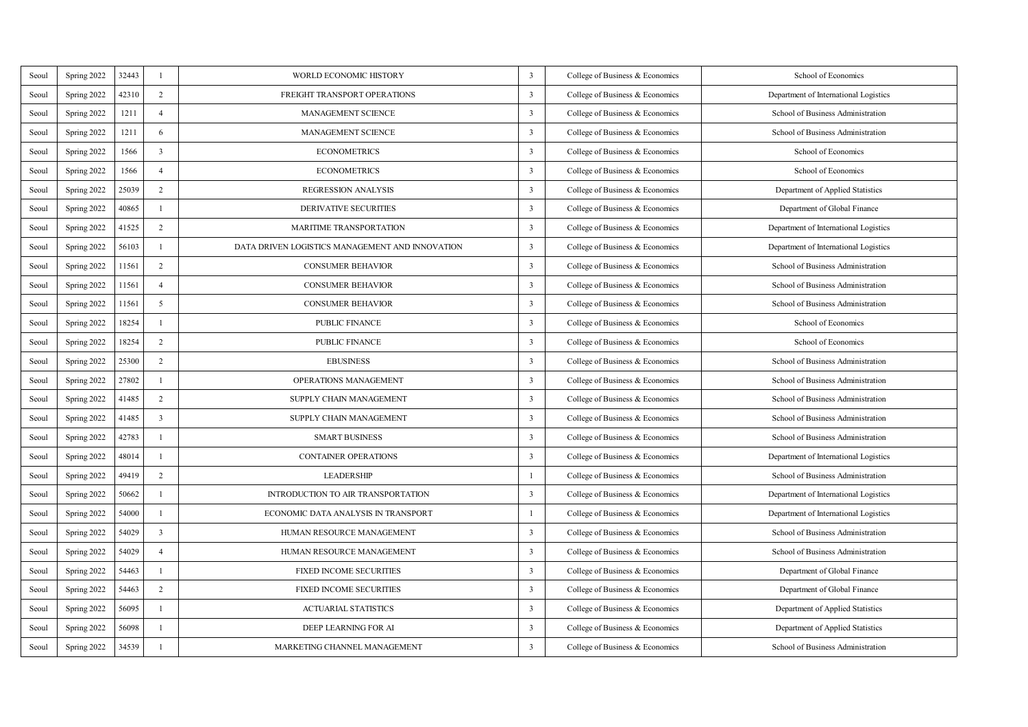| Seoul | Spring 2022 | 32443 | $\mathbf{I}$            | WORLD ECONOMIC HISTORY                          | 3            | College of Business & Economics | School of Economics                   |
|-------|-------------|-------|-------------------------|-------------------------------------------------|--------------|---------------------------------|---------------------------------------|
| Seoul | Spring 2022 | 42310 | $\overline{2}$          | FREIGHT TRANSPORT OPERATIONS                    | 3            | College of Business & Economics | Department of International Logistics |
| Seoul | Spring 2022 | 1211  | $\overline{4}$          | <b>MANAGEMENT SCIENCE</b>                       | 3            | College of Business & Economics | School of Business Administration     |
| Seoul | Spring 2022 | 1211  | 6                       | <b>MANAGEMENT SCIENCE</b>                       | 3            | College of Business & Economics | School of Business Administration     |
| Seoul | Spring 2022 | 1566  | $\overline{A}$          | <b>ECONOMETRICS</b>                             | 3            | College of Business & Economics | School of Economics                   |
| Seoul | Spring 2022 | 1566  | $\ddot{4}$              | <b>ECONOMETRICS</b>                             | 3            | College of Business & Economics | School of Economics                   |
| Seoul | Spring 2022 | 25039 | $\overline{z}$          | <b>REGRESSION ANALYSIS</b>                      | 3            | College of Business & Economics | Department of Applied Statistics      |
| Seoul | Spring 2022 | 40865 | $\mathbf{I}$            | <b>DERIVATIVE SECURITIES</b>                    | 3            | College of Business & Economics | Department of Global Finance          |
| Seoul | Spring 2022 | 41525 | $\overline{2}$          | <b>MARITIME TRANSPORTATION</b>                  | 3            | College of Business & Economics | Department of International Logistics |
| Seoul | Spring 2022 | 56103 | $\mathbf{I}$            | DATA DRIVEN LOGISTICS MANAGEMENT AND INNOVATION | 3            | College of Business & Economics | Department of International Logistics |
| Seoul | Spring 2022 | 11561 | $\overline{2}$          | <b>CONSUMER BEHAVIOR</b>                        | 3            | College of Business & Economics | School of Business Administration     |
| Seoul | Spring 2022 | 11561 | $\Delta$                | <b>CONSUMER BEHAVIOR</b>                        | 3            | College of Business & Economics | School of Business Administration     |
| Seoul | Spring 2022 | 11561 | 5                       | <b>CONSUMER BEHAVIOR</b>                        | 3            | College of Business & Economics | School of Business Administration     |
| Seoul | Spring 2022 | 18254 | $\mathbf{I}$            | PUBLIC FINANCE                                  | 3            | College of Business & Economics | School of Economics                   |
| Seoul | Spring 2022 | 18254 | $\overline{2}$          | PUBLIC FINANCE                                  | 3            | College of Business & Economics | School of Economics                   |
| Seoul | Spring 2022 | 25300 | $\overline{2}$          | <b>EBUSINESS</b>                                | 3            | College of Business & Economics | School of Business Administration     |
| Seoul | Spring 2022 | 27802 | $\mathbf{I}$            | OPERATIONS MANAGEMENT                           | 3            | College of Business & Economics | School of Business Administration     |
| Seoul | Spring 2022 | 41485 | $\overline{2}$          | SUPPLY CHAIN MANAGEMENT                         | 3            | College of Business & Economics | School of Business Administration     |
| Seoul | Spring 2022 | 41485 | $\overline{3}$          | SUPPLY CHAIN MANAGEMENT                         | 3            | College of Business & Economics | School of Business Administration     |
| Seoul | Spring 2022 | 42783 | $\mathbf{I}$            | <b>SMART BUSINESS</b>                           | 3            | College of Business & Economics | School of Business Administration     |
| Seoul | Spring 2022 | 48014 | $\mathbf{I}$            | <b>CONTAINER OPERATIONS</b>                     | 3            | College of Business & Economics | Department of International Logistics |
| Seoul | Spring 2022 | 49419 | $\overline{2}$          | <b>LEADERSHIP</b>                               | $\mathbf{I}$ | College of Business & Economics | School of Business Administration     |
| Seoul | Spring 2022 | 50662 | $\mathbf{I}$            | INTRODUCTION TO AIR TRANSPORTATION              | 3            | College of Business & Economics | Department of International Logistics |
| Seoul | Spring 2022 | 54000 | $\mathbf{I}$            | ECONOMIC DATA ANALYSIS IN TRANSPORT             | $\mathbf{I}$ | College of Business & Economics | Department of International Logistics |
| Seoul | Spring 2022 | 54029 | $\overline{\mathbf{3}}$ | HUMAN RESOURCE MANAGEMENT                       | 3            | College of Business & Economics | School of Business Administration     |
| Seoul | Spring 2022 | 54029 | $\ddot{4}$              | HUMAN RESOURCE MANAGEMENT                       | 3            | College of Business & Economics | School of Business Administration     |
| Seoul | Spring 2022 | 54463 | $\mathbf{I}$            | <b>FIXED INCOME SECURITIES</b>                  | 3            | College of Business & Economics | Department of Global Finance          |
| Seoul | Spring 2022 | 54463 | $\overline{2}$          | <b>FIXED INCOME SECURITIES</b>                  | 3            | College of Business & Economics | Department of Global Finance          |
| Seoul | Spring 2022 | 56095 | $\mathbf{I}$            | <b>ACTUARIAL STATISTICS</b>                     | 3            | College of Business & Economics | Department of Applied Statistics      |
| Seoul | Spring 2022 | 56098 | $\mathbf{I}$            | DEEP LEARNING FOR AI                            | 3            | College of Business & Economics | Department of Applied Statistics      |
| Seoul | Spring 2022 | 34539 | $\mathbf{I}$            | MARKETING CHANNEL MANAGEMENT                    | 3            | College of Business & Economics | School of Business Administration     |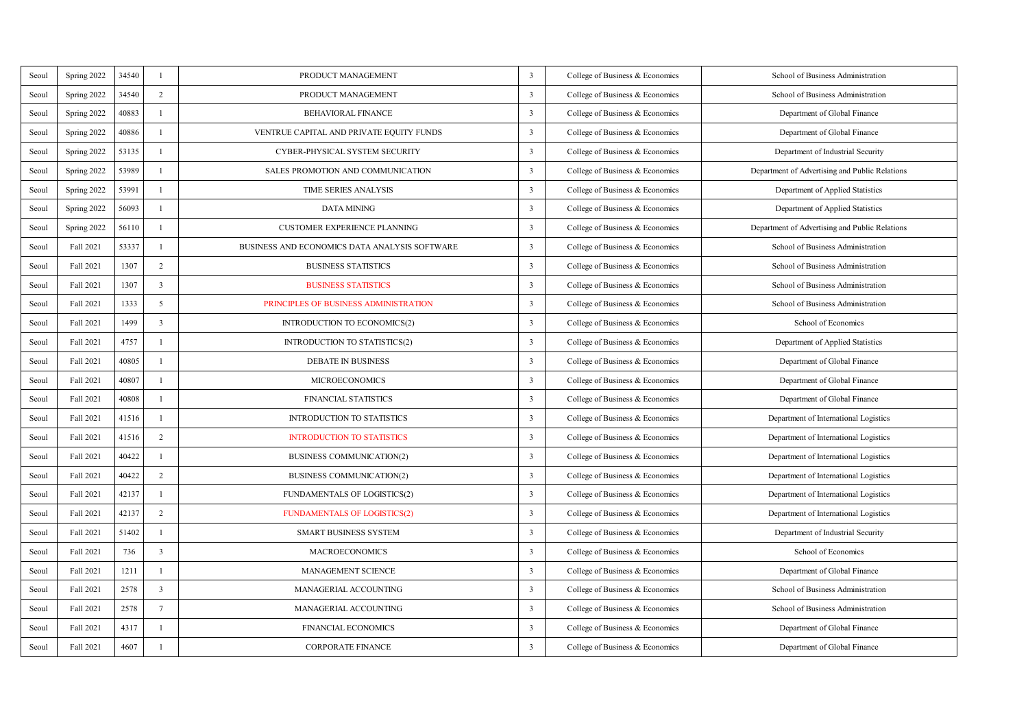| Seoul | Spring 2022 | 34540 | $\mathbf{I}$            | PRODUCT MANAGEMENT                            | 3 | College of Business & Economics | School of Business Administration              |
|-------|-------------|-------|-------------------------|-----------------------------------------------|---|---------------------------------|------------------------------------------------|
| Seoul | Spring 2022 | 34540 | $\overline{2}$          | PRODUCT MANAGEMENT                            | 3 | College of Business & Economics | School of Business Administration              |
| Seoul | Spring 2022 | 40883 | $\mathbf{I}$            | BEHAVIORAL FINANCE                            | 3 | College of Business & Economics | Department of Global Finance                   |
| Seoul | Spring 2022 | 40886 | $\mathbf{I}$            | VENTRUE CAPITAL AND PRIVATE EQUITY FUNDS      | 3 | College of Business & Economics | Department of Global Finance                   |
| Seoul | Spring 2022 | 53135 | $\mathbf{I}$            | <b>CYBER-PHYSICAL SYSTEM SECURITY</b>         | 3 | College of Business & Economics | Department of Industrial Security              |
| Seoul | Spring 2022 | 53989 | $\mathbf{I}$            | SALES PROMOTION AND COMMUNICATION             | 3 | College of Business & Economics | Department of Advertising and Public Relations |
| Seoul | Spring 2022 | 53991 | $\mathbf{I}$            | <b>TIME SERIES ANALYSIS</b>                   | 3 | College of Business & Economics | Department of Applied Statistics               |
| Seoul | Spring 2022 | 56093 | $\mathbf{I}$            | DATA MINING                                   | 3 | College of Business & Economics | Department of Applied Statistics               |
| Seoul | Spring 2022 | 56110 | $\mathbf{I}$            | <b>CUSTOMER EXPERIENCE PLANNING</b>           | 3 | College of Business & Economics | Department of Advertising and Public Relations |
| Seoul | Fall 2021   | 53337 | L.                      | BUSINESS AND ECONOMICS DATA ANALYSIS SOFTWARE | 3 | College of Business & Economics | School of Business Administration              |
| Seoul | Fall 2021   | 1307  | $\overline{2}$          | <b>BUSINESS STATISTICS</b>                    | 3 | College of Business & Economics | School of Business Administration              |
| Seoul | Fall 2021   | 1307  | $\overline{\mathbf{a}}$ | <b>BUSINESS STATISTICS</b>                    | 3 | College of Business & Economics | School of Business Administration              |
| Seoul | Fall 2021   | 1333  | $\mathfrak{s}$          | PRINCIPLES OF BUSINESS ADMINISTRATION         | 3 | College of Business & Economics | School of Business Administration              |
| Seoul | Fall 2021   | 1499  | $\overline{\mathbf{3}}$ | INTRODUCTION TO ECONOMICS(2)                  | 3 | College of Business & Economics | School of Economics                            |
| Seoul | Fall 2021   | 4757  | ×                       | <b>INTRODUCTION TO STATISTICS(2)</b>          | 3 | College of Business & Economics | Department of Applied Statistics               |
| Seoul | Fall 2021   | 40805 | L.                      | <b>DEBATE IN BUSINESS</b>                     | 3 | College of Business & Economics | Department of Global Finance                   |
| Seoul | Fall 2021   | 40807 | ×                       | <b>MICROECONOMICS</b>                         | 3 | College of Business & Economics | Department of Global Finance                   |
| Seoul | Fall 2021   | 40808 | ×                       | <b>FINANCIAL STATISTICS</b>                   | 3 | College of Business & Economics | Department of Global Finance                   |
| Seoul | Fall 2021   | 41516 | ×.                      | <b>INTRODUCTION TO STATISTICS</b>             | 3 | College of Business & Economics | Department of International Logistics          |
| Seoul | Fall 2021   | 41516 | $\overline{2}$          | <b>INTRODUCTION TO STATISTICS</b>             | 3 | College of Business & Economics | Department of International Logistics          |
| Seoul | Fall 2021   | 40422 | L.                      | BUSINESS COMMUNICATION(2)                     | 3 | College of Business & Economics | Department of International Logistics          |
| Seoul | Fall 2021   | 40422 | $\overline{2}$          | <b>BUSINESS COMMUNICATION(2)</b>              | 3 | College of Business & Economics | Department of International Logistics          |
| Seoul | Fall 2021   | 42137 | ×                       | FUNDAMENTALS OF LOGISTICS(2)                  | 3 | College of Business & Economics | Department of International Logistics          |
| Seoul | Fall 2021   | 42137 | $\overline{2}$          | <b>FUNDAMENTALS OF LOGISTICS(2)</b>           | 3 | College of Business & Economics | Department of International Logistics          |
| Seoul | Fall 2021   | 51402 | ×                       | <b>SMART BUSINESS SYSTEM</b>                  | 3 | College of Business & Economics | Department of Industrial Security              |
| Seoul | Fall 2021   | 736   | $\overline{\mathbf{3}}$ | <b>MACROECONOMICS</b>                         | 3 | College of Business & Economics | School of Economics                            |
| Seoul | Fall 2021   | 1211  | ×                       | <b>MANAGEMENT SCIENCE</b>                     | 3 | College of Business & Economics | Department of Global Finance                   |
| Seoul | Fall 2021   | 2578  | $\overline{\mathbf{3}}$ | MANAGERIAL ACCOUNTING                         | 3 | College of Business & Economics | School of Business Administration              |
| Seoul | Fall 2021   | 2578  | $\overline{7}$          | MANAGERIAL ACCOUNTING                         | 3 | College of Business & Economics | School of Business Administration              |
| Seoul | Fall 2021   | 4317  | ×                       | <b>FINANCIAL ECONOMICS</b>                    | 3 | College of Business & Economics | Department of Global Finance                   |
| Seoul | Fall 2021   | 4607  | ×                       | <b>CORPORATE FINANCE</b>                      | 3 | College of Business & Economics | Department of Global Finance                   |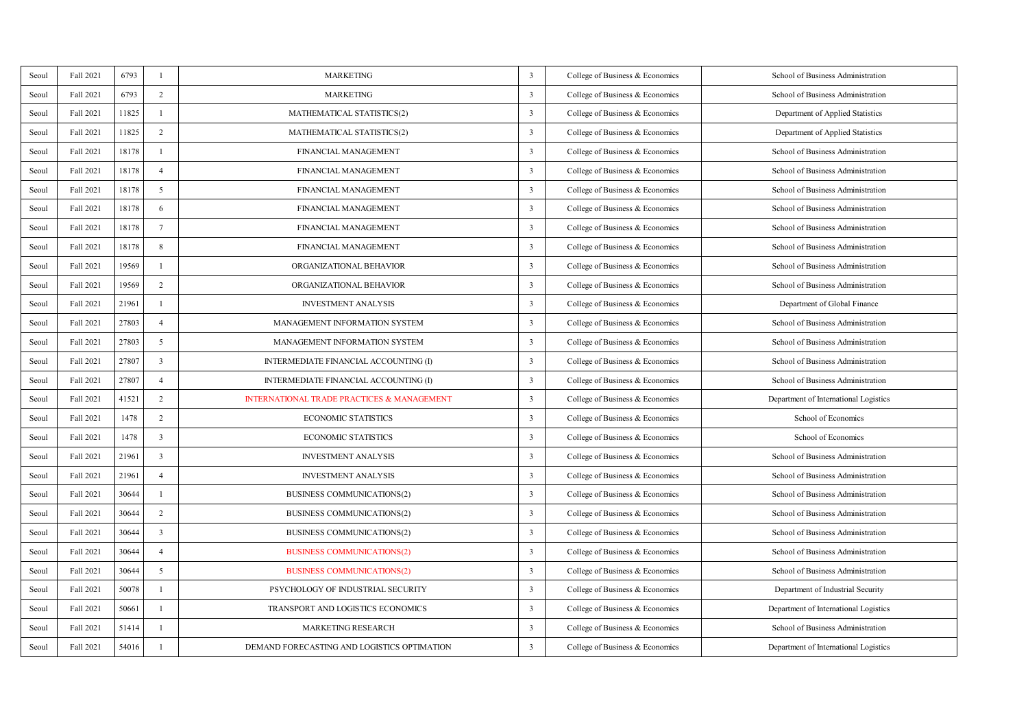| Seoul | Fall 2021 | 6793  | ×                         | <b>MARKETING</b>                                      | 3 | College of Business & Economics | School of Business Administration     |
|-------|-----------|-------|---------------------------|-------------------------------------------------------|---|---------------------------------|---------------------------------------|
| Seoul | Fall 2021 | 6793  | $\overline{2}$            | <b>MARKETING</b>                                      | 3 | College of Business & Economics | School of Business Administration     |
| Seoul | Fall 2021 | 11825 | L.                        | MATHEMATICAL STATISTICS(2)                            | 3 | College of Business & Economics | Department of Applied Statistics      |
| Seoul | Fall 2021 | 11825 | $\overline{2}$            | MATHEMATICAL STATISTICS(2)                            | 3 | College of Business & Economics | Department of Applied Statistics      |
| Seoul | Fall 2021 | 18178 | ×.                        | FINANCIAL MANAGEMENT                                  | 3 | College of Business & Economics | School of Business Administration     |
| Seoul | Fall 2021 | 18178 | $\ddot{4}$                | <b>FINANCIAL MANAGEMENT</b>                           | 3 | College of Business & Economics | School of Business Administration     |
| Seoul | Fall 2021 | 18178 | $\overline{\phantom{a}}$  | FINANCIAL MANAGEMENT                                  | 3 | College of Business & Economics | School of Business Administration     |
| Seoul | Fall 2021 | 18178 | 6                         | FINANCIAL MANAGEMENT                                  | 3 | College of Business & Economics | School of Business Administration     |
| Seoul | Fall 2021 | 18178 | $\overline{7}$            | FINANCIAL MANAGEMENT                                  | 3 | College of Business & Economics | School of Business Administration     |
| Seoul | Fall 2021 | 18178 | $\boldsymbol{\mathsf{s}}$ | FINANCIAL MANAGEMENT                                  | 3 | College of Business & Economics | School of Business Administration     |
| Seoul | Fall 2021 | 19569 | L.                        | ORGANIZATIONAL BEHAVIOR                               | 3 | College of Business & Economics | School of Business Administration     |
| Seoul | Fall 2021 | 19569 | $\overline{2}$            | ORGANIZATIONAL BEHAVIOR                               | 3 | College of Business & Economics | School of Business Administration     |
| Seoul | Fall 2021 | 21961 | $\mathbf{I}$              | <b>INVESTMENT ANALYSIS</b>                            | 3 | College of Business & Economics | Department of Global Finance          |
| Seoul | Fall 2021 | 27803 | $\ddot{4}$                | MANAGEMENT INFORMATION SYSTEM                         | 3 | College of Business & Economics | School of Business Administration     |
| Seoul | Fall 2021 | 27803 | 5                         | MANAGEMENT INFORMATION SYSTEM                         | 3 | College of Business & Economics | School of Business Administration     |
| Seoul | Fall 2021 | 27807 | $\overline{3}$            | INTERMEDIATE FINANCIAL ACCOUNTING (I)                 | 3 | College of Business & Economics | School of Business Administration     |
| Seoul | Fall 2021 | 27807 | $\Delta$                  | INTERMEDIATE FINANCIAL ACCOUNTING (I)                 | 3 | College of Business & Economics | School of Business Administration     |
| Seoul | Fall 2021 | 41521 | $\overline{2}$            | <b>INTERNATIONAL TRADE PRACTICES &amp; MANAGEMENT</b> | 3 | College of Business & Economics | Department of International Logistics |
| Seoul | Fall 2021 | 1478  | $\overline{2}$            | <b>ECONOMIC STATISTICS</b>                            | 3 | College of Business & Economics | School of Economics                   |
| Seoul | Fall 2021 | 1478  | $\overline{\mathbf{3}}$   | <b>ECONOMIC STATISTICS</b>                            | 3 | College of Business & Economics | School of Economics                   |
| Seoul | Fall 2021 | 21961 | $\overline{\mathbf{3}}$   | <b>INVESTMENT ANALYSIS</b>                            | 3 | College of Business & Economics | School of Business Administration     |
| Seoul | Fall 2021 | 21961 | $\Delta$                  | <b>INVESTMENT ANALYSIS</b>                            | 3 | College of Business & Economics | School of Business Administration     |
| Seoul | Fall 2021 | 30644 | L.                        | BUSINESS COMMUNICATIONS(2)                            | 3 | College of Business & Economics | School of Business Administration     |
| Seoul | Fall 2021 | 30644 | $\overline{2}$            | BUSINESS COMMUNICATIONS(2)                            | 3 | College of Business & Economics | School of Business Administration     |
| Seoul | Fall 2021 | 30644 | $\overline{\mathbf{3}}$   | <b>BUSINESS COMMUNICATIONS(2)</b>                     | 3 | College of Business & Economics | School of Business Administration     |
| Seoul | Fall 2021 | 30644 | $\ddot{4}$                | <b>BUSINESS COMMUNICATIONS(2)</b>                     | 3 | College of Business & Economics | School of Business Administration     |
| Seoul | Fall 2021 | 30644 | $\hat{\mathbf{z}}$        | <b>BUSINESS COMMUNICATIONS(2)</b>                     | 3 | College of Business & Economics | School of Business Administration     |
| Seoul | Fall 2021 | 50078 | ×                         | PSYCHOLOGY OF INDUSTRIAL SECURITY                     | 3 | College of Business & Economics | Department of Industrial Security     |
| Seoul | Fall 2021 | 50661 | L.                        | TRANSPORT AND LOGISTICS ECONOMICS                     | 3 | College of Business & Economics | Department of International Logistics |
| Seoul | Fall 2021 | 51414 | ×                         | <b>MARKETING RESEARCH</b>                             | 3 | College of Business & Economics | School of Business Administration     |
| Seoul | Fall 2021 | 54016 | ×                         | DEMAND FORECASTING AND LOGISTICS OPTIMATION           | 3 | College of Business & Economics | Department of International Logistics |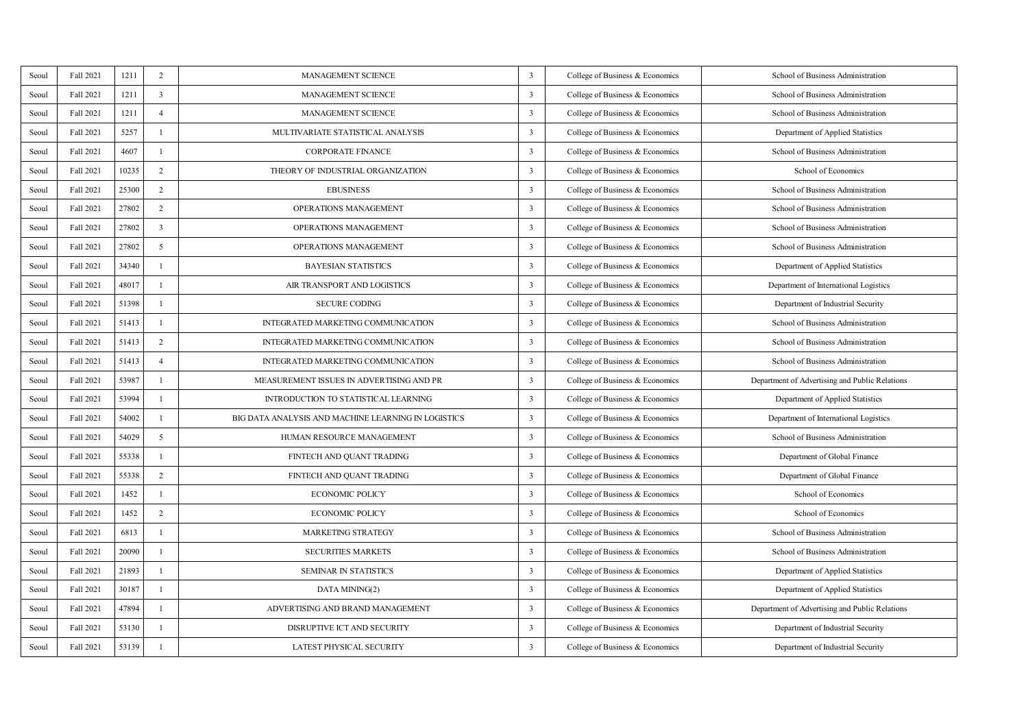| Seoul | Fall 2021 | 1211  | $\overline{2}$          | <b>MANAGEMENT SCIENCE</b>                           | 3 | College of Business & Economics | School of Business Administration              |
|-------|-----------|-------|-------------------------|-----------------------------------------------------|---|---------------------------------|------------------------------------------------|
| Seoul | Fall 2021 | 1211  | $\overline{\mathbf{3}}$ | <b>MANAGEMENT SCIENCE</b>                           | 3 | College of Business & Economics | School of Business Administration              |
| Seoul | Fall 2021 | 1211  | $\ddot{a}$              | <b>MANAGEMENT SCIENCE</b>                           | 3 | College of Business & Economics | School of Business Administration              |
| Seoul | Fall 2021 | 5257  | L.                      | MULTIVARIATE STATISTICAL ANALYSIS                   | 3 | College of Business & Economics | Department of Applied Statistics               |
| Seoul | Fall 2021 | 4607  | ×                       | <b>CORPORATE FINANCE</b>                            | 3 | College of Business & Economics | School of Business Administration              |
| Seoul | Fall 2021 | 10235 | $\overline{2}$          | THEORY OF INDUSTRIAL ORGANIZATION                   | 3 | College of Business & Economics | School of Economics                            |
| Seoul | Fall 2021 | 25300 | $\overline{2}$          | <b>EBUSINESS</b>                                    | 3 | College of Business & Economics | School of Business Administration              |
| Seoul | Fall 2021 | 27802 | $\overline{2}$          | OPERATIONS MANAGEMENT                               | 3 | College of Business & Economics | School of Business Administration              |
| Seoul | Fall 2021 | 27802 | $\overline{\mathbf{3}}$ | OPERATIONS MANAGEMENT                               | 3 | College of Business & Economics | School of Business Administration              |
| Seoul | Fall 2021 | 27802 | $\mathfrak{s}$          | OPERATIONS MANAGEMENT                               | 3 | College of Business & Economics | School of Business Administration              |
| Seoul | Fall 2021 | 34340 | L.                      | <b>BAYESIAN STATISTICS</b>                          | 3 | College of Business & Economics | Department of Applied Statistics               |
| Seoul | Fall 2021 | 48017 | $\mathbf{I}$            | AIR TRANSPORT AND LOGISTICS                         | 3 | College of Business & Economics | Department of International Logistics          |
| Seoul | Fall 2021 | 51398 | $\mathbf{I}$            | <b>SECURE CODING</b>                                | 3 | College of Business & Economics | Department of Industrial Security              |
| Seoul | Fall 2021 | 51413 | $\mathbf{I}$            | INTEGRATED MARKETING COMMUNICATION                  | 3 | College of Business & Economics | School of Business Administration              |
| Seoul | Fall 2021 | 51413 | $\overline{2}$          | INTEGRATED MARKETING COMMUNICATION                  | 3 | College of Business & Economics | School of Business Administration              |
| Seoul | Fall 2021 | 51413 | $\Delta$                | INTEGRATED MARKETING COMMUNICATION                  | 3 | College of Business & Economics | School of Business Administration              |
| Seoul | Fall 2021 | 53987 | $\mathbf{I}$            | MEASUREMENT ISSUES IN ADVERTISING AND PR            | 3 | College of Business & Economics | Department of Advertising and Public Relations |
| Seoul | Fall 2021 | 53994 | $\mathbf{I}$            | INTRODUCTION TO STATISTICAL LEARNING                | 3 | College of Business & Economics | Department of Applied Statistics               |
| Seoul | Fall 2021 | 54002 | $\mathbf{I}$            | BIG DATA ANALYSIS AND MACHINE LEARNING IN LOGISTICS | 3 | College of Business & Economics | Department of International Logistics          |
| Seoul | Fall 2021 | 54029 | 5                       | HUMAN RESOURCE MANAGEMENT                           | 3 | College of Business & Economics | School of Business Administration              |
| Seoul | Fall 2021 | 55338 | $\mathbf{I}$            | FINTECH AND QUANT TRADING                           | 3 | College of Business & Economics | Department of Global Finance                   |
| Seoul | Fall 2021 | 55338 | $\overline{2}$          | FINTECH AND QUANT TRADING                           | 3 | College of Business & Economics | Department of Global Finance                   |
| Seoul | Fall 2021 | 1452  | $\mathbf{I}$            | <b>ECONOMIC POLICY</b>                              | 3 | College of Business & Economics | School of Economics                            |
| Seoul | Fall 2021 | 1452  | $\overline{2}$          | ECONOMIC POLICY                                     | 3 | College of Business & Economics | School of Economics                            |
| Seoul | Fall 2021 | 6813  | $\mathbf{I}$            | <b>MARKETING STRATEGY</b>                           | 3 | College of Business & Economics | School of Business Administration              |
| Seoul | Fall 2021 | 20090 | $\mathbf{I}$            | <b>SECURITIES MARKETS</b>                           | 3 | College of Business & Economics | School of Business Administration              |
| Seoul | Fall 2021 | 21893 | $\mathbf{I}$            | <b>SEMINAR IN STATISTICS</b>                        | 3 | College of Business & Economics | Department of Applied Statistics               |
| Seoul | Fall 2021 | 30187 | $\mathbf{I}$            | DATA MINING(2)                                      | 3 | College of Business & Economics | Department of Applied Statistics               |
| Seoul | Fall 2021 | 47894 | $\mathbf{I}$            | ADVERTISING AND BRAND MANAGEMENT                    | 3 | College of Business & Economics | Department of Advertising and Public Relations |
| Seoul | Fall 2021 | 53130 | $\mathbf{I}$            | DISRUPTIVE ICT AND SECURITY                         | 3 | College of Business & Economics | Department of Industrial Security              |
| Seoul | Fall 2021 | 53139 | $\mathbf{I}$            | LATEST PHYSICAL SECURITY                            | 3 | College of Business & Economics | Department of Industrial Security              |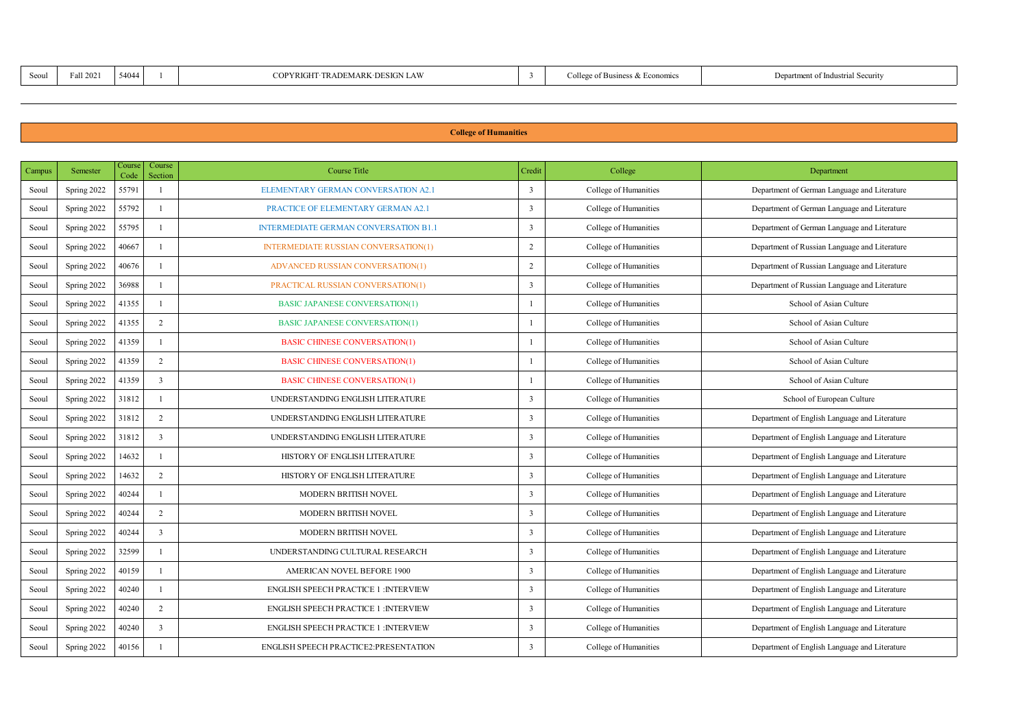| TRADEMARK-DESIGN LAW<br>54044<br>Fall 2021<br><b>YRIGHT</b><br>SOOL |  | ÷<br>lean of Ru<br>iess & Econo | Det.<br>of Indust<br>Securit |
|---------------------------------------------------------------------|--|---------------------------------|------------------------------|
|---------------------------------------------------------------------|--|---------------------------------|------------------------------|

## **College of Humanities**

| Campus | Semester    | Course<br>Code | Course<br>Section | Course Title                                 | Cedit                   | College               | Department                                    |
|--------|-------------|----------------|-------------------|----------------------------------------------|-------------------------|-----------------------|-----------------------------------------------|
| Seoul  | Spring 2022 | 55791          | $\mathbf{I}$      | ELEMENTARY GERMAN CONVERSATION A2.1          | 3                       | College of Humanities | Department of German Language and Literature  |
| Seoul  | Spring 2022 | 55792          |                   | PRACTICE OF ELEMENTARY GERMAN A2.1           | 3                       | College of Humanities | Department of German Language and Literature  |
| Seoul  | Spring 2022 | 55795          |                   | <b>INTERMEDIATE GERMAN CONVERSATION B1.1</b> | 3                       | College of Humanities | Department of German Language and Literature  |
| Seoul  | Spring 2022 | 40667          |                   | <b>INTERMEDIATE RUSSIAN CONVERSATION(1)</b>  | $\overline{2}$          | College of Humanities | Department of Russian Language and Literature |
| Seoul  | Spring 2022 | 40676          |                   | ADVANCED RUSSIAN CONVERSATION(1)             | $\overline{2}$          | College of Humanities | Department of Russian Language and Literature |
| Seoul  | Spring 2022 | 36988          |                   | PRACTICAL RUSSIAN CONVERSATION(1)            | $\mathbf{R}$            | College of Humanities | Department of Russian Language and Literature |
| Seoul  | Spring 2022 | 41355          |                   | <b>BASIC JAPANESE CONVERSATION(1)</b>        | 1                       | College of Humanities | School of Asian Culture                       |
| Seoul  | Spring 2022 | 41355          | $\overline{2}$    | <b>BASIC JAPANESE CONVERSATION(1)</b>        | 1                       | College of Humanities | School of Asian Culture                       |
| Seoul  | Spring 2022 | 41359          |                   | <b>BASIC CHINESE CONVERSATION(1)</b>         | 1                       | College of Humanities | School of Asian Culture                       |
| Seoul  | Spring 2022 | 41359          | 2                 | <b>BASIC CHINESE CONVERSATION(1)</b>         | 1                       | College of Humanities | School of Asian Culture                       |
| Seoul  | Spring 2022 | 41359          | ×                 | <b>BASIC CHINESE CONVERSATION(1)</b>         | 1                       | College of Humanities | School of Asian Culture                       |
| Seoul  | Spring 2022 | 31812          |                   | UNDERSTANDING ENGLISH LITERATURE             | $\mathbf{R}$            | College of Humanities | School of European Culture                    |
| Seoul  | Spring 2022 | 31812          | $\overline{ }$    | UNDERSTANDING ENGLISH LITERATURE             | $\overline{\mathbf{3}}$ | College of Humanities | Department of English Language and Literature |
| Seoul  | Spring 2022 | 31812          | $\overline{3}$    | UNDERSTANDING ENGLISH LITERATURE             | 3                       | College of Humanities | Department of English Language and Literature |
| Seoul  | Spring 2022 | 14632          |                   | HISTORY OF ENGLISH LITERATURE                | $\overline{\mathbf{3}}$ | College of Humanities | Department of English Language and Literature |
| Seoul  | Spring 2022 | 14632          | $\overline{2}$    | HISTORY OF ENGLISH LITERATURE                | ٦                       | College of Humanities | Department of English Language and Literature |
| Seoul  | Spring 2022 | 40744          |                   | MODERN BRITISH NOVEL                         | $\mathbf{R}$            | College of Humanities | Department of English Language and Literature |
| Seoul  | Spring 2022 | 40244          | $\overline{2}$    | MODERN BRITISH NOVEL                         | $\mathbf{R}$            | College of Humanities | Department of English Language and Literature |
| Seoul  | Spring 2022 | 40244          | P,                | MODERN BRITISH NOVEL                         | ٦                       | College of Humanities | Department of English Language and Literature |
| Seoul  | Spring 2022 | 32599          |                   | UNDERSTANDING CULTURAL RESEARCH              | 3                       | College of Humanities | Department of English Language and Literature |
| Seoul  | Spring 2022 | 40159          |                   | AMERICAN NOVEL BEFORE 1900                   | $\mathbf{a}$            | College of Humanities | Department of English Language and Literature |
| Seoul  | Spring 2022 | 40240          |                   | <b>ENGLISH SPEECH PRACTICE 1 :INTERVIEW</b>  | $\overline{\mathbf{3}}$ | College of Humanities | Department of English Language and Literature |
| Seoul  | Spring 2022 | 40240          | $\overline{2}$    | <b>ENGLISH SPEECH PRACTICE 1 :INTERVIEW</b>  | t                       | College of Humanities | Department of English Language and Literature |
| Seoul  | Spring 2022 | 40240          | P,                | <b>ENGLISH SPEECH PRACTICE 1 :INTERVIEW</b>  | ٦                       | College of Humanities | Department of English Language and Literature |
| Seoul  | Spring 2022 | 40156          |                   | <b>ENGLISH SPEECH PRACTICE2:PRESENTATION</b> | $\mathbf{R}$            | College of Humanities | Department of English Language and Literature |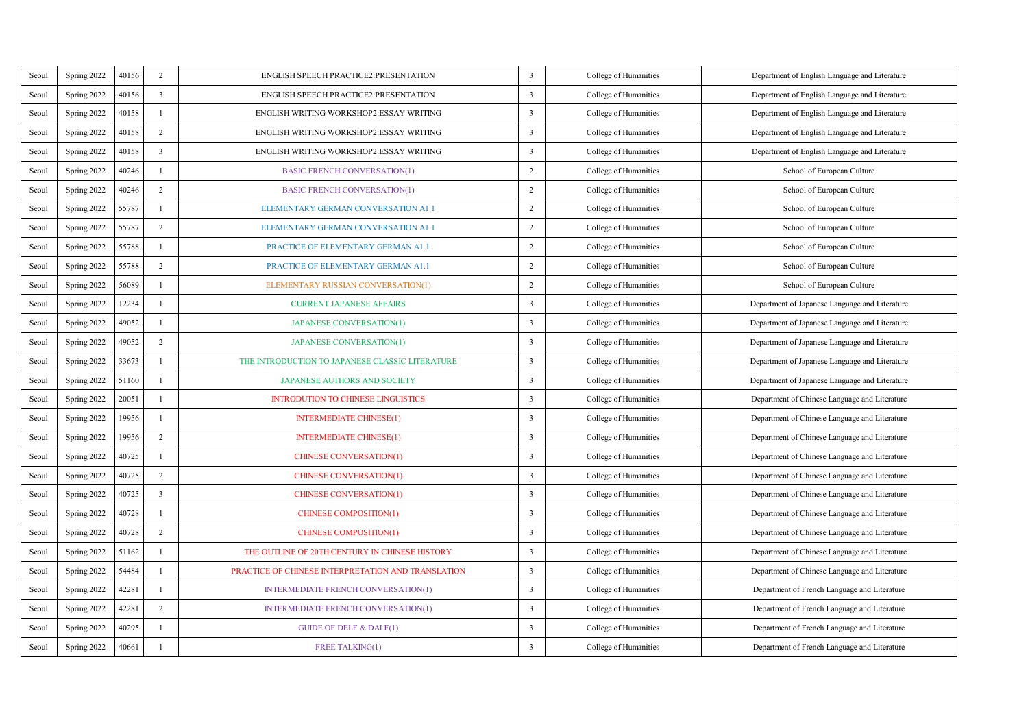| Seoul | Spring 2022 | 40156 | $\overline{2}$ | <b>ENGLISH SPEECH PRACTICE2:PRESENTATION</b>       | 3                       | College of Humanities | Department of English Language and Literature  |
|-------|-------------|-------|----------------|----------------------------------------------------|-------------------------|-----------------------|------------------------------------------------|
| Seoul | Spring 2022 | 40156 | $\overline{3}$ | ENGLISH SPEECH PRACTICE2:PRESENTATION              | 3                       | College of Humanities | Department of English Language and Literature  |
| Seoul | Spring 2022 | 40158 | 1              | ENGLISH WRITING WORKSHOP2:ESSAY WRITING            | 3                       | College of Humanities | Department of English Language and Literature  |
| Scoul | Spring 2022 | 40158 | $\overline{2}$ | ENGLISH WRITING WORKSHOP2:ESSAY WRITING            | 3                       | College of Humanities | Department of English Language and Literature  |
| Scoul | Spring 2022 | 40158 | 3              | ENGLISH WRITING WORKSHOP2:ESSAY WRITING            | 3                       | College of Humanities | Department of English Language and Literature  |
| Seoul | Spring 2022 | 40246 | J.             | <b>BASIC FRENCH CONVERSATION(1)</b>                | $\overline{2}$          | College of Humanities | School of European Culture                     |
| Seoul | Spring 2022 | 40246 | $\overline{2}$ | <b>BASIC FRENCH CONVERSATION(1)</b>                | $\overline{2}$          | College of Humanities | School of European Culture                     |
| Seoul | Spring 2022 | 55787 | J.             | ELEMENTARY GERMAN CONVERSATION ALL                 | $\,$                    | College of Humanities | School of European Culture                     |
| Scoul | Spring 2022 | 55787 | $\overline{2}$ | ELEMENTARY GERMAN CONVERSATION ALL                 | $\overline{2}$          | College of Humanities | School of European Culture                     |
| Seoul | Spring 2022 | 55788 | 1              | PRACTICE OF ELEMENTARY GERMAN AL1                  | $\overline{2}$          | College of Humanities | School of European Culture                     |
| Scoul | Spring 2022 | 55788 | $\bar{z}$      | PRACTICE OF ELEMENTARY GERMAN AL1                  | $\,$                    | College of Humanities | School of European Culture                     |
| Seoul | Spring 2022 | 56089 | J.             | ELEMENTARY RUSSIAN CONVERSATION(1)                 | $\overline{2}$          | College of Humanities | School of European Culture                     |
| Seoul | Spring 2022 | 12234 | 1              | <b>CURRENT JAPANESE AFFAIRS</b>                    | 3                       | College of Humanities | Department of Japanese Language and Literature |
| Scoul | Spring 2022 | 49052 | $\mathbf{I}$   | <b>JAPANESE CONVERSATION(1)</b>                    | 3                       | College of Humanities | Department of Japanese Language and Literature |
| Scoul | Spring 2022 | 49052 | $\overline{2}$ | <b>JAPANESE CONVERSATION(1)</b>                    | 3                       | College of Humanities | Department of Japanese Language and Literature |
| Scoul | Spring 2022 | 33673 | $\mathbf{I}$   | THE INTRODUCTION TO JAPANESE CLASSIC LITERATURE    | 3                       | College of Humanities | Department of Japanese Language and Literature |
| Scoul | Spring 2022 | 51160 | f.             | <b>JAPANESE AUTHORS AND SOCIETY</b>                | 3                       | College of Humanities | Department of Japanese Language and Literature |
| Seoul | Spring 2022 | 20051 | 1              | <b>INTRODUTION TO CHINESE LINGUISTICS</b>          | 3                       | College of Humanities | Department of Chinese Language and Literature  |
| Scoul | Spring 2022 | 19956 | $\mathbf{I}$   | <b>INTERMEDIATE CHINESE(1)</b>                     | $\overline{\mathbf{3}}$ | College of Humanities | Department of Chinese Language and Literature  |
| Seoul | Spring 2022 | 19956 | $\overline{2}$ | <b>INTERMEDIATE CHINESE(1)</b>                     | 3                       | College of Humanities | Department of Chinese Language and Literature  |
| Seoul | Spring 2022 | 40725 | J.             | <b>CHINESE CONVERSATION(1)</b>                     | 3                       | College of Humanities | Department of Chinese Language and Literature  |
| Seoul | Spring 2022 | 40725 | $\overline{2}$ | <b>CHINESE CONVERSATION(1)</b>                     | 3                       | College of Humanities | Department of Chinese Language and Literature  |
| Seoul | Spring 2022 | 40725 | 3              | <b>CHINESE CONVERSATION(1)</b>                     | 3                       | College of Humanities | Department of Chinese Language and Literature  |
| Seoul | Spring 2022 | 40728 | 1              | <b>CHINESE COMPOSITION(1)</b>                      | 3                       | College of Humanities | Department of Chinese Language and Literature  |
| Seoul | Spring 2022 | 40728 | $\overline{2}$ | <b>CHINESE COMPOSITION(1)</b>                      | 3                       | College of Humanities | Department of Chinese Language and Literature  |
| Seoul | Spring 2022 | 51162 | $\mathbf{I}$   | THE OUTLINE OF 20TH CENTURY IN CHINESE HISTORY     | 3                       | College of Humanities | Department of Chinese Language and Literature  |
| Seoul | Spring 2022 | 54484 | J.             | PRACTICE OF CHINESE INTERPRETATION AND TRANSLATION | 3                       | College of Humanities | Department of Chinese Language and Literature  |
| Seoul | Spring 2022 | 42281 | $\mathbf{I}$   | <b>INTERMEDIATE FRENCH CONVERSATION(1)</b>         | 3                       | College of Humanities | Department of French Language and Literature   |
| Seoul | Spring 2022 | 42281 | $\overline{2}$ | INTERMEDIATE FRENCH CONVERSATION(1)                | $\overline{\mathbf{3}}$ | College of Humanities | Department of French Language and Literature   |
| Seoul | Spring 2022 | 40295 | J.             | <b>GUIDE OF DELF &amp; DALF(1)</b>                 | 3                       | College of Humanities | Department of French Language and Literature   |
| Seoul | Spring 2022 | 40661 | J.             | <b>FREE TALKING(1)</b>                             | t                       | College of Humanities | Department of French Language and Literature   |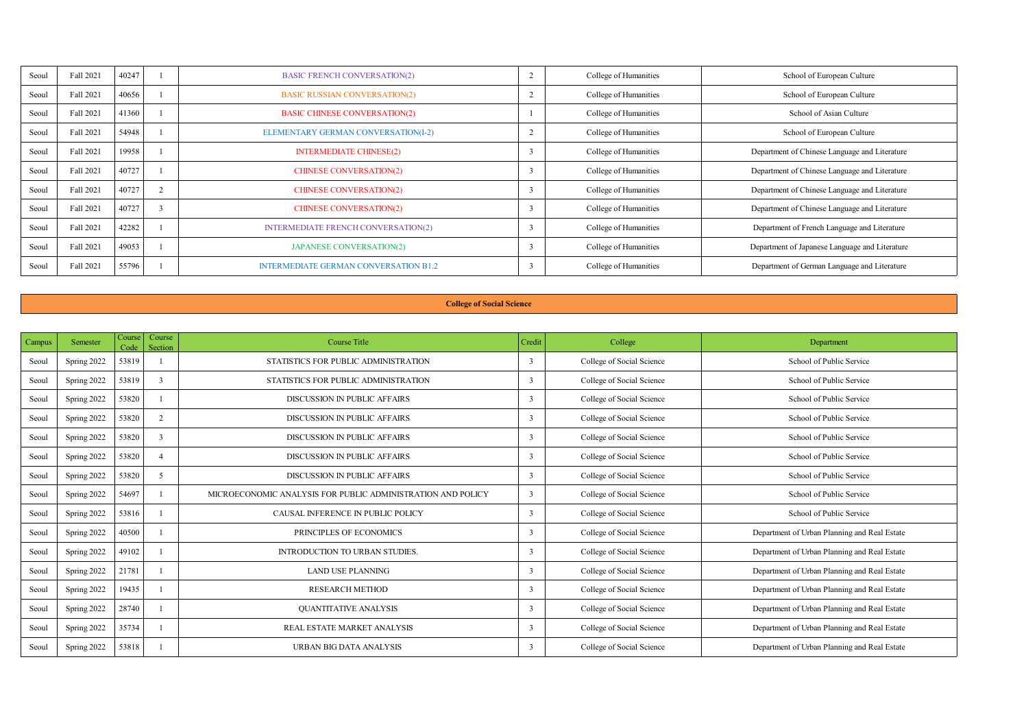| Seoul | Fall 2021 | 40247 | <b>BASIC FRENCH CONVERSATION(2)</b>          | College of Humanities | School of European Culture                     |
|-------|-----------|-------|----------------------------------------------|-----------------------|------------------------------------------------|
| Seoul | Fall 2021 | 40656 | <b>BASIC RUSSIAN CONVERSATION(2)</b>         | College of Humanities | School of European Culture                     |
| Seoul | Fall 2021 | 41360 | <b>BASIC CHINESE CONVERSATION(2)</b>         | College of Humanities | School of Asian Culture                        |
| Seoul | Fall 2021 | 54948 | ELEMENTARY GERMAN CONVERSATION(1-2)          | College of Humanities | School of European Culture                     |
| Seoul | Fall 2021 | 19958 | <b>INTERMEDIATE CHINESE(2)</b>               | College of Humanities | Department of Chinese Language and Literature  |
| Seoul | Fall 2021 | 40727 | <b>CHINESE CONVERSATION(2)</b>               | College of Humanities | Department of Chinese Language and Literature  |
| Seoul | Fall 2021 | 40727 | <b>CHINESE CONVERSATION(2)</b>               | College of Humanities | Department of Chinese Language and Literature  |
| Seoul | Fall 2021 | 40727 | <b>CHINESE CONVERSATION(2)</b>               | College of Humanities | Department of Chinese Language and Literature  |
| Seoul | Fall 2021 | 42282 | <b>INTERMEDIATE FRENCH CONVERSATION(2)</b>   | College of Humanities | Department of French Language and Literature   |
| Seoul | Fall 2021 | 49053 | <b>JAPANESE CONVERSATION(2)</b>              | College of Humanities | Department of Japanese Language and Literature |
| Seoul | Fall 2021 | 55796 | <b>INTERMEDIATE GERMAN CONVERSATION B1.2</b> | College of Humanities | Department of German Language and Literature   |

#### **College of Social Science**

| Campus | Semester    | Course<br>Code | Course<br>Section | Course Title                                                | Credit       | College                   | Department                                   |
|--------|-------------|----------------|-------------------|-------------------------------------------------------------|--------------|---------------------------|----------------------------------------------|
| Seoul  | Spring 2022 | 53819          |                   | STATISTICS FOR PUBLIC ADMINISTRATION                        | ٦            | College of Social Science | School of Public Service                     |
| Seoul  | Spring 2022 | 53819          | ٠                 | STATISTICS FOR PURLIC ADMINISTRATION.                       | ı.           | College of Social Science | School of Public Service                     |
| Seoul  | Spring 2022 | 53820          |                   | DISCUSSION IN PUBLIC AFFAIRS                                | ٦            | College of Social Science | School of Public Service                     |
| Seoul  | Spring 2022 | 53820          | ,                 | DISCUSSION IN PURLIC AFFAIRS                                | ٦            | College of Social Science | School of Public Service                     |
| Seoul  | Spring 2022 | 53820          | $\overline{1}$    | DISCUSSION IN PURLIC AFFAIRS                                | ٦            | College of Social Science | School of Public Service                     |
| Seoul  | Spring 2022 | 53820          |                   | DISCUSSION IN PURLIC AFFAIRS                                | ٦            | College of Social Science | School of Public Service                     |
| Seoul  | Spring 2022 | 53820          | $\epsilon$        | DISCUSSION IN PUBLIC AFFAIRS                                | ٦            | College of Social Science | School of Public Service                     |
| Seoul  | Spring 2022 | 54697          |                   | MICROECONOMIC ANALYSIS FOR PURLIC ADMINISTRATION AND POLICY | $\mathbf{r}$ | College of Social Science | School of Public Service                     |
| Seoul  | Spring 2022 | 53816          |                   | CAUSAL INFERENCE IN PURLIC POLICY.                          | $\mathbf{R}$ | College of Social Science | School of Public Service                     |
| Seoul  | Spring 2022 | 40500          |                   | PRINCIPLES OF ECONOMICS                                     | э            | College of Social Science | Department of Urban Planning and Real Estate |
| Seoul  | Spring 2022 | 49102          |                   | INTRODUCTION TO LIRRAN STUDIES.                             | ٦            | College of Social Science | Department of Urban Planning and Real Estate |
| Seoul  | Spring 2022 | 21781          |                   | <b>LAND USE PLANNING</b>                                    | ٦            | College of Social Science | Department of Urban Planning and Real Estate |
| Seoul  | Spring 2022 | 19435          |                   | <b>RESEARCH METHOD</b>                                      | ٦            | College of Social Science | Department of Urban Planning and Real Estate |
| Seoul  | Spring 2022 | 28740          |                   | OUANTITATIVE ANALYSIS                                       | ٦            | College of Social Science | Department of Urban Planning and Real Estate |
| Seoul  | Spring 2022 | 35734          |                   | REAL ESTATE MARKET ANALYSIS                                 | ٦            | College of Social Science | Department of Urban Planning and Real Estate |
| Seoul  | Spring 2022 | 53818          |                   | URBAN BIG DATA ANALYSIS                                     | ٦            | College of Social Science | Department of Urban Planning and Real Estate |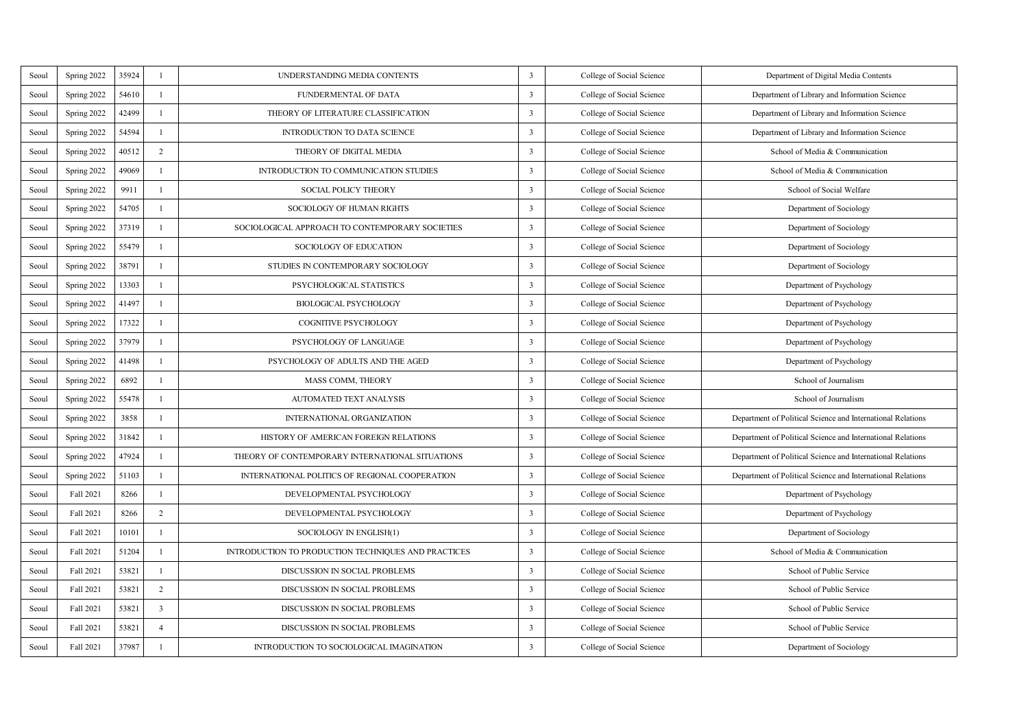| Seoul | Spring 2022 | 35924 | L.             | UNDERSTANDING MEDIA CONTENTS                        | 3                       | College of Social Science | Department of Digital Media Contents                        |
|-------|-------------|-------|----------------|-----------------------------------------------------|-------------------------|---------------------------|-------------------------------------------------------------|
| Scoul | Spring 2022 | 54610 | L.             | FUNDERMENTAL OF DATA                                | 3                       | College of Social Science | Department of Library and Information Science               |
| Scoul | Spring 2022 | 42499 | L.             | THEORY OF LITERATURE CLASSIFICATION                 | 3                       | College of Social Science | Department of Library and Information Science               |
| Scoul | Spring 2022 | 54594 | L.             | INTRODUCTION TO DATA SCIENCE                        | 3                       | College of Social Science | Department of Library and Information Science               |
| Scoul | Spring 2022 | 40512 | $\overline{2}$ | THEORY OF DIGITAL MEDIA                             | 3                       | College of Social Science | School of Media & Communication                             |
| Seoul | Spring 2022 | 49069 | L.             | INTRODUCTION TO COMMUNICATION STUDIES               | 3                       | College of Social Science | School of Media & Communication                             |
| Seoul | Spring 2022 | 9911  | L.             | <b>SOCIAL POLICY THEORY</b>                         | 3                       | College of Social Science | School of Social Welfare                                    |
| Scoul | Spring 2022 | 54705 | L.             | <b>SOCIOLOGY OF HUMAN RIGHTS</b>                    | 3                       | College of Social Science | Department of Sociology                                     |
| Scoul | Spring 2022 | 37319 | L.             | SOCIOLOGICAL APPROACH TO CONTEMPORARY SOCIETIES     | 3                       | College of Social Science | Department of Sociology                                     |
| Seoul | Spring 2022 | 55479 | ×.             | SOCIOLOGY OF EDUCATION                              | 3                       | College of Social Science | Department of Sociology                                     |
| Scoul | Spring 2022 | 38791 | $\mathbf{I}$   | STUDIES IN CONTEMPORARY SOCIOLOGY                   | 3                       | College of Social Science | Department of Sociology                                     |
| Scoul | Spring 2022 | 13303 | $\mathbf{I}$   | PSYCHOLOGICAL STATISTICS                            | $\overline{\mathbf{3}}$ | College of Social Science | Department of Psychology                                    |
| Seoul | Spring 2022 | 41497 | J.             | <b>BIOLOGICAL PSYCHOLOGY</b>                        | 3                       | College of Social Science | Department of Psychology                                    |
| Scoul | Spring 2022 | 17322 | $\mathbf{I}$   | <b>COGNITIVE PSYCHOLOGY</b>                         | 3                       | College of Social Science | Department of Psychology                                    |
| Seoul | Spring 2022 | 37979 | J.             | PSYCHOLOGY OF LANGUAGE                              | 3                       | College of Social Science | Department of Psychology                                    |
| Scoul | Spring 2022 | 41498 | $\mathbf{I}$   | PSYCHOLOGY OF ADULTS AND THE AGED                   | 3                       | College of Social Science | Department of Psychology                                    |
| Scoul | Spring 2022 | 6892  | J.             | <b>MASS COMM. THEORY</b>                            | $\overline{\mathbf{3}}$ | College of Social Science | School of Journalism                                        |
| Scoul | Spring 2022 | 55478 | 1              | AUTOMATED TEXT ANALYSIS                             | 3                       | College of Social Science | School of Journalism                                        |
| Scoul | Spring 2022 | 3858  | $\mathbf{I}$   | INTERNATIONAL ORGANIZATION                          | 3                       | College of Social Science | Department of Political Science and International Relations |
| Seoul | Spring 2022 | 31842 | 1              | HISTORY OF AMERICAN FOREIGN RELATIONS               | 3                       | College of Social Science | Department of Political Science and International Relations |
| Scoul | Spring 2022 | 47924 | L.             | THEORY OF CONTEMPORARY INTERNATIONAL SITUATIONS     | 3                       | College of Social Science | Department of Political Science and International Relations |
| Seoul | Spring 2022 | 51103 | J.             | INTERNATIONAL POLITICS OF REGIONAL COOPERATION      | $\overline{\mathbf{3}}$ | College of Social Science | Department of Political Science and International Relations |
| Scoul | Fall 2021   | 8266  | J.             | DEVELOPMENTAL PSYCHOLOGY                            | 3                       | College of Social Science | Department of Psychology                                    |
| Scoul | Fall 2021   | 8266  | $\bar{z}$      | DEVELOPMENTAL PSYCHOLOGY                            | 3                       | College of Social Science | Department of Psychology                                    |
| Scoul | Fall 2021   | 10101 | J.             | SOCIOLOGY IN ENGLISH(1)                             | 3                       | College of Social Science | Department of Sociology                                     |
| Scoul | Fall 2021   | 51204 | $\mathbf{I}$   | INTRODUCTION TO PRODUCTION TECHNIOUES AND PRACTICES | 3                       | College of Social Science | School of Media & Communication                             |
| Scoul | Fall 2021   | 53821 | $\mathbf{I}$   | DISCUSSION IN SOCIAL PROBLEMS                       | $\overline{\mathbf{3}}$ | College of Social Science | School of Public Service                                    |
| Scoul | Fall 2021   | 53821 | $\overline{2}$ | DISCUSSION IN SOCIAL PROBLEMS                       | 3                       | College of Social Science | School of Public Service                                    |
| Scoul | Fall 2021   | 53821 | $\overline{3}$ | DISCUSSION IN SOCIAL PROBLEMS                       | 3                       | College of Social Science | School of Public Service                                    |
| Seoul | Fall 2021   | 53821 | 4              | DISCUSSION IN SOCIAL PROBLEMS                       | 3                       | College of Social Science | School of Public Service                                    |
| Seoul | Fall 2021   | 37987 | ×.             | INTRODUCTION TO SOCIOLOGICAL IMAGINATION            | 3                       | College of Social Science | Department of Sociology                                     |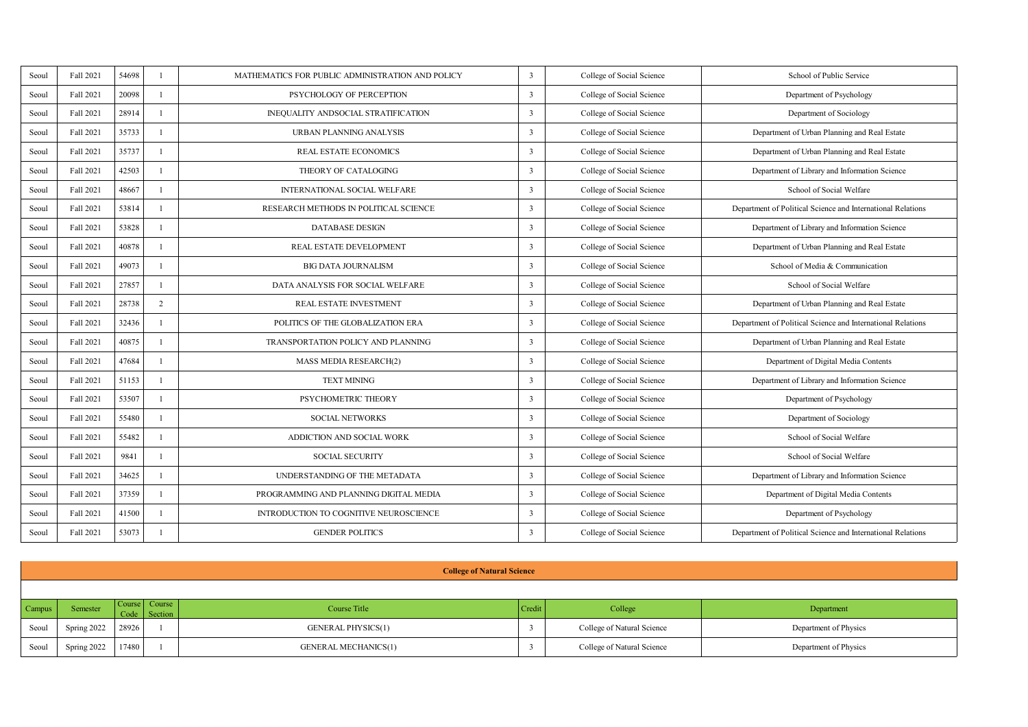| Seoul | Fall 2021 | 54698 |                | MATHEMATICS FOR PUBLIC ADMINISTRATION AND POLICY | 3                       | College of Social Science | School of Public Service                                    |
|-------|-----------|-------|----------------|--------------------------------------------------|-------------------------|---------------------------|-------------------------------------------------------------|
| Seoul | Fall 2021 | 20098 |                | PSYCHOLOGY OF PERCEPTION                         | ٦                       | College of Social Science | Department of Psychology                                    |
| Seoul | Fall 2021 | 28914 |                | INEOUALITY ANDSOCIAL STRATIFICATION              | $\overline{\mathbf{a}}$ | College of Social Science | Department of Sociology                                     |
| Seoul | Fall 2021 | 15711 |                | <b>URBAN PLANNING ANALYSIS</b>                   | ٦                       | College of Social Science | Department of Urban Planning and Real Estate                |
| Seoul | Fall 2021 | 35737 |                | <b>REAL ESTATE ECONOMICS</b>                     | ٦                       | College of Social Science | Department of Urban Planning and Real Estate                |
| Seoul | Fall 2021 | 42503 |                | THEORY OF CATALOGING                             | ٦                       | College of Social Science | Department of Library and Information Science               |
| Seoul | Fall 2021 | 48667 |                | INTERNATIONAL SOCIAL WELFARE                     | ٦                       | College of Social Science | School of Social Welfare                                    |
| Seoul | Fall 2021 | 53814 |                | RESEARCH METHODS IN POLITICAL SCIENCE            | ٦                       | College of Social Science | Department of Political Science and International Relations |
| Seoul | Fall 2021 | 53828 |                | DATARASE DESIGN                                  | ٦                       | College of Social Science | Department of Library and Information Science               |
| Seoul | Fall 2021 | 40878 |                | REAL ESTATE DEVELOPMENT                          | ٦                       | College of Social Science | Department of Urban Planning and Real Estate                |
| Seoul | Fall 2021 | 49073 |                | <b>BIG DATA JOURNALISM</b>                       | $\mathbf{R}$            | College of Social Science | School of Media & Communication                             |
| Seoul | Fall 2021 | 27857 | л              | DATA ANALYSIS FOR SOCIAL WELFARE                 | ٦                       | College of Social Science | School of Social Welfare                                    |
| Seoul | Fall 2021 | 28738 | $\overline{2}$ | REAL ESTATE INVESTMENT                           | 3                       | College of Social Science | Department of Urban Planning and Real Estate                |
| Seoul | Fall 2021 | 32436 | J.             | POLITICS OF THE GLOBALIZATION ERA                | ٦                       | College of Social Science | Department of Political Science and International Relations |
| Seoul | Fall 2021 | 40875 | ٠              | TRANSPORTATION POLICY AND PLANNING               | ٦                       | College of Social Science | Department of Urban Planning and Real Estate                |
| Seoul | Fall 2021 | 47684 | J.             | <b>MASS MEDIA RESEARCH(2)</b>                    | ٦                       | College of Social Science | Department of Digital Media Contents                        |
| Seoul | Fall 2021 | 51153 | J.             | <b>TEXT MINING</b>                               | 3                       | College of Social Science | Department of Library and Information Science               |
| Seoul | Fall 2021 | 53507 | J.             | PSYCHOMETRIC THEORY                              | ٦                       | College of Social Science | Department of Psychology                                    |
| Seoul | Fall 2021 | 55480 | ٠              | <b>SOCIAL NETWORKS</b>                           | ٦                       | College of Social Science | Department of Sociology                                     |
| Seoul | Fall 2021 | 55487 | J.             | ADDICTION AND SOCIAL WORK                        | ٦                       | College of Social Science | School of Social Welfare                                    |
| Seoul | Fall 2021 | 9841  |                | <b>SOCIAL SECURITY</b>                           | ٦                       | College of Social Science | School of Social Welfare                                    |
| Seoul | Fall 2021 | 34625 | ٠              | UNDERSTANDING OF THE METADATA                    | ٦                       | College of Social Science | Department of Library and Information Science               |
| Seoul | Fall 2021 | 37359 |                | PROGRAMMING AND PLANNING DIGITAL MEDIA           | t                       | College of Social Science | Department of Digital Media Contents                        |
| Seoul | Fall 2021 | 41500 | л              | INTRODUCTION TO COGNITIVE NEUROSCIENCE           | ٦                       | College of Social Science | Department of Psychology                                    |
| Seoul | Fall 2021 | 53073 |                | <b>GENDER POLITICS</b>                           | ٦                       | College of Social Science | Department of Political Science and International Relations |

|        | <b>College of Natural Science</b> |       |                               |                             |        |                            |                       |  |  |  |  |
|--------|-----------------------------------|-------|-------------------------------|-----------------------------|--------|----------------------------|-----------------------|--|--|--|--|
|        |                                   |       |                               |                             |        |                            |                       |  |  |  |  |
| Campus | Semester                          |       | Course Course<br>Code Section | Course Title                | Credit | College                    | Department            |  |  |  |  |
| Seoul  | Spring 2022                       | 28926 |                               | <b>GENERAL PHYSICS(1)</b>   |        | College of Natural Science | Department of Physics |  |  |  |  |
| Seoul  | Spring 2022                       | 17480 |                               | <b>GENERAL MECHANICS(1)</b> |        | College of Natural Science | Department of Physics |  |  |  |  |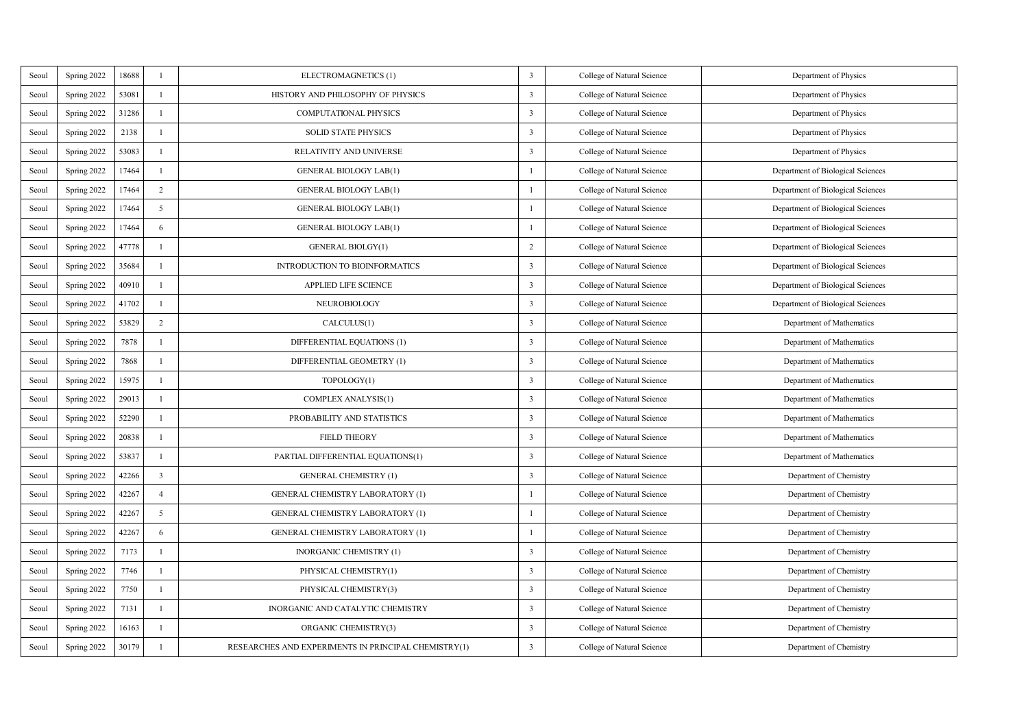| Seoul | Spring 2022 | 18688 | ×              | ELECTROMAGNETICS (1)                                 | 3                       | College of Natural Science | Department of Physics             |
|-------|-------------|-------|----------------|------------------------------------------------------|-------------------------|----------------------------|-----------------------------------|
| Seoul | Spring 2022 | 53081 | L.             | HISTORY AND PHILOSOPHY OF PHYSICS                    | 3                       | College of Natural Science | Department of Physics             |
| Seoul | Spring 2022 | 31286 | J.             | <b>COMPUTATIONAL PHYSICS</b>                         | 3                       | College of Natural Science | Department of Physics             |
| Seoul | Spring 2022 | 2138  | J.             | <b>SOLID STATE PHYSICS</b>                           | 3                       | College of Natural Science | Department of Physics             |
| Seoul | Spring 2022 | 53083 | ×              | RELATIVITY AND UNIVERSE                              | 3                       | College of Natural Science | Department of Physics             |
| Seoul | Spring 2022 | 17464 | ×              | GENERAL BIOLOGY LAB(1)                               | $\mathbf{I}$            | College of Natural Science | Department of Biological Sciences |
| Seoul | Spring 2022 | 17464 | $\overline{2}$ | GENERAL BIOLOGY LAB(1)                               | $\mathbf{I}$            | College of Natural Science | Department of Biological Sciences |
| Seoul | Spring 2022 | 17464 | $\mathfrak{s}$ | GENERAL BIOLOGY LAB(1)                               | $\mathbf{I}$            | College of Natural Science | Department of Biological Sciences |
| Seoul | Spring 2022 | 17464 | 6              | GENERAL BIOLOGY LAB(1)                               | $\mathbf{I}$            | College of Natural Science | Department of Biological Sciences |
| Seoul | Spring 2022 | 47778 | J.             | GENERAL BIOLGY(1)                                    | $\overline{2}$          | College of Natural Science | Department of Biological Sciences |
| Seoul | Spring 2022 | 35684 | L.             | INTRODUCTION TO BIOINFORMATICS                       | 3                       | College of Natural Science | Department of Biological Sciences |
| Seoul | Spring 2022 | 40910 | ×              | <b>APPLIED LIFE SCIENCE</b>                          | 3                       | College of Natural Science | Department of Biological Sciences |
| Seoul | Spring 2022 | 41702 | J.             | <b>NEUROBIOLOGY</b>                                  | 3                       | College of Natural Science | Department of Biological Sciences |
| Seoul | Spring 2022 | 53829 | $\overline{2}$ | CALCULUS(1)                                          | 3                       | College of Natural Science | Department of Mathematics         |
| Seoul | Spring 2022 | 7878  | $\mathbf{I}$   | DIFFERENTIAL EQUATIONS (1)                           | 3                       | College of Natural Science | Department of Mathematics         |
| Seoul | Spring 2022 | 7868  | $\mathbf{I}$   | DIFFERENTIAL GEOMETRY (1)                            | $\overline{\mathbf{3}}$ | College of Natural Science | Department of Mathematics         |
| Seoul | Spring 2022 | 15975 | $\mathbf{I}$   | TOPOLOGY(1)                                          | 3                       | College of Natural Science | Department of Mathematics         |
| Seoul | Spring 2022 | 29013 | $\mathbf{I}$   | COMPLEX ANALYSIS(1)                                  | 3                       | College of Natural Science | Department of Mathematics         |
| Seoul | Spring 2022 | 52290 | $\mathbf{I}$   | PROBABILITY AND STATISTICS                           | 3                       | College of Natural Science | Department of Mathematics         |
| Seoul | Spring 2022 | 20838 | $\mathbf{I}$   | <b>FIELD THEORY</b>                                  | 3                       | College of Natural Science | Department of Mathematics         |
| Seoul | Spring 2022 | 53837 | $\mathbf{I}$   | PARTIAL DIFFERENTIAL EQUATIONS(1)                    | 3                       | College of Natural Science | Department of Mathematics         |
| Seoul | Spring 2022 | 42266 | $\overline{A}$ | <b>GENERAL CHEMISTRY (1)</b>                         | 3                       | College of Natural Science | Department of Chemistry           |
| Seoul | Spring 2022 | 42267 | $\overline{4}$ | GENERAL CHEMISTRY LABORATORY (1)                     | $\mathbf{1}$            | College of Natural Science | Department of Chemistry           |
| Seoul | Spring 2022 | 42267 | 5              | GENERAL CHEMISTRY LABORATORY (1)                     | $\mathbf{1}$            | College of Natural Science | Department of Chemistry           |
| Seoul | Spring 2022 | 42267 | 6              | <b>GENERAL CHEMISTRY LABORATORY (1)</b>              | 1                       | College of Natural Science | Department of Chemistry           |
| Seoul | Spring 2022 | 7173  | $\mathbf{I}$   | INORGANIC CHEMISTRY (1)                              | 3                       | College of Natural Science | Department of Chemistry           |
| Seoul | Spring 2022 | 7746  | $\mathbf{I}$   | PHYSICAL CHEMISTRY(1)                                | 3                       | College of Natural Science | Department of Chemistry           |
| Seoul | Spring 2022 | 7750  | $\mathbf{I}$   | PHYSICAL CHEMISTRY(3)                                | 3                       | College of Natural Science | Department of Chemistry           |
| Seoul | Spring 2022 | 7131  | $\mathbf{I}$   | INORGANIC AND CATALYTIC CHEMISTRY                    | 3                       | College of Natural Science | Department of Chemistry           |
| Seoul | Spring 2022 | 16163 | $\mathbf{I}$   | ORGANIC CHEMISTRY(3)                                 | 3                       | College of Natural Science | Department of Chemistry           |
| Seoul | Spring 2022 | 30179 | $\mathbf{I}$   | RESEARCHES AND EXPERIMENTS IN PRINCIPAL CHEMISTRY(1) | 3                       | College of Natural Science | Department of Chemistry           |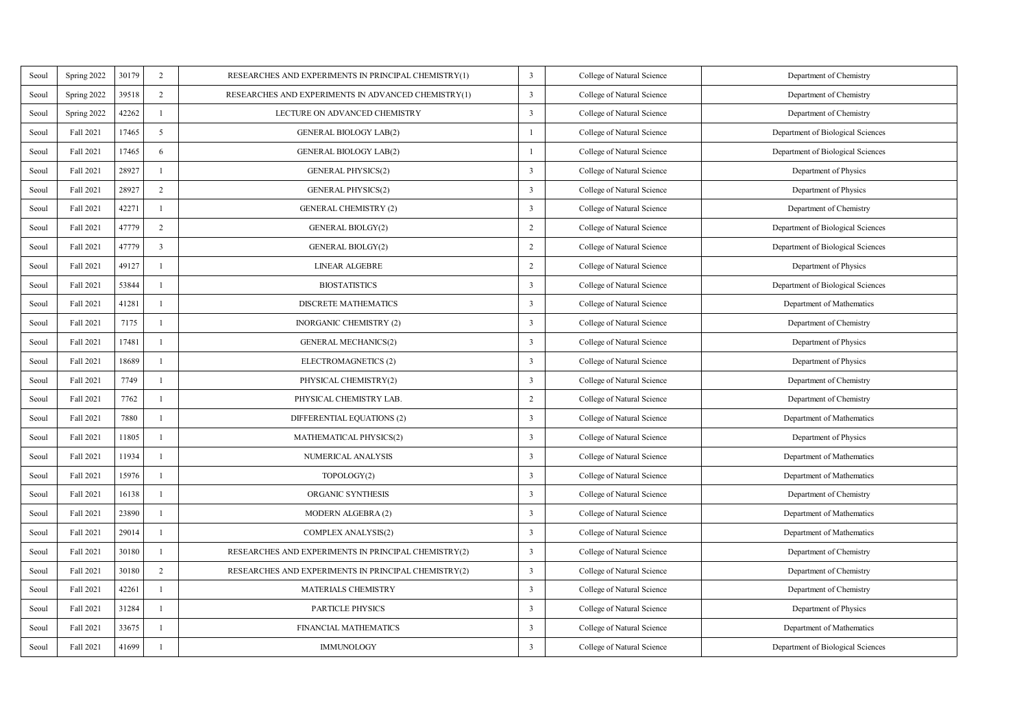| Seoul | Spring 2022 | 30179 | $\overline{2}$          | RESEARCHES AND EXPERIMENTS IN PRINCIPAL CHEMISTRY(1) | 3              | College of Natural Science | Department of Chemistry           |
|-------|-------------|-------|-------------------------|------------------------------------------------------|----------------|----------------------------|-----------------------------------|
| Seoul | Spring 2022 | 39518 | $\overline{2}$          | RESEARCHES AND EXPERIMENTS IN ADVANCED CHEMISTRY(1)  | 3              | College of Natural Science | Department of Chemistry           |
| Seoul | Spring 2022 | 42262 | J.                      | LECTURE ON ADVANCED CHEMISTRY                        | 3              | College of Natural Science | Department of Chemistry           |
| Seoul | Fall 2021   | 17465 | $\mathfrak{s}$          | GENERAL BIOLOGY LAB(2)                               | $\mathbf{I}$   | College of Natural Science | Department of Biological Sciences |
| Seoul | Fall 2021   | 17465 | 6                       | GENERAL BIOLOGY LAB(2)                               | $\mathbf{1}$   | College of Natural Science | Department of Biological Sciences |
| Seoul | Fall 2021   | 28927 | ×                       | <b>GENERAL PHYSICS(2)</b>                            | 3              | College of Natural Science | Department of Physics             |
| Seoul | Fall 2021   | 28927 | $\overline{2}$          | <b>GENERAL PHYSICS(2)</b>                            | 3              | College of Natural Science | Department of Physics             |
| Seoul | Fall 2021   | 42271 | ×                       | <b>GENERAL CHEMISTRY (2)</b>                         | 3              | College of Natural Science | Department of Chemistry           |
| Seoul | Fall 2021   | 47779 | $\overline{2}$          | <b>GENERAL BIOLGY(2)</b>                             | $\overline{2}$ | College of Natural Science | Department of Biological Sciences |
| Seoul | Fall 2021   | 47779 | $\overline{\mathbf{3}}$ | GENERAL BIOLGY(2)                                    | $\,$           | College of Natural Science | Department of Biological Sciences |
| Seoul | Fall 2021   | 49127 | I.                      | <b>LINEAR ALGEBRE</b>                                | $\overline{2}$ | College of Natural Science | Department of Physics             |
| Seoul | Fall 2021   | 53844 | ×                       | <b>BIOSTATISTICS</b>                                 | 3              | College of Natural Science | Department of Biological Sciences |
| Seoul | Fall 2021   | 41281 | ×                       | DISCRETE MATHEMATICS                                 | 3              | College of Natural Science | Department of Mathematics         |
| Seoul | Fall 2021   | 7175  | $\mathbf{I}$            | <b>INORGANIC CHEMISTRY (2)</b>                       | 3              | College of Natural Science | Department of Chemistry           |
| Seoul | Fall 2021   | 17481 | $\mathbf{I}$            | <b>GENERAL MECHANICS(2)</b>                          | 3              | College of Natural Science | Department of Physics             |
| Seoul | Fall 2021   | 18689 | $\mathbf{I}$            | ELECTROMAGNETICS (2)                                 | 3              | College of Natural Science | Department of Physics             |
| Seoul | Fall 2021   | 7749  | $\mathbf{I}$            | PHYSICAL CHEMISTRY(2)                                | 3              | College of Natural Science | Department of Chemistry           |
| Seoul | Fall 2021   | 7762  | $\mathbf{I}$            | PHYSICAL CHEMISTRY LAB.                              | $\,$           | College of Natural Science | Department of Chemistry           |
| Seoul | Fall 2021   | 7880  | $\mathbf{I}$            | DIFFERENTIAL EQUATIONS (2)                           | 3              | College of Natural Science | Department of Mathematics         |
| Seoul | Fall 2021   | 11805 | $\mathbf{I}$            | MATHEMATICAL PHYSICS(2)                              | 3              | College of Natural Science | Department of Physics             |
| Seoul | Fall 2021   | 11934 | $\mathbf{I}$            | NUMERICAL ANALYSIS                                   | 3              | College of Natural Science | Department of Mathematics         |
| Seoul | Fall 2021   | 15976 | $\mathbf{I}$            | TOPOLOGY(2)                                          | 3              | College of Natural Science | Department of Mathematics         |
| Seoul | Fall 2021   | 16138 | $\mathbf{I}$            | ORGANIC SYNTHESIS                                    | 3              | College of Natural Science | Department of Chemistry           |
| Seoul | Fall 2021   | 23890 | $\mathbf{I}$            | MODERN ALGEBRA (2)                                   | 3              | College of Natural Science | Department of Mathematics         |
| Seoul | Fall 2021   | 29014 | $\mathbf{I}$            | COMPLEX ANALYSIS(2)                                  | 3              | College of Natural Science | Department of Mathematics         |
| Seoul | Fall 2021   | 30180 | $\mathbf{I}$            | RESEARCHES AND EXPERIMENTS IN PRINCIPAL CHEMISTRY(2) | 3              | College of Natural Science | Department of Chemistry           |
| Seoul | Fall 2021   | 30180 | $\overline{2}$          | RESEARCHES AND EXPERIMENTS IN PRINCIPAL CHEMISTRY(2) | 3              | College of Natural Science | Department of Chemistry           |
| Seoul | Fall 2021   | 42261 | $\mathbf{I}$            | MATERIALS CHEMISTRY                                  | 3              | College of Natural Science | Department of Chemistry           |
| Seoul | Fall 2021   | 31284 | $\mathbf{I}$            | <b>PARTICLE PHYSICS</b>                              | 3              | College of Natural Science | Department of Physics             |
| Seoul | Fall 2021   | 33675 | $\mathbf{I}$            | <b>FINANCIAL MATHEMATICS</b>                         | 3              | College of Natural Science | Department of Mathematics         |
| Seoul | Fall 2021   | 41699 | $\mathbf{I}$            | <b>IMMUNOLOGY</b>                                    | 3              | College of Natural Science | Department of Biological Sciences |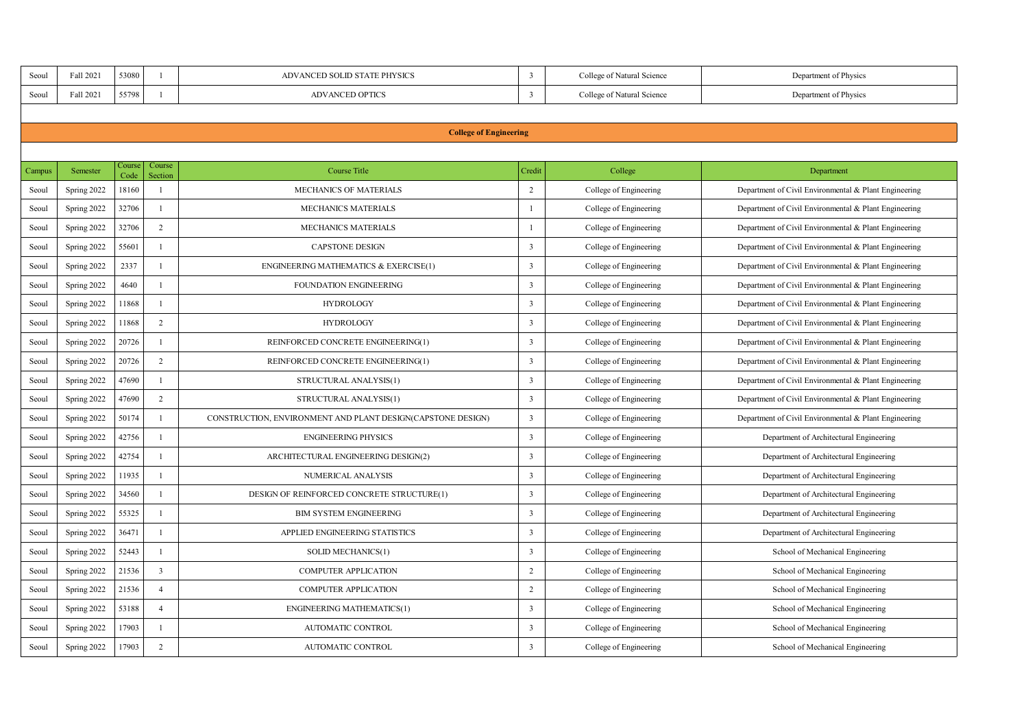| Seoul  | Fall 2021                     | 53080          | ×                       | ADVANCED SOLID STATE PHYSICS                                | 3                       | College of Natural Science | Department of Physics                                 |  |  |  |  |  |
|--------|-------------------------------|----------------|-------------------------|-------------------------------------------------------------|-------------------------|----------------------------|-------------------------------------------------------|--|--|--|--|--|
| Seoul  | Fall 2021                     | 55798          | ×                       | <b>ADVANCED OPTICS</b>                                      | $\overline{\mathbf{3}}$ | College of Natural Science | Department of Physics                                 |  |  |  |  |  |
|        |                               |                |                         |                                                             |                         |                            |                                                       |  |  |  |  |  |
|        | <b>College of Engineering</b> |                |                         |                                                             |                         |                            |                                                       |  |  |  |  |  |
|        |                               |                |                         |                                                             |                         |                            |                                                       |  |  |  |  |  |
| Campus | Semester                      | Course<br>Code | Course<br>Section       | <b>Course Title</b>                                         | Credit                  | College                    | Department                                            |  |  |  |  |  |
| Seoul  | Spring 2022                   | 18160          | J.                      | <b>MECHANICS OF MATERIALS</b>                               | $\overline{2}$          | College of Engineering     | Department of Civil Environmental & Plant Engineering |  |  |  |  |  |
| Seoul  | Spring 2022                   | 32706          | $\mathbf{I}$            | <b>MECHANICS MATERIALS</b>                                  | $\mathbf{I}$            | College of Engineering     | Department of Civil Environmental & Plant Engineering |  |  |  |  |  |
| Seoul  | Spring 2022                   | 32706          | $\overline{2}$          | <b>MECHANICS MATERIALS</b>                                  | $\mathbf{I}$            | College of Engineering     | Department of Civil Environmental & Plant Engineering |  |  |  |  |  |
| Seoul  | Spring 2022                   | 55601          | J.                      | <b>CAPSTONE DESIGN</b>                                      | ٦                       | College of Engineering     | Department of Civil Environmental & Plant Engineering |  |  |  |  |  |
| Seoul  | Spring 2022                   | 2337           | $\mathbf{I}$            | <b>ENGINEERING MATHEMATICS &amp; EXERCISE(1)</b>            | 3                       | College of Engineering     | Department of Civil Environmental & Plant Engineering |  |  |  |  |  |
| Seoul  | Spring 2022                   | 4640           | J.                      | FOUNDATION ENGINEERING                                      | $\overline{\mathbf{3}}$ | College of Engineering     | Department of Civil Environmental & Plant Engineering |  |  |  |  |  |
| Seoul  | Spring 2022                   | 11868          | $\mathbf{I}$            | <b>HYDROLOGY</b>                                            | $\overline{\mathbf{3}}$ | College of Engineering     | Department of Civil Environmental & Plant Engineering |  |  |  |  |  |
| Seoul  | Spring 2022                   | 11868          | $\overline{2}$          | <b>HYDROLOGY</b>                                            | $\overline{\mathbf{3}}$ | College of Engineering     | Department of Civil Environmental & Plant Engineering |  |  |  |  |  |
| Seoul  | Spring 2022                   | 20726          | $\mathbf{I}$            | REINFORCED CONCRETE ENGINEERING(1)                          | $\overline{\mathbf{3}}$ | College of Engineering     | Department of Civil Environmental & Plant Engineering |  |  |  |  |  |
| Seoul  | Spring 2022                   | 20726          | $\overline{a}$          | REINFORCED CONCRETE ENGINEERING(1)                          | $\overline{\mathbf{3}}$ | College of Engineering     | Department of Civil Environmental & Plant Engineering |  |  |  |  |  |
| Seoul  | Spring 2022                   | 47690          | J.                      | STRUCTURAL ANALYSIS(1)                                      | $\overline{\mathbf{3}}$ | College of Engineering     | Department of Civil Environmental & Plant Engineering |  |  |  |  |  |
| Seoul  | Spring 2022                   | 47690          | $\overline{2}$          | STRUCTURAL ANALYSIS(1)                                      | $\overline{\mathbf{3}}$ | College of Engineering     | Department of Civil Environmental & Plant Engineering |  |  |  |  |  |
| Seoul  | Spring 2022                   | 50174          | $\mathbf{I}$            | CONSTRUCTION, ENVIRONMENT AND PLANT DESIGN(CAPSTONE DESIGN) | 3                       | College of Engineering     | Department of Civil Environmental & Plant Engineering |  |  |  |  |  |
| Seoul  | Spring 2022                   | 42756          | $\mathbf{I}$            | <b>ENGINEERING PHYSICS</b>                                  | 3                       | College of Engineering     | Department of Architectural Engineering               |  |  |  |  |  |
| Seoul  | Spring 2022                   | 42754          | $\mathbf{I}$            | ARCHITECTURAL ENGINEERING DESIGN(2)                         | 3                       | College of Engineering     | Department of Architectural Engineering               |  |  |  |  |  |
| Seoul  | Spring 2022                   | 11935          | J.                      | NUMERICAL ANALYSIS                                          | $\overline{\mathbf{3}}$ | College of Engineering     | Department of Architectural Engineering               |  |  |  |  |  |
| Seoul  | Spring 2022                   | 34560          | $\mathbf{I}$            | DESIGN OF REINFORCED CONCRETE STRUCTURE(1)                  | $\overline{\mathbf{3}}$ | College of Engineering     | Department of Architectural Engineering               |  |  |  |  |  |
| Seoul  | Spring 2022                   | 55325          | $\mathbf{I}$            | <b>BIM SYSTEM ENGINEERING</b>                               | 3                       | College of Engineering     | Department of Architectural Engineering               |  |  |  |  |  |
| Seoul  | Spring 2022                   | 36471          | J.                      | APPLIED ENGINEERING STATISTICS                              | 3                       | College of Engineering     | Department of Architectural Engineering               |  |  |  |  |  |
| Seoul  | Spring 2022                   | 52443          | $\mathbf{I}$            | SOLID MECHANICS(1)                                          | 3                       | College of Engineering     | School of Mechanical Engineering                      |  |  |  |  |  |
| Seoul  | Spring 2022                   | 21536          | $\overline{\mathbf{3}}$ | <b>COMPUTER APPLICATION</b>                                 | $\overline{2}$          | College of Engineering     | School of Mechanical Engineering                      |  |  |  |  |  |
| Seoul  | Spring 2022                   | 21536          | $\Delta$                | <b>COMPUTER APPLICATION</b>                                 | $\overline{2}$          | College of Engineering     | School of Mechanical Engineering                      |  |  |  |  |  |
| Seoul  | Spring 2022                   | 53188          | $\ddot{4}$              | <b>ENGINEERING MATHEMATICS(1)</b>                           | $\overline{\mathbf{3}}$ | College of Engineering     | School of Mechanical Engineering                      |  |  |  |  |  |
| Seoul  | Spring 2022                   | 17903          | $\mathbf{I}$            | AUTOMATIC CONTROL                                           | $\overline{\mathbf{3}}$ | College of Engineering     | School of Mechanical Engineering                      |  |  |  |  |  |
| Seoul  | Spring 2022                   | 17903          | $\overline{ }$          | AUTOMATIC CONTROL                                           | ٦                       | College of Engineering     | School of Mechanical Engineering                      |  |  |  |  |  |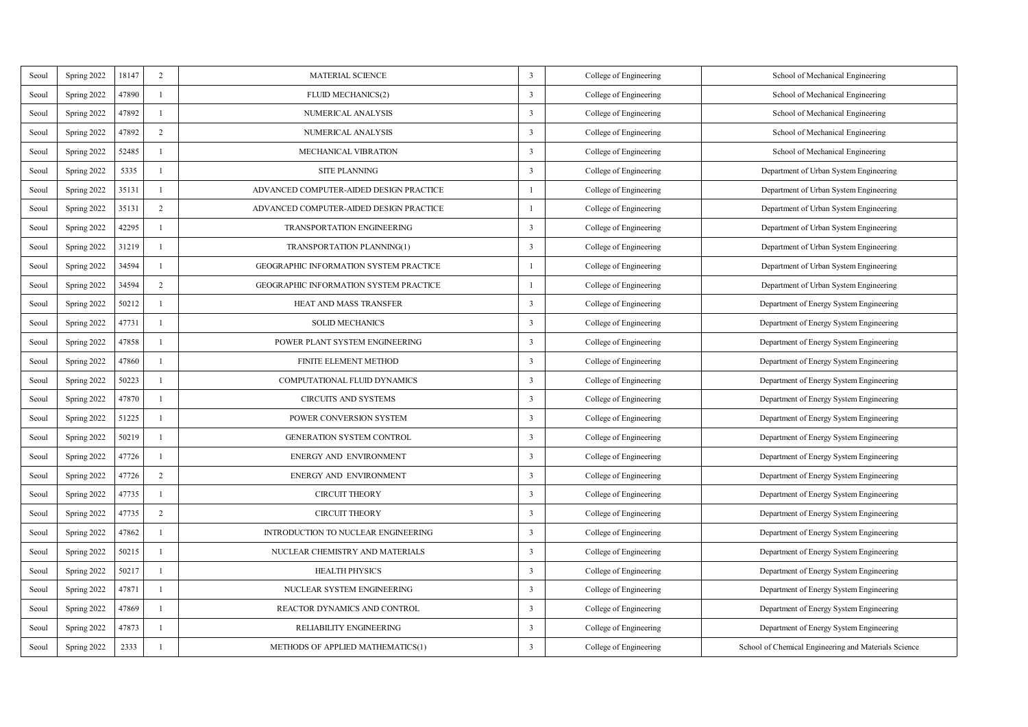| Seoul | Spring 2022 | 18147 | $\overline{2}$ | <b>MATERIAL SCIENCE</b>                       | 3                       | College of Engineering | School of Mechanical Engineering                     |
|-------|-------------|-------|----------------|-----------------------------------------------|-------------------------|------------------------|------------------------------------------------------|
| Seoul | Spring 2022 | 47890 | $\mathbf{I}$   | FLUID MECHANICS(2)                            | 3                       | College of Engineering | School of Mechanical Engineering                     |
| Seoul | Spring 2022 | 47892 | $\mathbf{I}$   | NUMERICAL ANALYSIS                            | 3                       | College of Engineering | School of Mechanical Engineering                     |
| Seoul | Spring 2022 | 47892 | $\overline{2}$ | NUMERICAL ANALYSIS                            | 3                       | College of Engineering | School of Mechanical Engineering                     |
| Seoul | Spring 2022 | 52485 | $\mathbf{I}$   | MECHANICAL VIBRATION                          | 3                       | College of Engineering | School of Mechanical Engineering                     |
| Seoul | Spring 2022 | 5335  | $\mathbf{I}$   | SITE PLANNING                                 | 3                       | College of Engineering | Department of Urban System Engineering               |
| Seoul | Spring 2022 | 35131 | $\mathbf{I}$   | ADVANCED COMPUTER-AIDED DESIGN PRACTICE       | $\mathbf{I}$            | College of Engineering | Department of Urban System Engineering               |
| Seoul | Spring 2022 | 35131 | $\overline{2}$ | ADVANCED COMPUTER-AIDED DESIGN PRACTICE       | $\mathbf{I}$            | College of Engineering | Department of Urban System Engineering               |
| Seoul | Spring 2022 | 42295 | $\mathbf{I}$   | <b>TRANSPORTATION ENGINEERING</b>             | 3                       | College of Engineering | Department of Urban System Engineering               |
| Seoul | Spring 2022 | 31219 | $\mathbf{I}$   | TRANSPORTATION PLANNING(1)                    | 3                       | College of Engineering | Department of Urban System Engineering               |
| Seoul | Spring 2022 | 34594 | $\mathbf{I}$   | <b>GEOGRAPHIC INFORMATION SYSTEM PRACTICE</b> | $\mathbf{I}$            | College of Engineering | Department of Urban System Engineering               |
| Seoul | Spring 2022 | 34594 | $\overline{ }$ | <b>GEOGRAPHIC INFORMATION SYSTEM PRACTICE</b> | $\mathbf{1}$            | College of Engineering | Department of Urban System Engineering               |
| Seoul | Spring 2022 | 50212 | $\mathbf{I}$   | HEAT AND MASS TRANSFER                        | 3                       | College of Engineering | Department of Energy System Engineering              |
| Seoul | Spring 2022 | 47731 | $\mathbf{I}$   | <b>SOLID MECHANICS</b>                        | 3                       | College of Engineering | Department of Energy System Engineering              |
| Seoul | Spring 2022 | 47858 | $\mathbf{I}$   | POWER PLANT SYSTEM ENGINEERING                | 3                       | College of Engineering | Department of Energy System Engineering              |
| Seoul | Spring 2022 | 47860 | $\mathbf{I}$   | <b>FINITE ELEMENT METHOD</b>                  | $\overline{\mathbf{3}}$ | College of Engineering | Department of Energy System Engineering              |
| Seoul | Spring 2022 | 50223 | $\mathbf{I}$   | COMPUTATIONAL FLUID DYNAMICS                  | 3                       | College of Engineering | Department of Energy System Engineering              |
| Seoul | Spring 2022 | 47870 | $\mathbf{I}$   | <b>CIRCUITS AND SYSTEMS</b>                   | 3                       | College of Engineering | Department of Energy System Engineering              |
| Seoul | Spring 2022 | 51225 | $\mathbf{I}$   | POWER CONVERSION SYSTEM                       | 3                       | College of Engineering | Department of Energy System Engineering              |
| Seoul | Spring 2022 | 50219 | $\mathbf{I}$   | <b>GENERATION SYSTEM CONTROL</b>              | 3                       | College of Engineering | Department of Energy System Engineering              |
| Seoul | Spring 2022 | 47726 | $\mathbf{I}$   | <b>ENERGY AND ENVIRONMENT</b>                 | 3                       | College of Engineering | Department of Energy System Engineering              |
| Seoul | Spring 2022 | 47726 | $\overline{2}$ | <b>ENERGY AND ENVIRONMENT</b>                 | 3                       | College of Engineering | Department of Energy System Engineering              |
| Seoul | Spring 2022 | 47735 | $\mathbf{I}$   | <b>CIRCUIT THEORY</b>                         | 3                       | College of Engineering | Department of Energy System Engineering              |
| Seoul | Spring 2022 | 47735 | $\overline{2}$ | <b>CIRCUIT THEORY</b>                         | 3                       | College of Engineering | Department of Energy System Engineering              |
| Seoul | Spring 2022 | 47862 | $\mathbf{I}$   | INTRODUCTION TO NUCLEAR ENGINEERING           | 3                       | College of Engineering | Department of Energy System Engineering              |
| Seoul | Spring 2022 | 50215 | $\mathbf{I}$   | NUCLEAR CHEMISTRY AND MATERIALS               | 3                       | College of Engineering | Department of Energy System Engineering              |
| Seoul | Spring 2022 | 50217 | $\mathbf{I}$   | <b>HEALTH PHYSICS</b>                         | 3                       | College of Engineering | Department of Energy System Engineering              |
| Seoul | Spring 2022 | 47871 | $\mathbf{I}$   | NUCLEAR SYSTEM ENGINEERING                    | 3                       | College of Engineering | Department of Energy System Engineering              |
| Seoul | Spring 2022 | 47869 | $\mathbf{I}$   | REACTOR DYNAMICS AND CONTROL                  | 3                       | College of Engineering | Department of Energy System Engineering              |
| Seoul | Spring 2022 | 47873 | $\mathbf{I}$   | RELIABILITY ENGINEERING                       | 3                       | College of Engineering | Department of Energy System Engineering              |
| Seoul | Spring 2022 | 2333  | $\mathbf{I}$   | METHODS OF APPLIED MATHEMATICS(1)             | 3                       | College of Engineering | School of Chemical Engineering and Materials Science |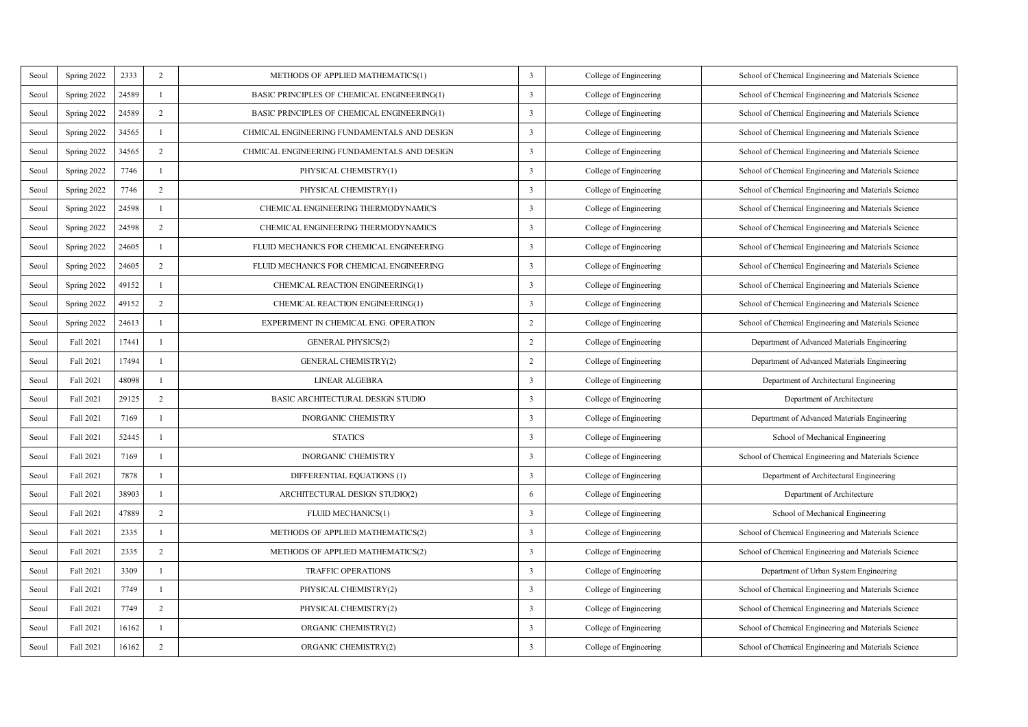| Scoul | Spring 2022 | 2333  | $\,2\,$        | METHODS OF APPLIED MATHEMATICS(1)           | 3                       | College of Engineering | School of Chemical Engineering and Materials Science |
|-------|-------------|-------|----------------|---------------------------------------------|-------------------------|------------------------|------------------------------------------------------|
| Scoul | Spring 2022 | 24589 | $\mathbf{I}$   | BASIC PRINCIPLES OF CHEMICAL ENGINEERING(1) | 3                       | College of Engineering | School of Chemical Engineering and Materials Science |
| Seoul | Spring 2022 | 24589 | $\overline{2}$ | BASIC PRINCIPLES OF CHEMICAL ENGINEERING(1) | 3                       | College of Engineering | School of Chemical Engineering and Materials Science |
| Scoul | Spring 2022 | 34565 | $\mathbf{I}$   | CHMICAL ENGINEERING FUNDAMENTALS AND DESIGN | $\overline{\mathbf{3}}$ | College of Engineering | School of Chemical Engineering and Materials Science |
| Scoul | Spring 2022 | 34565 | $\overline{2}$ | CHMICAL ENGINEERING FUNDAMENTALS AND DESIGN | ٦                       | College of Engineering | School of Chemical Engineering and Materials Science |
| Seoul | Spring 2022 | 7746  | J.             | PHYSICAL CHEMISTRY(1)                       | ٦                       | College of Engineering | School of Chemical Engineering and Materials Science |
| Seoul | Spring 2022 | 7746  | $\overline{2}$ | PHYSICAL CHEMISTRY(1)                       | $\overline{\mathbf{3}}$ | College of Engineering | School of Chemical Engineering and Materials Science |
| Seoul | Spring 2022 | 24598 | J.             | CHEMICAL ENGINEERING THERMODYNAMICS         | 3                       | College of Engineering | School of Chemical Engineering and Materials Science |
| Seoul | Spring 2022 | 24598 | $\overline{2}$ | CHEMICAL ENGINEERING THERMODYNAMICS         | 3                       | College of Engineering | School of Chemical Engineering and Materials Science |
| Seoul | Spring 2022 | 24605 | 1              | FLUID MECHANICS FOR CHEMICAL ENGINEERING    | 3                       | College of Engineering | School of Chemical Engineering and Materials Science |
| Seoul | Spring 2022 | 24605 | $\,2\,$        | FLUID MECHANICS FOR CHEMICAL ENGINEERING    | 3                       | College of Engineering | School of Chemical Engineering and Materials Science |
| Seoul | Spring 2022 | 49152 | J.             | CHEMICAL REACTION ENGINEERING(1)            | 3                       | College of Engineering | School of Chemical Engineering and Materials Science |
| Seoul | Spring 2022 | 49152 | $\overline{2}$ | CHEMICAL REACTION ENGINEERING(1)            | 3                       | College of Engineering | School of Chemical Engineering and Materials Science |
| Seoul | Spring 2022 | 24613 | $\mathbf{I}$   | EXPERIMENT IN CHEMICAL ENG. OPERATION       | $\overline{2}$          | College of Engineering | School of Chemical Engineering and Materials Science |
| Seoul | Fall 2021   | 17441 | J.             | <b>GENERAL PHYSICS(2)</b>                   | $\overline{2}$          | College of Engineering | Department of Advanced Materials Engineering         |
| Seoul | Fall 2021   | 17494 | $\mathbf{I}$   | <b>GENERAL CHEMISTRY(2)</b>                 | $\overline{2}$          | College of Engineering | Department of Advanced Materials Engineering         |
| Seoul | Fall 2021   | 48098 | f.             | LINEAR ALGEBRA                              | ٦                       | College of Engineering | Department of Architectural Engineering              |
| Seoul | Fall 2021   | 29125 | $\overline{2}$ | BASIC ARCHITECTURAL DESIGN STUDIO           | 3                       | College of Engineering | Department of Architecture                           |
| Seoul | Fall 2021   | 7169  | $\mathbf{I}$   | <b>INORGANIC CHEMISTRY</b>                  | $\overline{\mathbf{3}}$ | College of Engineering | Department of Advanced Materials Engineering         |
| Seoul | Fall 2021   | 52445 | J.             | <b>STATICS</b>                              | ٦                       | College of Engineering | School of Mechanical Engineering                     |
| Seoul | Fall 2021   | 7169  | J.             | <b>INORGANIC CHEMISTRY</b>                  | ٦                       | College of Engineering | School of Chemical Engineering and Materials Science |
| Seoul | Fall 2021   | 7878  | T.             | DIFFERENTIAL EQUATIONS (1)                  | ٦                       | College of Engineering | Department of Architectural Engineering              |
| Seoul | Fall 2021   | 38903 | 1              | ARCHITECTURAL DESKIN STUDIO(2)              | 6                       | College of Engineering | Department of Architecture                           |
| Seoul | Fall 2021   | 47889 | $\overline{2}$ | FLUID MECHANICS(1)                          | $\overline{\mathbf{3}}$ | College of Engineering | School of Mechanical Engineering                     |
| Seoul | Fall 2021   | 2335  | 1              | METHODS OF APPLIED MATHEMATICS(2)           | 3                       | College of Engineering | School of Chemical Engineering and Materials Science |
| Scoul | Fall 2021   | 2335  | $\overline{2}$ | METHODS OF APPLIED MATHEMATICS(2)           | 3                       | College of Engineering | School of Chemical Engineering and Materials Science |
| Scoul | Fall 2021   | 3309  | J.             | <b>TRAFFIC OPERATIONS</b>                   | ٦                       | College of Engineering | Department of Urban System Engineering               |
| Scoul | Fall 2021   | 7749  | $\mathbf{I}$   | PHYSICAL CHEMISTRY(2)                       | 3                       | College of Engineering | School of Chemical Engineering and Materials Science |
| Seoul | Fall 2021   | 7749  | $\overline{2}$ | PHYSICAL CHEMISTRY(2)                       | $\overline{\mathbf{3}}$ | College of Engineering | School of Chemical Engineering and Materials Science |
| Scoul | Fall 2021   | 16162 | J.             | ORGANIC CHEMISTRY(2)                        | ٦                       | College of Engineering | School of Chemical Engineering and Materials Science |
| Scoul | Fall 2021   | 16162 | $\overline{2}$ | ORGANIC CHEMISTRY(2)                        | ٦                       | College of Engineering | School of Chemical Engineering and Materials Science |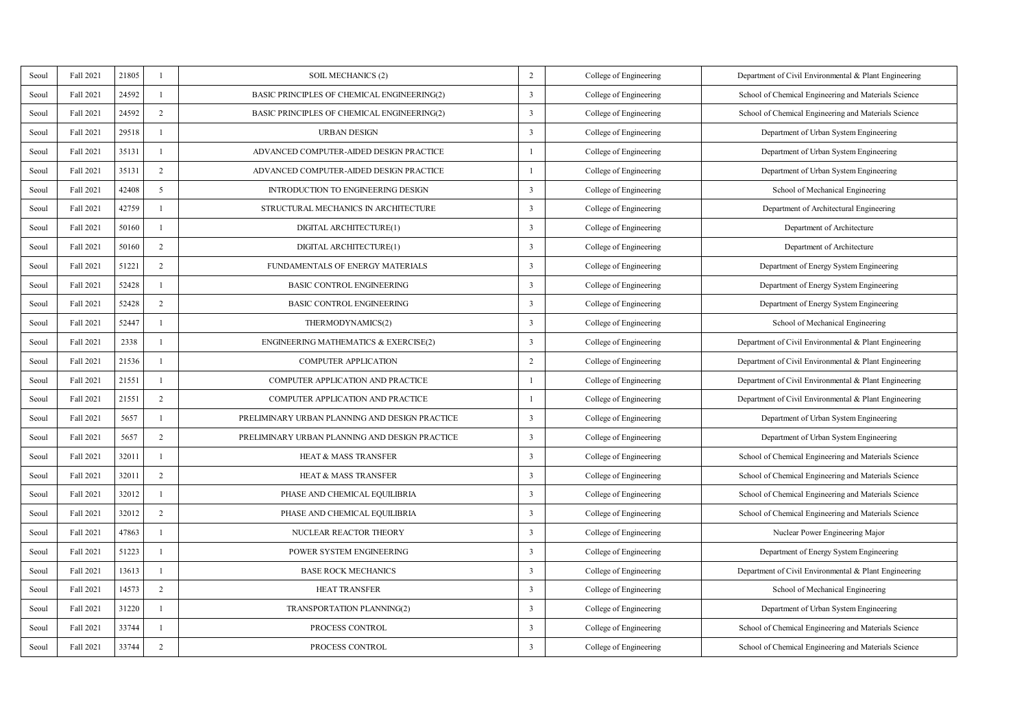| Scoul | Fall 2021 | 21805 | ×              | SOIL MECHANICS (2)                               | $\overline{2}$          | College of Engineering | Department of Civil Environmental & Plant Engineering |
|-------|-----------|-------|----------------|--------------------------------------------------|-------------------------|------------------------|-------------------------------------------------------|
| Scoul | Fall 2021 | 24592 | L.             | BASIC PRINCIPLES OF CHEMICAL ENGINEERING(2)      | 3                       | College of Engineering | School of Chemical Engineering and Materials Science  |
| Seoul | Fall 2021 | 24592 | $\overline{2}$ | BASIC PRINCIPLES OF CHEMICAL ENGINEERING(2)      | 3                       | College of Engineering | School of Chemical Engineering and Materials Science  |
| Scoul | Fall 2021 | 29518 | L.             | <b>URBAN DESIGN</b>                              | 3                       | College of Engineering | Department of Urban System Engineering                |
| Scoul | Fall 2021 | 35131 | ×.             | ADVANCED COMPUTER-AIDED DESIGN PRACTICE          | 1                       | College of Engineering | Department of Urban System Engineering                |
| Scoul | Fall 2021 | 35131 | $\overline{2}$ | ADVANCED COMPUTER-AIDED DESIGN PRACTICE          | 1                       | College of Engineering | Department of Urban System Engineering                |
| Scoul | Fall 2021 | 42408 | 5              | INTRODUCTION TO ENGINEERING DESIGN               | $\overline{\mathbf{3}}$ | College of Engineering | School of Mechanical Engineering                      |
| Seoul | Fall 2021 | 42759 | ×              | STRUCTURAL MECHANICS IN ARCHITECTURE             | 3                       | College of Engineering | Department of Architectural Engineering               |
| Scoul | Fall 2021 | 50160 | L.             | DIGITAL ARCHITECTURE(1)                          | 3                       | College of Engineering | Department of Architecture                            |
| Seoul | Fall 2021 | 50160 | $\overline{2}$ | DIGITAL ARCHITECTURE(1)                          | 3                       | College of Engineering | Department of Architecture                            |
| Scoul | Fall 2021 | 51221 | $\,$           | FUNDAMENTALS OF ENERGY MATERIALS                 | 3                       | College of Engineering | Department of Energy System Engineering               |
| Scoul | Fall 2021 | 52428 | J.             | <b>BASIC CONTROL ENGINEERING</b>                 | 3                       | College of Engineering | Department of Energy System Engineering               |
| Seoul | Fall 2021 | 52428 | $\overline{2}$ | <b>BASIC CONTROL ENGINEERING</b>                 | 3                       | College of Engineering | Department of Energy System Engineering               |
| Scoul | Fall 2021 | 52447 | $\mathbf{I}$   | THERMODYNAMICS(2)                                | 3                       | College of Engineering | School of Mechanical Engineering                      |
| Scoul | Fall 2021 | 2338  | J.             | <b>ENGINEERING MATHEMATICS &amp; EXERCISE(2)</b> | 3                       | College of Engineering | Department of Civil Environmental & Plant Engineering |
| Scoul | Fall 2021 | 21536 | $\mathbf{I}$   | <b>COMPUTER APPLICATION</b>                      | $\,$                    | College of Engineering | Department of Civil Environmental & Plant Engineering |
| Scoul | Fall 2021 | 21551 | f.             | COMPUTER APPLICATION AND PRACTICE                | $\mathbf{I}$            | College of Engineering | Department of Civil Environmental & Plant Engineering |
| Seoul | Fall 2021 | 21551 | $\overline{2}$ | COMPUTER APPLICATION AND PRACTICE                | $\mathbf{I}$            | College of Engineering | Department of Civil Environmental & Plant Engineering |
| Scoul | Fall 2021 | 5657  | $\mathbf{I}$   | PRELIMINARY URBAN PLANNING AND DESIGN PRACTICE   | $\overline{\mathbf{3}}$ | College of Engineering | Department of Urban System Engineering                |
| Seoul | Fall 2021 | 5657  | $\overline{2}$ | PRELIMINARY URBAN PLANNING AND DESIGN PRACTICE   | 3                       | College of Engineering | Department of Urban System Engineering                |
| Scoul | Fall 2021 | 32011 | J.             | HEAT & MASS TRANSFER                             | 3                       | College of Engineering | School of Chemical Engineering and Materials Science  |
| Scoul | Fall 2021 | 32011 | $\overline{2}$ | HEAT & MASS TRANSFER                             | 3                       | College of Engineering | School of Chemical Engineering and Materials Science  |
| Seoul | Fall 2021 | 32012 | 1              | PHASE AND CHEMICAL EQUILIBRIA                    | 3                       | College of Engineering | School of Chemical Engineering and Materials Science  |
| Seoul | Fall 2021 | 32012 | $\overline{2}$ | PHASE AND CHEMICAL EQUILIBRIA                    | $\overline{\mathbf{3}}$ | College of Engineering | School of Chemical Engineering and Materials Science  |
| Seoul | Fall 2021 | 47863 | 1              | NUCLEAR REACTOR THEORY                           | 3                       | College of Engineering | Nuclear Power Engineering Major                       |
| Seoul | Fall 2021 | 51223 | $\mathbf{I}$   | POWER SYSTEM ENGINEERING                         | 3                       | College of Engineering | Department of Energy System Engineering               |
| Scoul | Fall 2021 | 13613 | J.             | <b>BASE ROCK MECHANICS</b>                       | 3                       | College of Engineering | Department of Civil Environmental & Plant Engineering |
| Scoul | Fall 2021 | 14573 | $\overline{2}$ | HEAT TRANSFER                                    | 3                       | College of Engineering | School of Mechanical Engineering                      |
| Scoul | Fall 2021 | 31220 | $\mathbf{I}$   | TRANSPORTATION PLANNING(2)                       | $\overline{\mathbf{3}}$ | College of Engineering | Department of Urban System Engineering                |
| Scoul | Fall 2021 | 33744 | J.             | <b>PROCESS CONTROL</b>                           | 3                       | College of Engineering | School of Chemical Engineering and Materials Science  |
| Scoul | Fall 2021 | 33744 | $\overline{2}$ | <b>PROCESS CONTROL</b>                           | t                       | College of Engineering | School of Chemical Engineering and Materials Science  |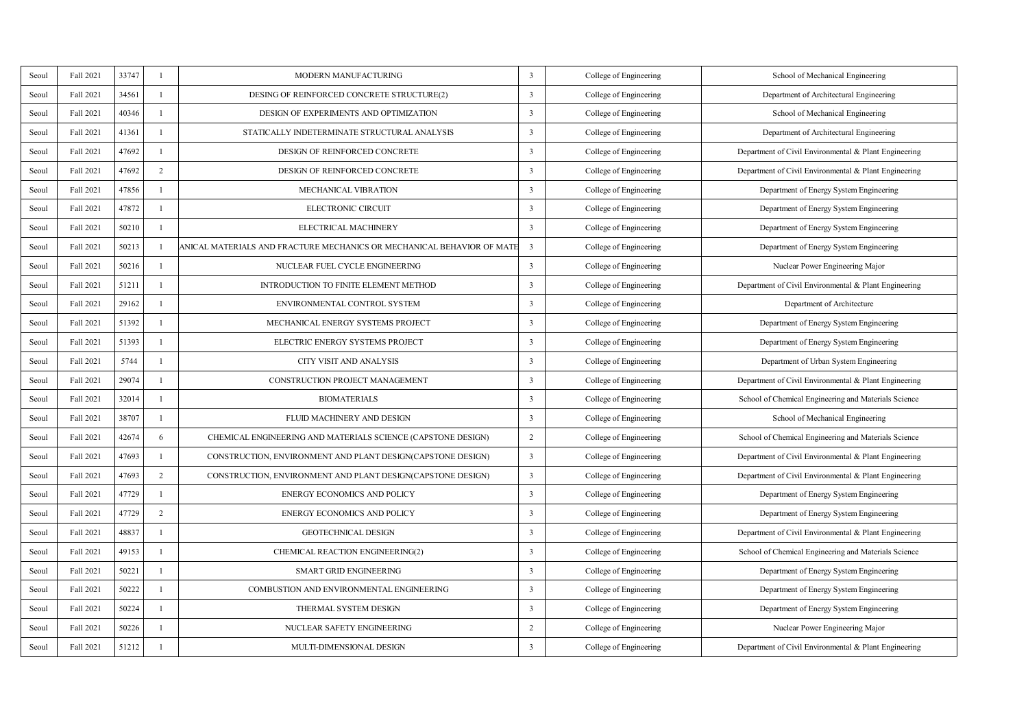| Scoul | Fall 2021 | 33747 | ×              | MODERN MANUFACTURING                                                   | 3                       | College of Engineering | School of Mechanical Engineering                      |
|-------|-----------|-------|----------------|------------------------------------------------------------------------|-------------------------|------------------------|-------------------------------------------------------|
| Scoul | Fall 2021 | 34561 | L.             | DESING OF REINFORCED CONCRETE STRUCTURE(2)                             | $\overline{\mathbf{3}}$ | College of Engineering | Department of Architectural Engineering               |
| Scoul | Fall 2021 | 40346 | L.             | DESIGN OF EXPERIMENTS AND OPTIMIZATION                                 | 3                       | College of Engineering | School of Mechanical Engineering                      |
| Seoul | Fall 2021 | 41361 | L.             | STATICALLY INDETERMINATE STRUCTURAL ANALYSIS                           | 3                       | College of Engineering | Department of Architectural Engineering               |
| Seoul | Fall 2021 | 47692 | ×.             | DESIGN OF REINFORCED CONCRETE                                          | 3                       | College of Engineering | Department of Civil Environmental & Plant Engineering |
| Seoul | Fall 2021 | 47692 | $\overline{2}$ | DESIGN OF REINFORCED CONCRETE                                          | 3                       | College of Engineering | Department of Civil Environmental & Plant Engineering |
| Seoul | Fall 2021 | 47856 | L.             | MECHANICAL VIBRATION                                                   | $\overline{\mathbf{3}}$ | College of Engineering | Department of Energy System Engineering               |
| Seoul | Fall 2021 | 47872 | L.             | ELECTRONIC CIRCUIT                                                     | 3                       | College of Engineering | Department of Energy System Engineering               |
| Seoul | Fall 2021 | 50210 | L.             | ELECTRICAL MACHINERY                                                   | 3                       | College of Engineering | Department of Energy System Engineering               |
| Seoul | Fall 2021 | 50213 | ×.             | ANICAL MATERIALS AND FRACTURE MECHANICS OR MECHANICAL BEHAVIOR OF MATI | $\overline{\mathbf{3}}$ | College of Engineering | Department of Energy System Engineering               |
| Seoul | Fall 2021 | 50216 | L.             | NUCLEAR FUEL CYCLE ENGINEERING                                         | 3                       | College of Engineering | Nuclear Power Engineering Major                       |
| Seoul | Fall 2021 | 51211 | L.             | INTRODUCTION TO FINITE ELEMENT METHOD                                  | $\overline{\mathbf{3}}$ | College of Engineering | Department of Civil Environmental & Plant Engineering |
| Seoul | Fall 2021 | 29162 | L.             | ENVIRONMENTAL CONTROL SYSTEM                                           | 3                       | College of Engineering | Department of Architecture                            |
| Seoul | Fall 2021 | 51392 | L.             | MECHANICAL ENERGY SYSTEMS PROJECT                                      | 3                       | College of Engineering | Department of Energy System Engineering               |
| Seoul | Fall 2021 | 51393 | L.             | <b>ELECTRIC ENERGY SYSTEMS PROJECT</b>                                 | 3                       | College of Engineering | Department of Energy System Engineering               |
| Seoul | Fall 2021 | 5744  | L.             | CITY VISIT AND ANALYSIS                                                | $\overline{\mathbf{3}}$ | College of Engineering | Department of Urban System Engineering                |
| Seoul | Fall 2021 | 29074 | ×.             | CONSTRUCTION PROJECT MANAGEMENT                                        | 3                       | College of Engineering | Department of Civil Environmental & Plant Engineering |
| Seoul | Fall 2021 | 32014 | L.             | <b>BIOMATERIALS</b>                                                    | 3                       | College of Engineering | School of Chemical Engineering and Materials Science  |
| Seoul | Fall 2021 | 38707 | L.             | FLUID MACHINERY AND DESIGN                                             | $\overline{\mathbf{3}}$ | College of Engineering | School of Mechanical Engineering                      |
| Seoul | Fall 2021 | 42674 | 6              | CHEMICAL ENGINEERING AND MATERIALS SCIENCE (CAPSTONE DESIGN)           | $\overline{2}$          | College of Engineering | School of Chemical Engineering and Materials Science  |
| Scoul | Fall 2021 | 47693 | L.             | CONSTRUCTION, ENVIRONMENT AND PLANT DESIGN(CAPSTONE DESIGN)            | $\overline{\mathbf{3}}$ | College of Engineering | Department of Civil Environmental & Plant Engineering |
| Seoul | Fall 2021 | 47693 | $\overline{2}$ | CONSTRUCTION, ENVIRONMENT AND PLANT DESIGN(CAPSTONE DESIGN)            | $\overline{\mathbf{3}}$ | College of Engineering | Department of Civil Environmental & Plant Engineering |
| Scoul | Fall 2021 | 47729 | L.             | <b>ENERGY ECONOMICS AND POLICY</b>                                     | 3                       | College of Engineering | Department of Energy System Engineering               |
| Seoul | Fall 2021 | 47729 | $\mathbf 2$    | <b>ENERGY ECONOMICS AND POLICY</b>                                     | 3                       | College of Engineering | Department of Energy System Engineering               |
| Seoul | Fall 2021 | 48837 | L.             | <b>GEOTECHNICAL DESIGN</b>                                             | 3                       | College of Engineering | Department of Civil Environmental & Plant Engineering |
| Scoul | Fall 2021 | 49153 | L.             | CHEMICAL REACTION ENGINEERING(2)                                       | 3                       | College of Engineering | School of Chemical Engineering and Materials Science  |
| Scoul | Fall 2021 | 50221 | L.             | <b>SMART GRID ENGINEERING</b>                                          | $\overline{\mathbf{3}}$ | College of Engineering | Department of Energy System Engineering               |
| Seoul | Fall 2021 | 50222 | I.             | COMBUSTION AND ENVIRONMENTAL ENGINEERING                               | 3                       | College of Engineering | Department of Energy System Engineering               |
| Scoul | Fall 2021 | 50224 | L.             | THERMAL SYSTEM DESIGN                                                  | 3                       | College of Engineering | Department of Energy System Engineering               |
| Seoul | Fall 2021 | 50226 | L.             | NUCLEAR SAFETY ENGINEERING                                             | $\overline{2}$          | College of Engineering | Nuclear Power Engineering Major                       |
| Scoul | Fall 2021 | 51212 | ×.             | MULTI-DIMENSIONAL DESIGN                                               | t                       | College of Engineering | Department of Civil Environmental & Plant Engineering |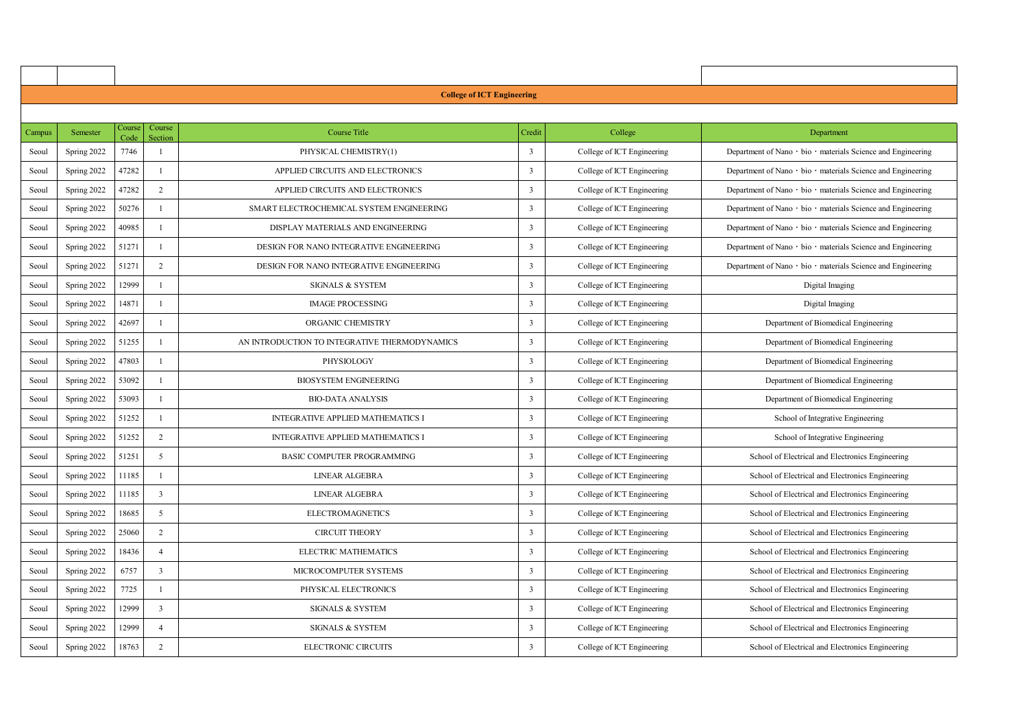|        |             |        |                         | <b>College of ICT Engineering</b>             |                         |                            |                                                              |
|--------|-------------|--------|-------------------------|-----------------------------------------------|-------------------------|----------------------------|--------------------------------------------------------------|
|        |             |        |                         |                                               |                         |                            |                                                              |
| Campus | Semester    | Course | Course<br>Section       | <b>Course Title</b>                           | Credit                  | College                    | Department                                                   |
| Seoul  | Spring 2022 | 7746   | $\mathbf{I}$            | PHYSICAL CHEMISTRY(1)                         | $\overline{\mathbf{3}}$ | College of ICT Engineering | Department of Nano - bio - materials Science and Engineering |
| Seoul  | Spring 2022 | 47282  | $\mathbf{I}$            | APPLIED CIRCUITS AND ELECTRONICS              | 3                       | College of ICT Engineering | Department of Nano - bio - materials Science and Engineering |
| Seoul  | Spring 2022 | 47282  | $\overline{a}$          | APPLIED CIRCUITS AND ELECTRONICS              | 3                       | College of ICT Engineering | Department of Nano - bio - materials Science and Engineering |
| Seoul  | Spring 2022 | 50276  | J.                      | SMART ELECTROCHEMICAL SYSTEM ENGINEERING      | 3                       | College of ICT Engineering | Department of Nano - bio - materials Science and Engineering |
| Seoul  | Spring 2022 | 40985  | J.                      | DISPLAY MATERIALS AND ENGINEERING             | $\overline{\mathbf{3}}$ | College of ICT Engineering | Department of Nano - bio - materials Science and Engineering |
| Seoul  | Spring 2022 | 51271  | $\mathbf{I}$            | DESIGN FOR NANO INTEGRATIVE ENGINEERING       | $\overline{\mathbf{3}}$ | College of ICT Engineering | Department of Nano - bio - materials Science and Engineering |
| Seoul  | Spring 2022 | 51271  | $\overline{2}$          | DESIGN FOR NANO INTEGRATIVE ENGINEERING       | 3                       | College of ICT Engineering | Department of Nano - bio - materials Science and Engineering |
| Seoul  | Spring 2022 | 12999  | $\mathbf{I}$            | <b>SIGNALS &amp; SYSTEM</b>                   | $\overline{\mathbf{3}}$ | College of ICT Engineering | Digital Imaging                                              |
| Seoul  | Spring 2022 | 14871  | $\mathbf{I}$            | <b>IMAGE PROCESSING</b>                       | 3                       | College of ICT Engineering | Digital Imaging                                              |
| Seoul  | Spring 2022 | 42697  | J.                      | ORGANIC CHEMISTRY                             | 3                       | College of ICT Engineering | Department of Biomedical Engineering                         |
| Seoul  | Spring 2022 | 51255  | $\mathbf{I}$            | AN INTRODUCTION TO INTEGRATIVE THERMODYNAMICS | $\overline{\mathbf{3}}$ | College of ICT Engineering | Department of Biomedical Engineering                         |
| Seoul  | Spring 2022 | 47803  | $\mathbf{I}$            | PHYSIOLOGY                                    | $\overline{\mathbf{3}}$ | College of ICT Engineering | Department of Biomedical Engineering                         |
| Seoul  | Spring 2022 | 53092  | $\mathbf{I}$            | <b>BIOSYSTEM ENGINEERING</b>                  | $\overline{\mathbf{3}}$ | College of ICT Engineering | Department of Biomedical Engineering                         |
| Seoul  | Spring 2022 | 53093  | $\mathbf{I}$            | <b>BIO-DATA ANALYSIS</b>                      | 3                       | College of ICT Engineering | Department of Biomedical Engineering                         |
| Seoul  | Spring 2022 | 51252  | $\mathbf{I}$            | INTEGRATIVE APPLIED MATHEMATICS I             | $\overline{\mathbf{3}}$ | College of ICT Engineering | School of Integrative Engineering                            |
| Seoul  | Spring 2022 | 51252  | $\overline{2}$          | INTEGRATIVE APPLIED MATHEMATICS I             | $\overline{\mathbf{3}}$ | College of ICT Engineering | School of Integrative Engineering                            |
| Seoul  | Spring 2022 | 51251  | 5                       | <b>BASIC COMPUTER PROGRAMMING</b>             | $\overline{\mathbf{3}}$ | College of ICT Engineering | School of Electrical and Electronics Engineering             |
| Seoul  | Spring 2022 | 11185  | J.                      | LINEAR ALGEBRA                                | 3                       | College of ICT Engineering | School of Electrical and Electronics Engineering             |
| Seoul  | Spring 2022 | 11185  | $\overline{\mathbf{3}}$ | LINEAR ALGEBRA                                | 3                       | College of ICT Engineering | School of Electrical and Electronics Engineering             |
| Seoul  | Spring 2022 | 18685  | ×                       | <b>ELECTROMAGNETICS</b>                       | 3                       | College of ICT Engineering | School of Electrical and Electronics Engineering             |
| Seoul  | Spring 2022 | 25060  | $\overline{2}$          | <b>CIRCUIT THEORY</b>                         | 3                       | College of ICT Engineering | School of Electrical and Electronics Engineering             |
| Seoul  | Spring 2022 | 18436  | 4                       | ELECTRIC MATHEMATICS                          | 3                       | College of ICT Engineering | School of Electrical and Electronics Engineering             |
| Seoul  | Spring 2022 | 6757   | $\overline{\mathbf{3}}$ | <b>MICROCOMPUTER SYSTEMS</b>                  | 3                       | College of ICT Engineering | School of Electrical and Electronics Engineering             |
| Seoul  | Spring 2022 | 7725   | 1                       | PHYSICAL ELECTRONICS                          | 3                       | College of ICT Engineering | School of Electrical and Electronics Engineering             |
| Seoul  | Spring 2022 | 12999  | $\overline{\mathbf{3}}$ | <b>SIGNALS &amp; SYSTEM</b>                   | $\overline{\mathbf{3}}$ | College of ICT Engineering | School of Electrical and Electronics Engineering             |
| Seoul  | Spring 2022 | 12999  | $\ddot{4}$              | <b>SIGNALS &amp; SYSTEM</b>                   | 3                       | College of ICT Engineering | School of Electrical and Electronics Engineering             |
| Seoul  | Spring 2022 | 18763  | $\overline{ }$          | ELECTRONIC CIRCUITS                           | ٦                       | College of ICT Engineering | School of Electrical and Electronics Engineering             |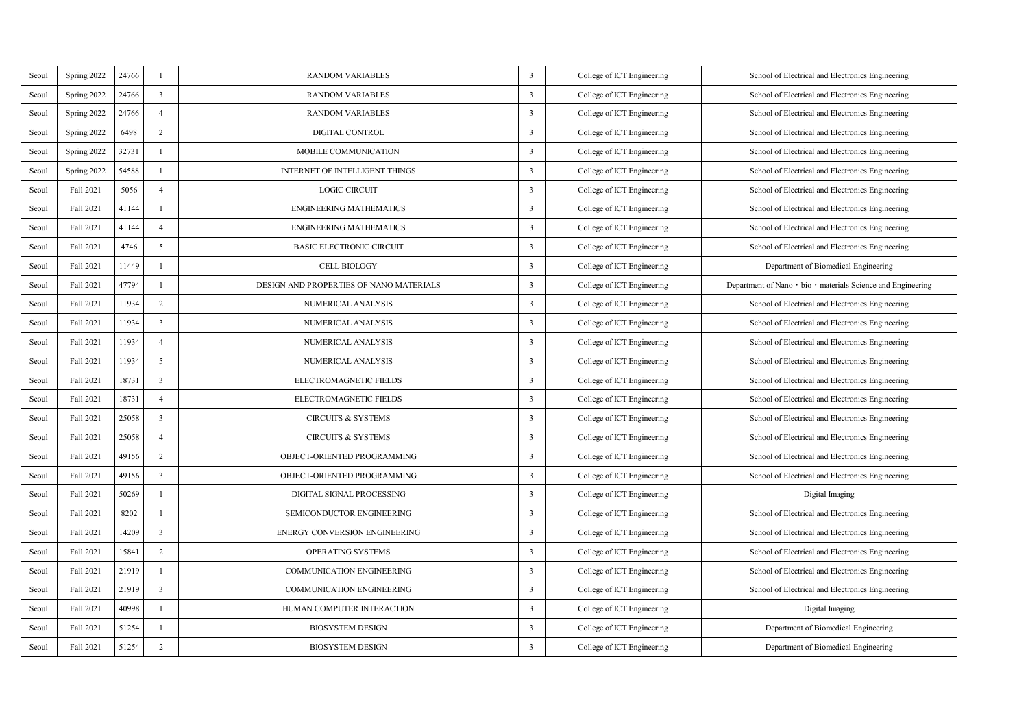| Seoul | Spring 2022 | 24766 | J.                      | <b>RANDOM VARIABLES</b>                 | 3                       | College of ICT Engineering | School of Electrical and Electronics Engineering             |
|-------|-------------|-------|-------------------------|-----------------------------------------|-------------------------|----------------------------|--------------------------------------------------------------|
| Seoul | Spring 2022 | 24766 | R,                      | <b>RANDOM VARIABLES</b>                 | 3                       | College of ICT Engineering | School of Electrical and Electronics Engineering             |
| Seoul | Spring 2022 | 24766 | 4                       | <b>RANDOM VARIABLES</b>                 | 3                       | College of ICT Engineering | School of Electrical and Electronics Engineering             |
| Seoul | Spring 2022 | 6498  | $\overline{2}$          | DIGITAL CONTROL                         | 3                       | College of ICT Engineering | School of Electrical and Electronics Engineering             |
| Seoul | Spring 2022 | 32731 | J.                      | MOBILE COMMUNICATION                    | 3                       | College of ICT Engineering | School of Electrical and Electronics Engineering             |
| Seoul | Spring 2022 | 54588 | J.                      | <b>INTERNET OF INTELLIGENT THINGS</b>   | 3                       | College of ICT Engineering | School of Electrical and Electronics Engineering             |
| Seoul | Fall 2021   | 5056  | $\Delta$                | <b>LOGIC CIRCUIT</b>                    | 3                       | College of ICT Engineering | School of Electrical and Electronics Engineering             |
| Seoul | Fall 2021   | 41144 | ×                       | <b>ENGINEERING MATHEMATICS</b>          | 3                       | College of ICT Engineering | School of Electrical and Electronics Engineering             |
| Seoul | Fall 2021   | 41144 | $\Delta$                | <b>ENGINEERING MATHEMATICS</b>          | 3                       | College of ICT Engineering | School of Electrical and Electronics Engineering             |
| Seoul | Fall 2021   | 4746  | 5                       | <b>BASIC ELECTRONIC CIRCUIT</b>         | 3                       | College of ICT Engineering | School of Electrical and Electronics Engineering             |
| Seoul | Fall 2021   | 11449 | J.                      | <b>CELL BIOLOGY</b>                     | 3                       | College of ICT Engineering | Department of Biomedical Engineering                         |
| Seoul | Fall 2021   | 47794 | J.                      | DESIGN AND PROPERTIES OF NANO MATERIALS | 3                       | College of ICT Engineering | Department of Nano - bio - materials Science and Engineering |
| Seoul | Fall 2021   | 11934 | $\overline{ }$          | NUMERICAL ANALYSIS                      | 3                       | College of ICT Engineering | School of Electrical and Electronics Engineering             |
| Seoul | Fall 2021   | 11934 | 3                       | NUMERICAL ANALYSIS                      | 3                       | College of ICT Engineering | School of Electrical and Electronics Engineering             |
| Seoul | Fall 2021   | 11934 | $\ddot{4}$              | NUMERICAL ANALYSIS                      | 3                       | College of ICT Engineering | School of Electrical and Electronics Engineering             |
| Seoul | Fall 2021   | 11934 | 5                       | NUMERICAL ANALYSIS                      | 3                       | College of ICT Engineering | School of Electrical and Electronics Engineering             |
| Seoul | Fall 2021   | 18731 | $\overline{\mathbf{a}}$ | ELECTROMAGNETIC FIELDS                  | 3                       | College of ICT Engineering | School of Electrical and Electronics Engineering             |
| Seoul | Fall 2021   | 18731 | $\Delta$                | ELECTROMAGNETIC FIELDS                  | 3                       | College of ICT Engineering | School of Electrical and Electronics Engineering             |
| Seoul | Fall 2021   | 25058 | 3                       | <b>CIRCUITS &amp; SYSTEMS</b>           | 3                       | College of ICT Engineering | School of Electrical and Electronics Engineering             |
| Seoul | Fall 2021   | 25058 | $\Delta$                | <b>CIRCUITS &amp; SYSTEMS</b>           | 3                       | College of ICT Engineering | School of Electrical and Electronics Engineering             |
| Seoul | Fall 2021   | 49156 | $\overline{2}$          | OBJECT-ORIENTED PROGRAMMING             | 3                       | College of ICT Engineering | School of Electrical and Electronics Engineering             |
| Seoul | Fall 2021   | 49156 | 3                       | OBJECT-ORIENTED PROGRAMMING             | 3                       | College of ICT Engineering | School of Electrical and Electronics Engineering             |
| Seoul | Fall 2021   | 50269 | ×                       | DIGITAL SIGNAL PROCESSING               | 3                       | College of ICT Engineering | Digital Imaging                                              |
| Seoul | Fall 2021   | 8202  | ×                       | SEMICONDUCTOR ENGINEERING               | 3                       | College of ICT Engineering | School of Electrical and Electronics Engineering             |
| Seoul | Fall 2021   | 14209 | 3                       | <b>ENERGY CONVERSION ENGINEERING</b>    | 3                       | College of ICT Engineering | School of Electrical and Electronics Engineering             |
| Seoul | Fall 2021   | 15841 | $\overline{2}$          | <b>OPERATING SYSTEMS</b>                | 3                       | College of ICT Engineering | School of Electrical and Electronics Engineering             |
| Seoul | Fall 2021   | 21919 | ×                       | COMMUNICATION ENGINEERING               | $\overline{\mathbf{3}}$ | College of ICT Engineering | School of Electrical and Electronics Engineering             |
| Seoul | Fall 2021   | 21919 | 3                       | COMMUNICATION ENGINEERING               | 3                       | College of ICT Engineering | School of Electrical and Electronics Engineering             |
| Seoul | Fall 2021   | 40998 | ×                       | HUMAN COMPUTER INTERACTION              | 3                       | College of ICT Engineering | Digital Imaging                                              |
| Seoul | Fall 2021   | 51254 | ×                       | <b>BIOSYSTEM DESIGN</b>                 | 3                       | College of ICT Engineering | Department of Biomedical Engineering                         |
| Seoul | Fall 2021   | 51254 | $\overline{2}$          | <b>BIOSYSTEM DESIGN</b>                 | 3                       | College of ICT Engineering | Department of Biomedical Engineering                         |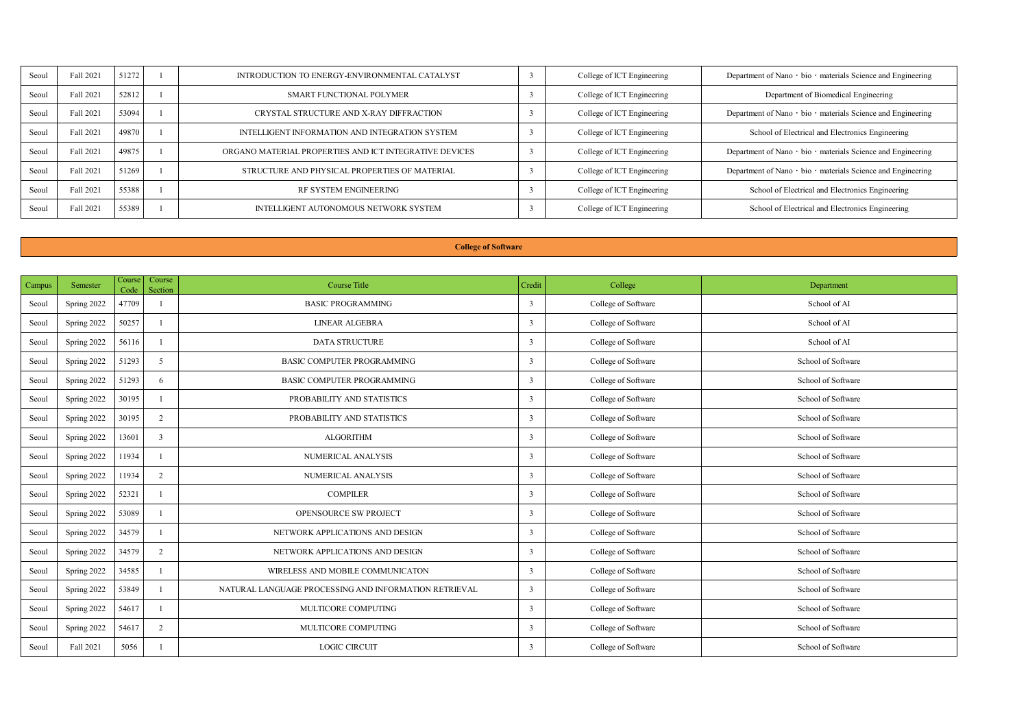| Seoul | Fall 2021 | 51272 | INTRODUCTION TO ENERGY-ENVIRONMENTAL CATALYST          | College of ICT Engineering | Department of Nano - bio - materials Science and Engineering |
|-------|-----------|-------|--------------------------------------------------------|----------------------------|--------------------------------------------------------------|
| Seoul | Fall 2021 | 52812 | SMART FUNCTIONAL POLYMER                               | College of ICT Engineering | Department of Biomedical Engineering                         |
| Secol | Fall 2021 | 53094 | CRYSTAL STRUCTURE AND X-RAY DIFFRACTION.               | College of ICT Engineering | Department of Nano - bio - materials Science and Engineering |
| Secol | Fall 2021 | 49870 | INTELLIGENT INFORMATION AND INTEGRATION SYSTEM         | College of ICT Engineering | School of Electrical and Electronics Engineering             |
| Secol | Fall 2021 | 49875 | ORGANO MATERIAL PROPERTIES AND ICT INTEGRATIVE DEVICES | College of ICT Engineering | Department of Nano - bio - materials Science and Engineering |
| Secol | Fall 2021 | 51269 | STRUCTURE AND PHYSICAL PROPERTIES OF MATERIAL          | College of ICT Engineering | Department of Nano - bio - materials Science and Engineering |
| Seoul | Fall 2021 | 55388 | RF SYSTEM ENGINEERING                                  | College of ICT Engineering | School of Electrical and Electronics Engineering             |
| Seoul | Fall 2021 | 55389 | INTELLIGENT AUTONOMOUS NETWORK SYSTEM                  | College of ICT Engineering | School of Electrical and Electronics Engineering             |

## **College of Software**

| Campus | Semester    | Course<br>Code | Course<br>Section | Course Title                                          | Credit       | College             | Department         |
|--------|-------------|----------------|-------------------|-------------------------------------------------------|--------------|---------------------|--------------------|
| Seoul  | Spring 2022 | 47709          |                   | <b>BASIC PROGRAMMING</b>                              | $\mathbf{r}$ | College of Software | School of AI       |
| Seoul  | Spring 2022 | 50257          |                   | LINEAR ALGEBRA                                        | $\mathbf{r}$ | College of Software | School of AI       |
| Seoul  | Spring 2022 | 56116          |                   | DATA STRUCTURE                                        | n.           | College of Software | School of AI       |
| Seoul  | Spring 2022 | 51293          | $\epsilon$        | BASIC COMPUTER PROGRAMMING                            | $\mathbf{r}$ | College of Software | School of Software |
| Seoul  | Spring 2022 | 51293          | 6                 | BASIC COMPUTER PROGRAMMING                            | ٦            | College of Software | School of Software |
| Seoul  | Spring 2022 | 30195          |                   | PROBABILITY AND STATISTICS                            | $\mathbf{r}$ | College of Software | School of Software |
| Seoul  | Spring 2022 | 30195          | $\overline{2}$    | PROBABILITY AND STATISTICS                            | $\mathbf{r}$ | College of Software | School of Software |
| Seoul  | Spring 2022 | 13601          | P,                | <b>ALGORITHM</b>                                      | ٦            | College of Software | School of Software |
| Seoul  | Spring 2022 | 11934          |                   | NUMERICAL ANALYSIS                                    | $\mathbf{r}$ | College of Software | School of Software |
| Seoul  | Spring 2022 | 11934          | 2                 | NUMERICAL ANALYSIS                                    | n,           | College of Software | School of Software |
| Seoul  | Spring 2022 | 52321          |                   | <b>COMPILER</b>                                       | ٦            | College of Software | School of Software |
| Seoul  | Spring 2022 | 53089          |                   | OPENSOURCE SW PROJECT                                 | $\mathbf{r}$ | College of Software | School of Software |
| Seoul  | Spring 2022 | 34579          |                   | NETWORK APPLICATIONS AND DESIGN                       | ٦            | College of Software | School of Software |
| Seoul  | Spring 2022 | 34579          | $\overline{ }$    | NETWORK APPLICATIONS AND DESIGN                       | n.           | College of Software | School of Software |
| Seoul  | Spring 2022 | 34585          |                   | WIRELESS AND MOBILE COMMUNICATON                      | ٦            | College of Software | School of Software |
| Seoul  | Spring 2022 | 53849          |                   | NATURAL LANGUAGE PROCESSING AND INFORMATION RETRIEVAL | $\mathbf{r}$ | College of Software | School of Software |
| Seoul  | Spring 2022 | 54617          |                   | MULTICORE COMPUTING                                   | n.           | College of Software | School of Software |
| Seoul  | Spring 2022 | 54617          | $\overline{ }$    | MULTICORE COMPUTING                                   | $\mathbf{r}$ | College of Software | School of Software |
| Seoul  | Fall 2021   | 5056           |                   | <b>LOGIC CIRCUIT</b>                                  | n.           | College of Software | School of Software |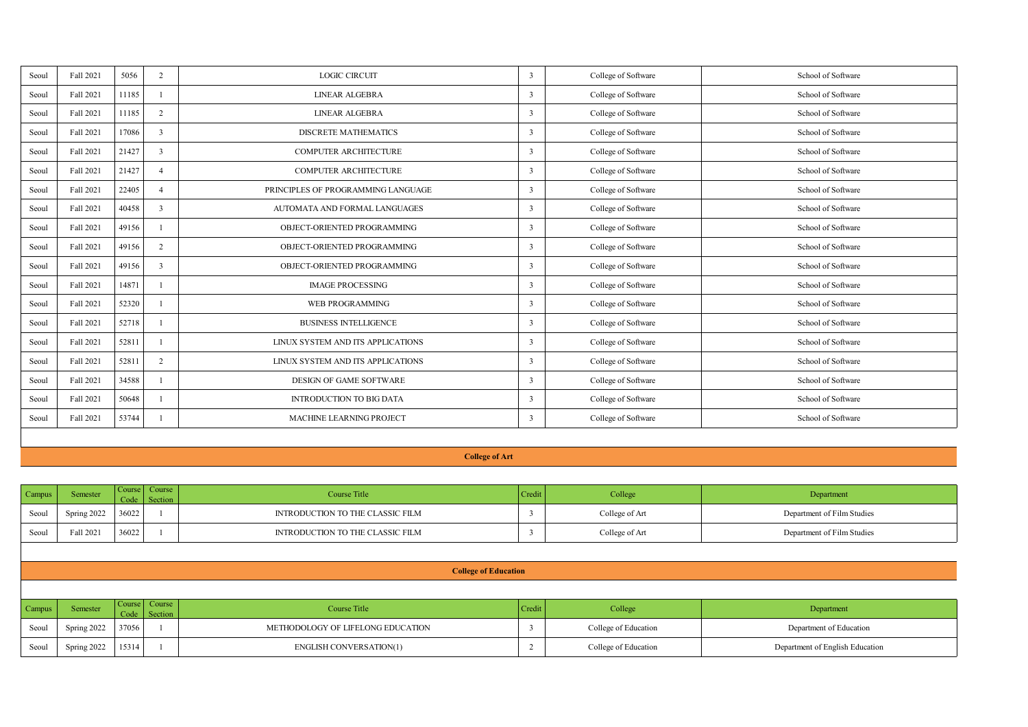| Seoul | Fall 2021 | 5056  | $\overline{ }$ | LOGIC CIRCUIT                      | $\mathbf{r}$ | College of Software | School of Software |
|-------|-----------|-------|----------------|------------------------------------|--------------|---------------------|--------------------|
| Seoul | Fall 2021 | 11185 |                | LINEAR ALGEBRA                     | $\mathbf{r}$ | College of Software | School of Software |
| Seoul | Fall 2021 | 11185 | $\overline{ }$ | LINEAR ALGEBRA                     | $\mathbf{r}$ | College of Software | School of Software |
| Seoul | Fall 2021 | 17086 |                | DISCRETE MATHEMATICS               | n.           | College of Software | School of Software |
| Seoul | Fall 2021 | 21427 |                | COMPUTER ARCHITECTURE              | n,           | College of Software | School of Software |
| Seoul | Fall 2021 | 21427 |                | <b>COMPUTER ARCHITECTURE</b>       | $\mathbf{r}$ | College of Software | School of Software |
| Seoul | Fall 2021 | 22405 |                | PRINCIPLES OF PROGRAMMING LANGUAGE | $\mathbf{r}$ | College of Software | School of Software |
| Seoul | Fall 2021 | 40458 | $\overline{1}$ | AUTOMATA AND FORMAL LANGUAGES      | $\mathbf{r}$ | College of Software | School of Software |
| Seoul | Fall 2021 | 49156 |                | OBJECT-ORIENTED PROGRAMMING        | ٦            | College of Software | School of Software |
| Seoul | Fall 2021 | 49156 | $\rightarrow$  | OBJECT-ORIENTED PROGRAMMING        | n,           | College of Software | School of Software |
| Seoul | Fall 2021 | 49156 | $\overline{1}$ | ORIECT ORIENTED PROGRAMMING.       | n.           | College of Software | School of Software |
| Seoul | Fall 2021 | 14871 |                | <b>IMAGE PROCESSING</b>            | $\mathbf{r}$ | College of Software | School of Software |
| Seoul | Fall 2021 | 52320 |                | WEB PROGRAMMING                    | ٦            | College of Software | School of Software |
| Seoul | Fall 2021 | 52718 |                | <b>BUSINESS INTELLIGENCE</b>       | $\mathbf{r}$ | College of Software | School of Software |
| Seoul | Fall 2021 | 52811 |                | LINUX SYSTEM AND ITS APPLICATIONS  | $\mathbf{r}$ | College of Software | School of Software |
| Secol | Fall 2021 | 52811 | $\overline{2}$ | LINEX SYSTEM AND ITS APPLICATIONS  | n.           | College of Software | School of Software |
| Seoul | Fall 2021 | 34588 |                | DESIGN OF GAME SOFTWARE            | n.           | College of Software | School of Software |
| Seoul | Fall 2021 | 50648 |                | INTRODUCTION TO BIG DATA           | $\mathbf{r}$ | College of Software | School of Software |
| Seoul | Fall 2021 | 53744 |                | <b>MACHINE LEARNING PROJECT</b>    | $\mathbf{R}$ | College of Software | School of Software |
|       |           |       |                |                                    |              |                     |                    |

## **College of Art**

| Campus | Semester    |               | Course Course<br>Code Section | Course Title                      | Credit | College              | Department                      |
|--------|-------------|---------------|-------------------------------|-----------------------------------|--------|----------------------|---------------------------------|
| Seoul  | Spring 2022 | 36022         |                               | INTRODUCTION TO THE CLASSIC FILM  |        | College of Art       | Department of Film Studies      |
| Seoul  | Fall 2021   | 36022         |                               | INTRODUCTION TO THE CLASSIC FILM  |        | College of Art       | Department of Film Studies      |
|        |             |               |                               |                                   |        |                      |                                 |
|        |             |               |                               | <b>College of Education</b>       |        |                      |                                 |
|        |             |               |                               |                                   |        |                      |                                 |
| Campus | Semester    | Course Course | Code Section                  | Course Title                      | Credit | College              | Department                      |
| Seoul  | Spring 2022 | 37056         |                               | METHODOLOGY OF LIFELONG EDUCATION |        | College of Education | Department of Education         |
| Seoul  | Spring 2022 | 15314         |                               | ENGLISH CONVERSATION(1)           |        | College of Education | Department of English Education |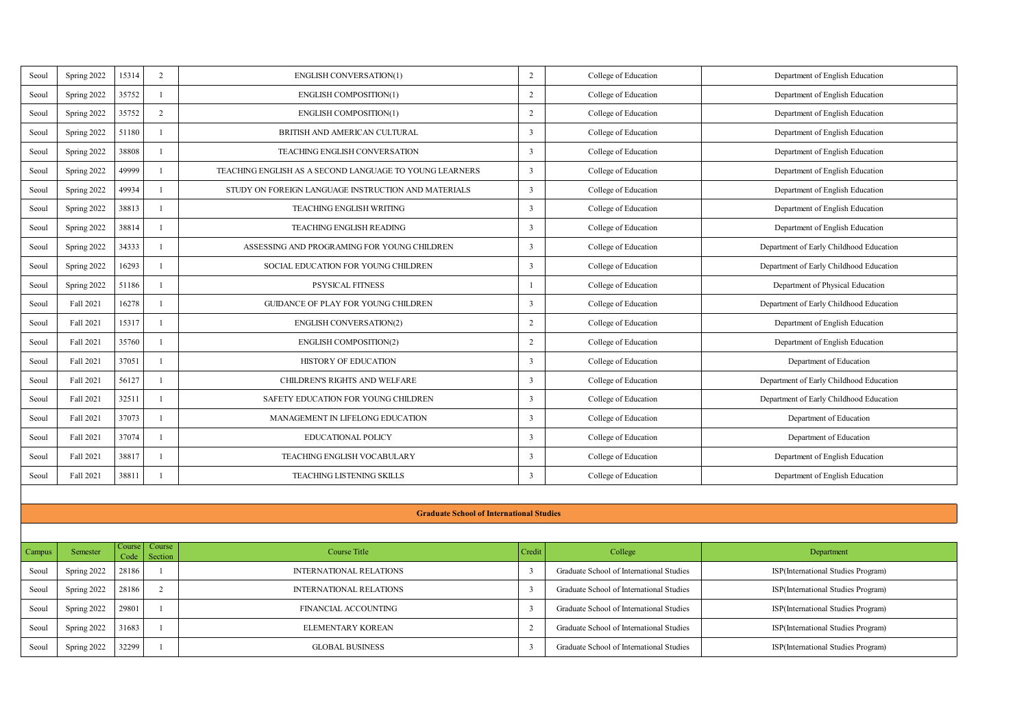| Scoul  | Spring 2022 | 15314         | $\overline{2}$    | ENGLISH CONVERSATION(1)                                 | $\,$           | College of Education                     | Department of English Education         |
|--------|-------------|---------------|-------------------|---------------------------------------------------------|----------------|------------------------------------------|-----------------------------------------|
| Scoul  | Spring 2022 | 35752         | ×                 | ENGLISH COMPOSITION(1)                                  | $\overline{a}$ | College of Education                     | Department of English Education         |
| Seoul  | Spring 2022 | 35752         | $\overline{2}$    | ENGLISH COMPOSITION(1)                                  | $\overline{2}$ | College of Education                     | Department of English Education         |
| Scoul  | Spring 2022 | 51180         | L.                | BRITISH AND AMERICAN CULTURAL                           | 3              | College of Education                     | Department of English Education         |
| Scoul  | Spring 2022 | 38808         | I.                | <b>TEACHING ENGLISH CONVERSATION</b>                    | 3              | College of Education                     | Department of English Education         |
| Seoul  | Spring 2022 | 49999         | L.                | TEACHING ENGLISH AS A SECOND LANGUAGE TO YOUNG LEARNERS | 3              | College of Education                     | Department of English Education         |
| Seoul  | Spring 2022 | 49934         | ×.                | STUDY ON FOREIGN LANGUAGE INSTRUCTION AND MATERIALS     | 3              | College of Education                     | Department of English Education         |
| Seoul  | Spring 2022 | 38813         | L.                | <b>TEACHING ENGLISH WRITING</b>                         | 3              | College of Education                     | Department of English Education         |
| Seoul  | Spring 2022 | 38814         | ×                 | TEACHING ENGLISH READING                                | 3              | College of Education                     | Department of English Education         |
| Seoul  | Spring 2022 | 34333         | ×.                | ASSESSING AND PROGRAMING FOR YOUNG CHILDREN             | t              | College of Education                     | Department of Early Childhood Education |
| Seoul  | Spring 2022 | 16293         | L.                | SOCIAL EDUCATION FOR YOUNG CHILDREN                     | 3              | College of Education                     | Department of Early Childhood Education |
| Seoul  | Spring 2022 | 51186         | ×                 | <b>PSYSICAL FITNESS</b>                                 | 1              | College of Education                     | Department of Physical Education        |
| Seoul  | Fall 2021   | 16278         | J.                | GUIDANCE OF PLAY FOR YOUNG CHILDREN                     | 3              | College of Education                     | Department of Early Childhood Education |
| Seoul  | Fall 2021   | 15317         | $\mathbf{I}$      | <b>ENGLISH CONVERSATION(2)</b>                          | $\overline{2}$ | College of Education                     | Department of English Education         |
| Seoul  | Fall 2021   | 35760         | J.                | ENGLISH COMPOSITION(2)                                  | $\overline{2}$ | College of Education                     | Department of English Education         |
| Seoul  | Fall 2021   | 37051         | J.                | HISTORY OF EDUCATION                                    | t              | College of Education                     | Department of Education                 |
| Seoul  | Fall 2021   | 56127         | J.                | CHILDREN'S RIGHTS AND WELFARE                           | 3              | College of Education                     | Department of Early Childhood Education |
| Seoul  | Fall 2021   | 32511         | J.                | SAFETY EDUCATION FOR YOUNG CHILDREN                     | 3              | College of Education                     | Department of Early Childhood Education |
| Seoul  | Fall 2021   | 37073         | J.                | MANAGEMENT IN LIFELONG EDUCATION                        | t              | College of Education                     | Department of Education                 |
| Seoul  | Fall 2021   | 37074         | J.                | EDUCATIONAL POLICY                                      | 3              | College of Education                     | Department of Education                 |
| Seoul  | Fall 2021   | 38817         | J.                | TEACHING ENGLISH VOCABULARY                             | 3              | College of Education                     | Department of English Education         |
| Seoul  | Fall 2021   | 38811         |                   | <b>TEACHING LISTENING SKILLS</b>                        | 3              | College of Education                     | Department of English Education         |
|        |             |               |                   |                                                         |                |                                          |                                         |
|        |             |               |                   | <b>Graduate School of International Studies</b>         |                |                                          |                                         |
|        |             |               |                   |                                                         |                |                                          |                                         |
| Campus | Semester    | Cours<br>Code | Course<br>Service | <b>Course Title</b>                                     | Credit         | College                                  | Department                              |
| Seoul  | Spring 2022 | 28186         | L.                | <b>INTERNATIONAL RELATIONS</b>                          | 3              | Graduate School of International Studies | ISP(International Studies Program)      |
| Seoul  | Spring 2022 | 28186         | ٠                 | <b>INTERNATIONAL RELATIONS</b>                          | ı.             | Graduate School of International Studies | ISP(International Studies Program)      |

Spring 2022 29801 1 FINANCIAL ACCOUNTING 3 Graduate School of International Studies ISP(International Studies Program) Seoul Spring 2022 31683 1 **ELEMENTARY KOREAN** 2 Graduate School of International Studies ISP(International Studies Program) Seoul Spring 2022 32299 1 GLOBAL BUSINESS 3 Graduate School of International Studies ISP(International Studies Program)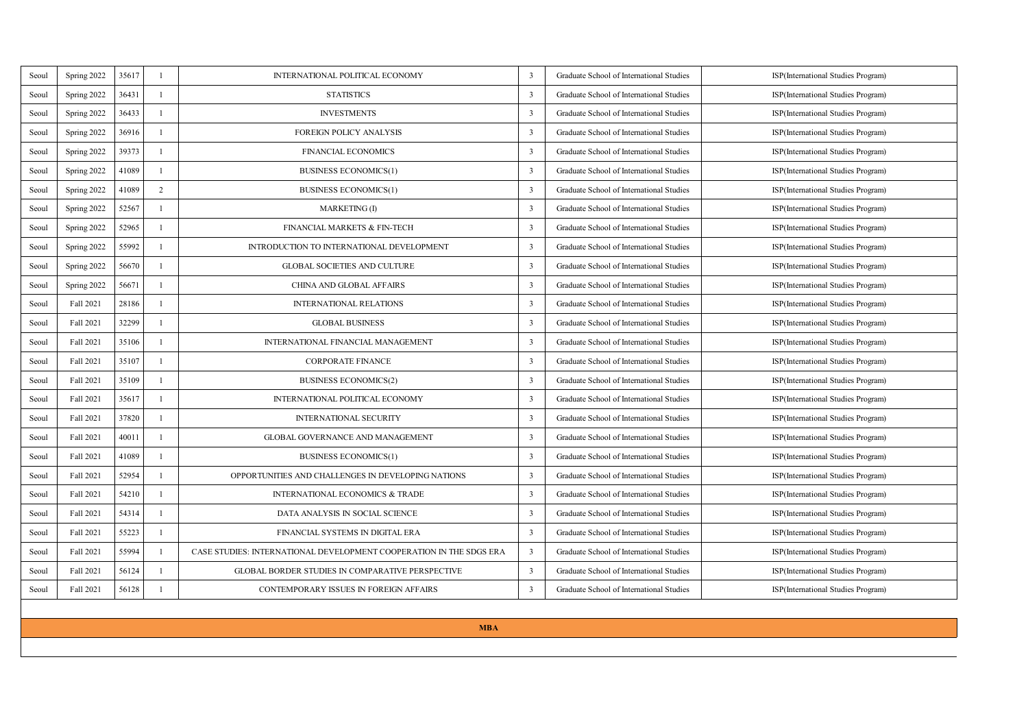| Scoul | Spring 2022 | 35617 | I.             | INTERNATIONAL POLITICAL ECONOMY                                     | 3                       | Graduate School of International Studies | ISP(International Studies Program) |
|-------|-------------|-------|----------------|---------------------------------------------------------------------|-------------------------|------------------------------------------|------------------------------------|
| Scoul | Spring 2022 | 36431 | ×              | <b>STATISTICS</b>                                                   | 3                       | Graduate School of International Studies | ISP(International Studies Program) |
| Seoul | Spring 2022 | 36433 | I.             | <b>INVESTMENTS</b>                                                  | $\overline{\mathbf{3}}$ | Graduate School of International Studies | ISP(International Studies Program) |
| Seoul | Spring 2022 | 36916 | I.             | FOREIGN POLICY ANALYSIS                                             | 3                       | Graduate School of International Studies | ISP(International Studies Program) |
| Scoul | Spring 2022 | 39373 | ×              | <b>FINANCIAL ECONOMICS</b>                                          | ٦                       | Graduate School of International Studies | ISP(International Studies Program) |
| Scoul | Spring 2022 | 41089 | I.             | <b>BUSINESS ECONOMICS(1)</b>                                        | $\overline{\mathbf{3}}$ | Graduate School of International Studies | ISP(International Studies Program) |
| Seoul | Spring 2022 | 41089 | $\overline{2}$ | <b>BUSINESS ECONOMICS(1)</b>                                        | 3                       | Graduate School of International Studies | ISP(International Studies Program) |
| Scoul | Spring 2022 | 52567 | I.             | MARKETING (I)                                                       | $\overline{\mathbf{3}}$ | Graduate School of International Studies | ISP(International Studies Program) |
| Scoul | Spring 2022 | 52965 | J.             | FINANCIAL MARKETS & FIN-TECH                                        | $\overline{\mathbf{3}}$ | Graduate School of International Studies | ISP(International Studies Program) |
| Scoul | Spring 2022 | 55992 | f.             | INTRODUCTION TO INTERNATIONAL DEVELOPMENT                           | $\overline{\mathbf{3}}$ | Graduate School of International Studies | ISP(International Studies Program) |
| Scoul | Spring 2022 | 56670 | $\mathbf{I}$   | <b>GLOBAL SOCIETIES AND CULTURE</b>                                 | 3                       | Graduate School of International Studies | ISP(International Studies Program) |
| Scoul | Spring 2022 | 56671 | J.             | CHINA AND GLOBAL AFFAIRS                                            | 3                       | Graduate School of International Studies | ISP(International Studies Program) |
| Scoul | Fall 2021   | 28186 | J.             | <b>INTERNATIONAL RELATIONS</b>                                      | $\overline{\mathbf{3}}$ | Graduate School of International Studies | ISP(International Studies Program) |
| Scoul | Fall 2021   | 32299 | J.             | <b>GLOBAL BUSINESS</b>                                              | ٦                       | Graduate School of International Studies | ISP(International Studies Program) |
| Scoul | Fall 2021   | 35106 | ٠              | INTERNATIONAL FINANCIAL MANAGEMENT                                  | ٦                       | Graduate School of International Studies | ISP(International Studies Program) |
| Scoul | Fall 2021   | 35107 | $\mathbf{I}$   | <b>CORPORATE FINANCE</b>                                            | $\overline{\mathbf{3}}$ | Graduate School of International Studies | ISP(International Studies Program) |
| Scoul | Fall 2021   | 35109 | J.             | <b>BUSINESS ECONOMICS(2)</b>                                        | ٦                       | Graduate School of International Studies | ISP(International Studies Program) |
| Scoul | Fall 2021   | 35617 | ×.             | INTERNATIONAL POLITICAL ECONOMY                                     | $\overline{\mathbf{3}}$ | Graduate School of International Studies | ISP(International Studies Program) |
| Scoul | Fall 2021   | 37820 | J.             | INTERNATIONAL SECURITY                                              | 3                       | Graduate School of International Studies | ISP(International Studies Program) |
| Secol | Fall 2021   | 4001  | J.             | GLOBAL GOVERNANCE AND MANAGEMENT                                    | $\overline{\mathbf{3}}$ | Graduate School of International Studies | ISP(International Studies Program) |
| Scoul | Fall 2021   | 41089 | $\mathbf{I}$   | <b>BUSINESS ECONOMICS(1)</b>                                        | $\overline{\mathbf{3}}$ | Graduate School of International Studies | ISP(International Studies Program) |
| Scoul | Fall 2021   | 52954 | J.             | OPPORTUNITIES AND CHALLENGES IN DEVELOPING NATIONS                  | 3                       | Graduate School of International Studies | ISP(International Studies Program) |
| Scoul | Fall 2021   | 54210 | $\mathbf{I}$   | INTERNATIONAL ECONOMICS & TRADE                                     | $\overline{\mathbf{3}}$ | Graduate School of International Studies | ISP(International Studies Program) |
| Scoul | Fall 2021   | 54314 | J.             | DATA ANALYSIS IN SOCIAL SCIENCE                                     | ٦                       | Graduate School of International Studies | ISP(International Studies Program) |
| Scoul | Fall 2021   | 55223 | J.             | FINANCIAL SYSTEMS IN DIGITAL ERA                                    | 3                       | Graduate School of International Studies | ISP(International Studies Program) |
| Scoul | Fall 2021   | 55994 | J.             | CASE STUDIES: INTERNATIONAL DEVELOPMENT COOPERATION IN THE SDGS ERA | $\overline{\mathbf{3}}$ | Graduate School of International Studies | ISP(International Studies Program) |
| Scoul | Fall 2021   | 56124 | J.             | GLOBAL BORDER STUDIES IN COMPARATIVE PERSPECTIVE                    | 3                       | Graduate School of International Studies | ISP(International Studies Program) |
| Scoul | Fall 2021   | 56128 | $\mathbf{I}$   | CONTEMPORARY ISSUES IN FOREIGN AFFAIRS                              | $\overline{\mathbf{3}}$ | Graduate School of International Studies | ISP(International Studies Program) |
|       |             |       |                |                                                                     |                         |                                          |                                    |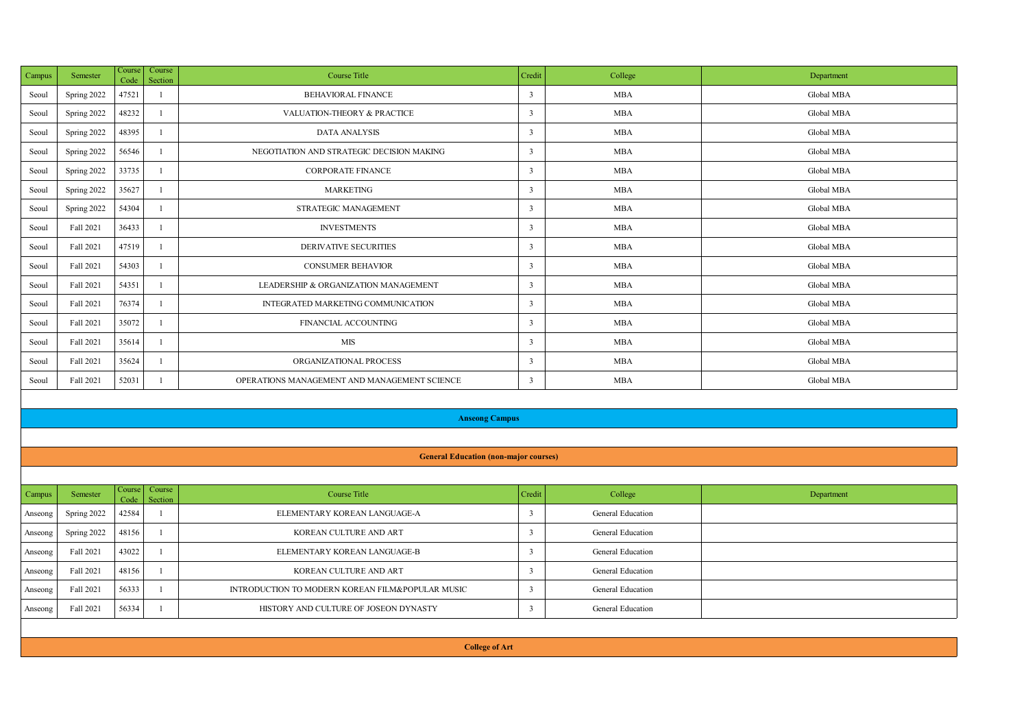| <b>Campus</b> | Semester    | Code  | Course Course<br><b>Caroline</b> | <b>Course Title</b>                          | Credit       | College    | Department |
|---------------|-------------|-------|----------------------------------|----------------------------------------------|--------------|------------|------------|
| Seoul         | Spring 2022 | 47521 |                                  | <b>BEHAVIORAL FINANCE</b>                    | ٦            | <b>MBA</b> | Global MBA |
| Seoul         | Spring 2022 | 48232 |                                  | VALUATION-THEORY & PRACTICE                  | $\mathbf{R}$ | <b>MBA</b> | Global MBA |
| Seoul         | Spring 2022 | 48395 |                                  | DATA ANALYSIS                                | $\mathbf{R}$ | <b>MBA</b> | Global MBA |
| Seoul         | Spring 2022 | 56546 |                                  | NEGOTIATION AND STRATEGIC DECISION MAKING    | ٦            | <b>MBA</b> | Global MBA |
| Seoul         | Spring 2022 | 33735 |                                  | <b>CORPORATE FINANCE</b>                     | ٦            | <b>MBA</b> | Global MBA |
| Seoul         | Spring 2022 | 35627 |                                  | <b>MARKETING</b>                             | $\mathbf{R}$ | <b>MRA</b> | Global MBA |
| Seoul         | Spring 2022 | 54304 |                                  | STRATEGIC MANAGEMENT                         | $\mathbf{R}$ | <b>MBA</b> | Global MBA |
| Seoul         | Fall 2021   | 36433 |                                  | <b>INVESTMENTS</b>                           | $\mathbf{R}$ | <b>MRA</b> | Global MBA |
| Seoul         | Fall 2021   | 47519 |                                  | <b>DERIVATIVE SECURITIES</b>                 | ٦            | <b>MBA</b> | Global MBA |
| Seoul         | Fall 2021   | 54303 |                                  | <b>CONSUMER BEHAVIOR</b>                     | $\mathbf{R}$ | <b>MRA</b> | Global MBA |
| Seoul         | Fall 2021   | 54351 |                                  | LEADERSHIP & ORGANIZATION MANAGEMENT         | $\mathbf{R}$ | <b>MBA</b> | Global MBA |
| Seoul         | Fall 2021   | 76374 |                                  | INTEGRATED MARKETING COMMUNICATION           | ٦            | <b>MBA</b> | Global MBA |
| Seoul         | Fall 2021   | 35072 |                                  | FINANCIAL ACCOUNTING                         | ٦            | <b>MBA</b> | Global MBA |
| Seoul         | Fall 2021   | 35614 |                                  | MIS                                          | $\mathbf{R}$ | <b>MRA</b> | Global MBA |
| Seoul         | Fall 2021   | 35624 |                                  | ORGANIZATIONAL PROCESS                       | $\mathbf{R}$ | <b>MBA</b> | Global MBA |
| Seoul         | Fall 2021   | 52031 |                                  | OPERATIONS MANAGEMENT AND MANAGEMENT SCIENCE | 3            | <b>MBA</b> | Global MBA |
|               |             |       |                                  |                                              |              |            |            |

#### **Anseong Campus**

#### **General Education (non-major courses)**

| Semester    | Course Course                                      | Course Title                                     | Credit       | College           | Department |
|-------------|----------------------------------------------------|--------------------------------------------------|--------------|-------------------|------------|
| Spring 2022 |                                                    | ELEMENTARY KOREAN LANGUAGE-A                     |              | General Education |            |
| Spring 2022 |                                                    | KOREAN CULTURE AND ART                           |              | General Education |            |
| Fall 2021   |                                                    | ELEMENTARY KOREAN LANGUAGE-B                     |              | General Education |            |
| Fall 2021   |                                                    | KOREAN CULTURE AND ART                           |              | General Education |            |
| Fall 2021   |                                                    | INTRODUCTION TO MODERN KOREAN FILM&POPULAR MUSIC |              | General Education |            |
| Fall 2021   |                                                    | HISTORY AND CULTURE OF JOSEON DYNASTY            |              | General Education |            |
|             | 42584<br>48156<br>43022<br>48156<br>56333<br>56334 |                                                  | Code Section |                   |            |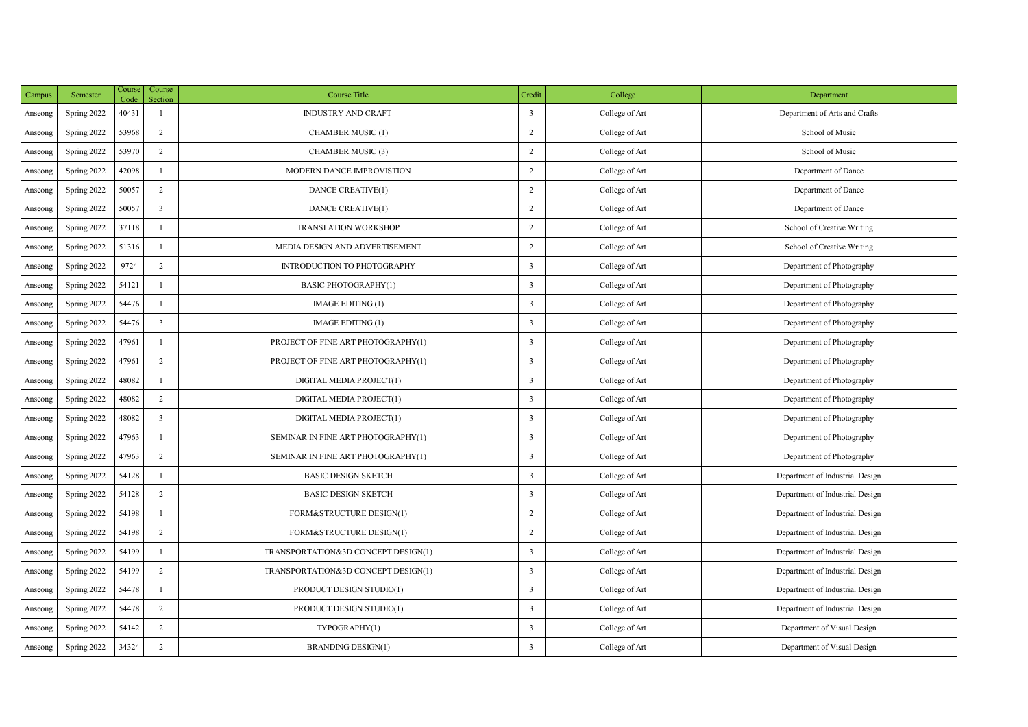| Campus   | Semester    | Cours<br>Code | Course<br>Section       | <b>Course Title</b>                 | Credit         | College        | Department                      |
|----------|-------------|---------------|-------------------------|-------------------------------------|----------------|----------------|---------------------------------|
| Anseceng | Spring 2022 | 40431         | ×                       | <b>INDUSTRY AND CRAFT</b>           | 3              | College of Art | Department of Arts and Crafts   |
| Anseong  | Spring 2022 | 53968         | $\overline{2}$          | CHAMBER MUSIC (1)                   | $\overline{2}$ | College of Art | School of Music                 |
| Anseong  | Spring 2022 | 53970         | $\overline{2}$          | CHAMBER MUSIC (3)                   | $\overline{2}$ | College of Art | School of Music                 |
| Anseceng | Spring 2022 | 42098         | ×                       | MODERN DANCE IMPROVISTION           | $\overline{2}$ | College of Art | Department of Dance             |
| Anseone  | Spring 2022 | 50057         | $\overline{2}$          | DANCE CREATIVE(1)                   | $\overline{2}$ | College of Art | Department of Dance             |
| Anseong  | Spring 2022 | 50057         | 3                       | DANCE CREATIVE(1)                   | $\overline{2}$ | College of Art | Department of Dance             |
| Anseceng | Spring 2022 | 37118         | ٠                       | <b>TRANSLATION WORKSHOP</b>         | $\overline{2}$ | College of Art | School of Creative Writing      |
| Anseone  | Spring 2022 | 51316         | ×                       | MEDIA DESIGN AND ADVERTISEMENT      | $\overline{2}$ | College of Art | School of Creative Writing      |
| Anseone  | Spring 2022 | 9724          | $\overline{2}$          | <b>INTRODUCTION TO PHOTOGRAPHY</b>  | 3              | College of Art | Department of Photography       |
| Anseceng | Spring 2022 | 54121         | ×                       | <b>BASIC PHOTOGRAPHY(1)</b>         | 3              | College of Art | Department of Photography       |
| Anseceng | Spring 2022 | 54476         |                         | <b>IMAGE EDITING (1)</b>            | 3              | College of Art | Department of Photography       |
| Anseone  | Spring 2022 | 54476         | $\overline{\mathbf{3}}$ | <b>IMAGE EDITING (1)</b>            | 3              | College of Art | Department of Photography       |
| Anseceng | Spring 2022 | 47961         | ×                       | PROJECT OF FINE ART PHOTOGRAPHY(1)  | 3              | College of Art | Department of Photography       |
| Anseceng | Spring 2022 | 47961         | $\overline{2}$          | PROJECT OF FINE ART PHOTOGRAPHY(1)  | 3              | College of Art | Department of Photography       |
| Anseceng | Spring 2022 | 48082         | ×                       | DIGITAL MEDIA PROJECT(1)            | 3              | College of Art | Department of Photography       |
| Anseone  | Spring 2022 | 48082         | $\overline{2}$          | DIGITAL MEDIA PROJECT(1)            | 3              | College of Art | Department of Photography       |
| Anseceng | Spring 2022 | 48082         | 3                       | DIGITAL MEDIA PROJECT(1)            | 3              | College of Art | Department of Photography       |
| Anseceng | Spring 2022 | 47963         | ×                       | SEMINAR IN FINE ART PHOTOGRAPHY(1)  | 3              | College of Art | Department of Photography       |
| Anseceng | Spring 2022 | 47963         | $\overline{2}$          | SEMINAR IN FINE ART PHOTOGRAPHY(1)  | 3              | College of Art | Department of Photography       |
| Anseceng | Spring 2022 | 54128         | ×                       | <b>BASIC DESKIN SKETCH</b>          | 3              | College of Art | Department of Industrial Design |
| Anseceng | Spring 2022 | 54128         | $\overline{2}$          | <b>BASIC DESKIN SKETCH</b>          | 3              | College of Art | Department of Industrial Design |
| Anseceng | Spring 2022 | 54198         | ×                       | <b>FORM&amp;STRUCTURE DESIGN(1)</b> | $\overline{2}$ | College of Art | Department of Industrial Design |
| Anseong  | Spring 2022 | 54198         | $\overline{2}$          | FORM&STRUCTURE DESIGN(1)            | $\overline{2}$ | College of Art | Department of Industrial Design |
| Anseone  | Spring 2022 | 54199         | ×                       | TRANSPORTATION&3D CONCEPT DESIGN(1) | 3              | College of Art | Department of Industrial Design |
| Anseone  | Spring 2022 | 54199         | $\overline{ }$          | TRANSPORTATION&3D CONCEPT DESIGN(1) | 3              | College of Art | Department of Industrial Design |
| Anseone  | Spring 2022 | 54478         | ×                       | PRODUCT DESIGN STUDIO(1)            | 3              | College of Art | Department of Industrial Design |
| Anseceng | Spring 2022 | 54478         | $\overline{2}$          | PRODUCT DESIGN STUDIO(1)            | 3              | College of Art | Department of Industrial Design |
| Anseceng | Spring 2022 | 54142         | $\overline{\mathbf{r}}$ | TYPOGRAPHY(1)                       | 3              | College of Art | Department of Visual Design     |
| Anseong  | Spring 2022 | 34324         | $\overline{2}$          | <b>BRANDING DESIGN(1)</b>           | 3              | College of Art | Department of Visual Design     |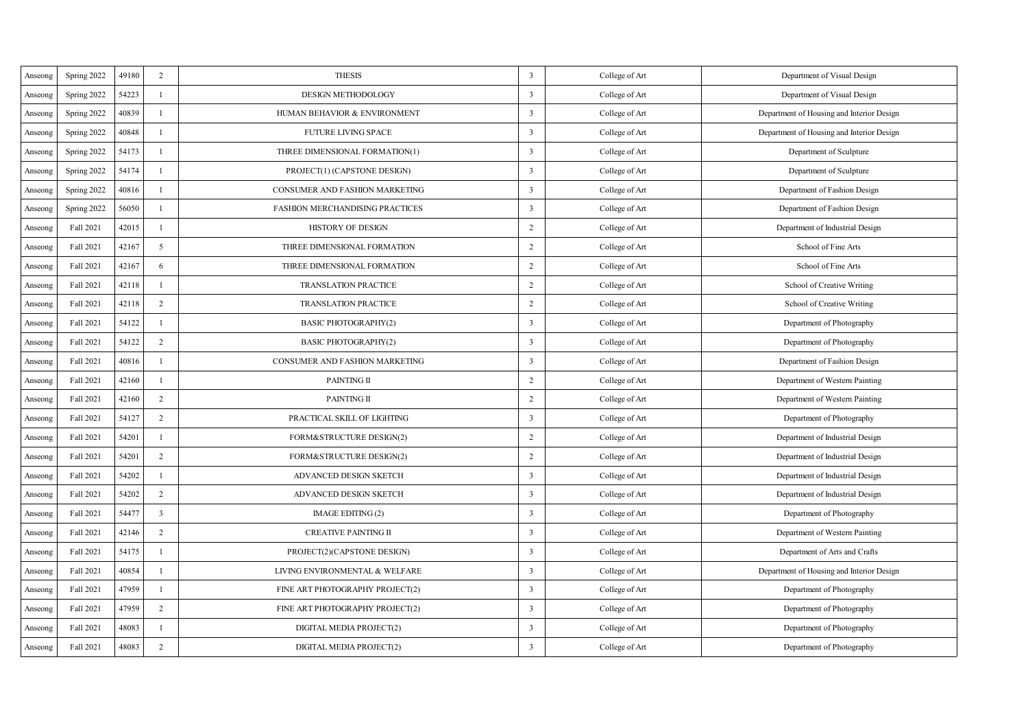| Anseone  | Spring 2022 | 49180 | $\overline{2}$ | <b>THESIS</b>                          | 3                       | College of Art | Department of Visual Design               |
|----------|-------------|-------|----------------|----------------------------------------|-------------------------|----------------|-------------------------------------------|
| Anseone  | Spring 2022 | 54223 | $\mathbf{I}$   | DESIGN METHODOLOGY                     | 3                       | College of Art | Department of Visual Design               |
| Anseone  | Spring 2022 | 40839 | 1              | HUMAN BEHAVIOR & ENVIRONMENT           | 3                       | College of Art | Department of Housing and Interior Design |
| Anseone  | Spring 2022 | 40848 | $\mathbf{I}$   | <b>FUTURE LIVING SPACE</b>             | 3                       | College of Art | Department of Housing and Interior Design |
| Anseong  | Spring 2022 | 54173 | J.             | THREE DIMENSIONAL FORMATION(1)         | 3                       | College of Art | Department of Sculpture                   |
| Anseone  | Spring 2022 | 54174 | J.             | PROJECT(1) (CAPSTONE DESIGN)           | 3                       | College of Art | Department of Sculpture                   |
| Anseone  | Spring 2022 | 40816 | 1              | <b>CONSUMER AND FASHION MARKETING</b>  | 3                       | College of Art | Department of Fashion Design              |
| Anseone  | Spring 2022 | 56050 | J.             | <b>FASHION MERCHANDISING PRACTICES</b> | 3                       | College of Art | Department of Fashion Design              |
| Anseone  | Fall 2021   | 42015 | L.             | <b>HISTORY OF DESKIN</b>               | $\overline{2}$          | College of Art | Department of Industrial Design           |
| Anseceng | Fall 2021   | 42167 | 5              | THREE DIMENSIONAL FORMATION            | $\overline{2}$          | College of Art | School of Fine Arts                       |
| Anseone  | Fall 2021   | 42167 | 6              | THREE DIMENSIONAL FORMATION            | $\overline{2}$          | College of Art | School of Fine Arts                       |
| Anseceng | Fall 2021   | 42118 | L.             | <b>TRANSLATION PRACTICE</b>            | $\overline{2}$          | College of Art | School of Creative Writing                |
| Anseone  | Fall 2021   | 42118 | $\overline{2}$ | <b>TRANSLATION PRACTICE</b>            | $\overline{2}$          | College of Art | School of Creative Writing                |
| Anseone  | Fall 2021   | 54122 | L.             | <b>BASIC PHOTOGRAPHY(2)</b>            | 3                       | College of Art | Department of Photography                 |
| Anseona  | Fall 2021   | 54122 | $\overline{2}$ | <b>BASIC PHOTOGRAPHY(2)</b>            | 3                       | College of Art | Department of Photography                 |
| Anseone  | Fall 2021   | 40816 | L.             | <b>CONSUMER AND FASHION MARKETING</b>  | 3                       | College of Art | Department of Fashion Design              |
| Anseone  | Fall 2021   | 42160 | L.             | PAINTING II                            | $\overline{2}$          | College of Art | Department of Western Painting            |
| Anseong  | Fall 2021   | 42160 | $\bar{z}$      | PAINTING II                            | $\,$                    | College of Art | Department of Western Painting            |
| Anseone  | Fall 2021   | 54127 | $\overline{2}$ | PRACTICAL SKILL OF LIGHTING            | 3                       | College of Art | Department of Photography                 |
| Anseceng | Fall 2021   | 54201 | 1              | <b>FORM&amp;STRUCTURE DESIGN(2)</b>    | $\overline{2}$          | College of Art | Department of Industrial Design           |
| Anseone  | Fall 2021   | 54201 | $\overline{2}$ | <b>FORM&amp;STRUCTURE DESIGN(2)</b>    | $\overline{2}$          | College of Art | Department of Industrial Design           |
| Anseong  | Fall 2021   | 54202 | J.             | <b>ADVANCED DESIGN SKETCH</b>          | $\overline{\mathbf{3}}$ | College of Art | Department of Industrial Design           |
| Anseone  | Fall 2021   | 54202 | $\overline{2}$ | ADVANCED DESIGN SKETCH                 | t                       | College of Art | Department of Industrial Design           |
| Anseceng | Fall 2021   | 5447  | 3              | <b>IMAGE EDITING (2)</b>               | 3                       | College of Art | Department of Photography                 |
| Anseceng | Fall 2021   | 42146 | $\overline{2}$ | <b>CREATIVE PAINTING II</b>            | 3                       | College of Art | Department of Western Painting            |
| Anseone  | Fall 2021   | 54175 | 1              | PROJECT(2)(CAPSTONE DESIGN)            | 3                       | College of Art | Department of Arts and Crafts             |
| Anseceng | Fall 2021   | 40854 | f.             | LIVING ENVIRONMENTAL & WELFARE         | $\overline{\mathbf{3}}$ | College of Art | Department of Housing and Interior Design |
| Anseone  | Fall 2021   | 47959 | 1              | FINE ART PHOTOGRAPHY PROJECT(2)        | 3                       | College of Art | Department of Photography                 |
| Anseone  | Fall 2021   | 47959 | $\overline{2}$ | FINE ART PHOTOGRAPHY PROJECT(2)        | 3                       | College of Art | Department of Photography                 |
| Anseone  | Fall 2021   | 48083 | 1              | DIGITAL MEDIA PROJECT(2)               | 3                       | College of Art | Department of Photography                 |
| Anseone  | Fall 2021   | 48083 | $\overline{2}$ | DIGITAL MEDIA PROJECT(2)               | 3                       | College of Art | Department of Photography                 |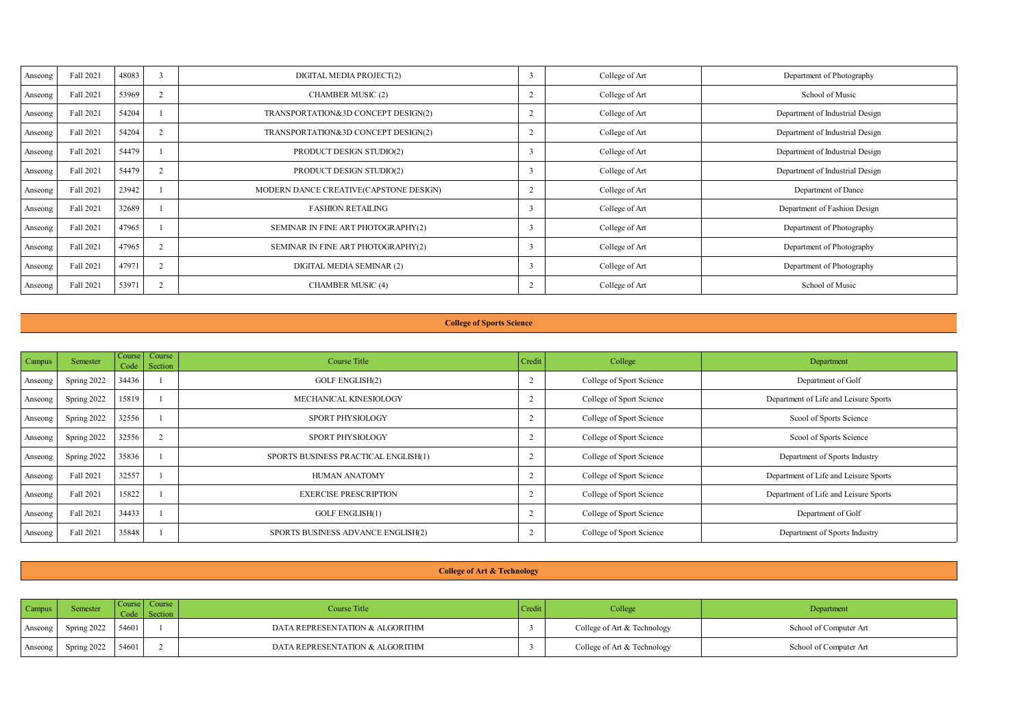| Anseona  | Fall 2021 | 48083 |                 | DIGITAL MEDIA PROJECT(2)               | College of Art | Department of Photography       |
|----------|-----------|-------|-----------------|----------------------------------------|----------------|---------------------------------|
| Anseona  | Fall 2021 | 53969 | 2               | CHAMBER MUSIC (2)                      | College of Art | School of Music                 |
| Anseona  | Fall 2021 | 54204 |                 | TRANSPORTATION&3D CONCEPT DESIGN(2)    | College of Art | Department of Industrial Design |
| Anseona  | Fall 2021 | 54204 | $\overline{2}$  | TRANSPORTATION&3D CONCEPT DESIGN(2)    | College of Art | Department of Industrial Design |
| Anseona  | Fall 2021 | 54479 |                 | PRODUCT DESIGN STUDIO(2)               | College of Art | Department of Industrial Design |
| Anseona  | Fall 2021 | 54479 | <b>A</b><br>- 2 | PRODUCT DESIGN STUDIO(2)               | College of Art | Department of Industrial Design |
| Anseona  | Fall 2021 | 23942 |                 | MODERN DANCE CREATIVE(CAPSTONE DESIGN) | College of Art | Department of Dance             |
| Anseona  | Fall 2021 | 32689 |                 | <b>FASHION RETAILING</b>               | College of Art | Department of Fashion Design    |
| Anseona  | Fall 2021 | 47965 |                 | SEMINAR IN FINE ART PHOTOGRAPHY(2)     | College of Art | Department of Photography       |
| Anseona  | Fall 2021 | 47965 | 2               | SEMINAR IN FINE ART PHOTOGRAPHY(2)     | College of Art | Department of Photography       |
| Anseceng | Fall 2021 | 47971 | z               | DIGITAL MEDIA SEMINAR (2)              | College of Art | Department of Photography       |
| Anseona  | Fall 2021 | 53971 | z               | CHAMBER MUSIC (4)                      | College of Art | School of Music                 |

#### **College of Sports Science**

| <b>Campus</b> | <b>Semester</b> |       | Course Course<br>Code Section | Course Title                         | Credit | College                  | Department                            |
|---------------|-----------------|-------|-------------------------------|--------------------------------------|--------|--------------------------|---------------------------------------|
| Anseona       | Spring 2022     | 34436 |                               | <b>GOLF ENGLISH(2)</b>               |        | College of Sport Science | Department of Golf                    |
| Anseona       | Spring 2022     | 15819 |                               | MECHANICAL KINESIOLOGY               |        | College of Sport Science | Department of Life and Leisure Sports |
| Anseona       | Spring 2022     | 32556 |                               | SPORT PHYSIOLOGY                     |        | College of Sport Science | Scool of Sports Science               |
| Anseona       | Spring 2022     | 32556 |                               | SPORT PHYSIOLOGY                     |        | College of Sport Science | Scool of Sports Science               |
| Anseona       | Spring 2022     | 35836 |                               | SPORTS BUSINESS PRACTICAL ENGLISH(1) |        | College of Sport Science | Department of Sports Industry         |
| Anseona       | Fall 2021       | 32557 |                               | HUMAN ANATOMY                        |        | College of Sport Science | Department of Life and Leisure Sports |
| Anseona       | Fall 2021       | 15822 |                               | <b>EXERCISE PRESCRIPTION</b>         |        | College of Sport Science | Department of Life and Leisure Sports |
| Anseona       | Fall 2021       | 34433 |                               | <b>GOLF ENGLISH(1)</b>               |        | College of Sport Science | Department of Golf                    |
| Anseona       | Fall 2021       | 35848 |                               | SPORTS BUSINESS ADVANCE ENGLISH(2)   |        | College of Sport Science | Department of Sports Industry         |

## **College of Art & Technology**

| Campus   |             | Course Course | Course Title                    | "Creas. | College                     | Department             |
|----------|-------------|---------------|---------------------------------|---------|-----------------------------|------------------------|
| Anseona  | Spring 2022 | 54601         | DATA REPRESENTATION & ALGORITHM |         | College of Art & Technology | School of Computer Art |
| Ansecong | Spring 2022 | 54601         | DATA REPRESENTATION & ALCORITHM |         | College of Art & Technology | School of Computer Art |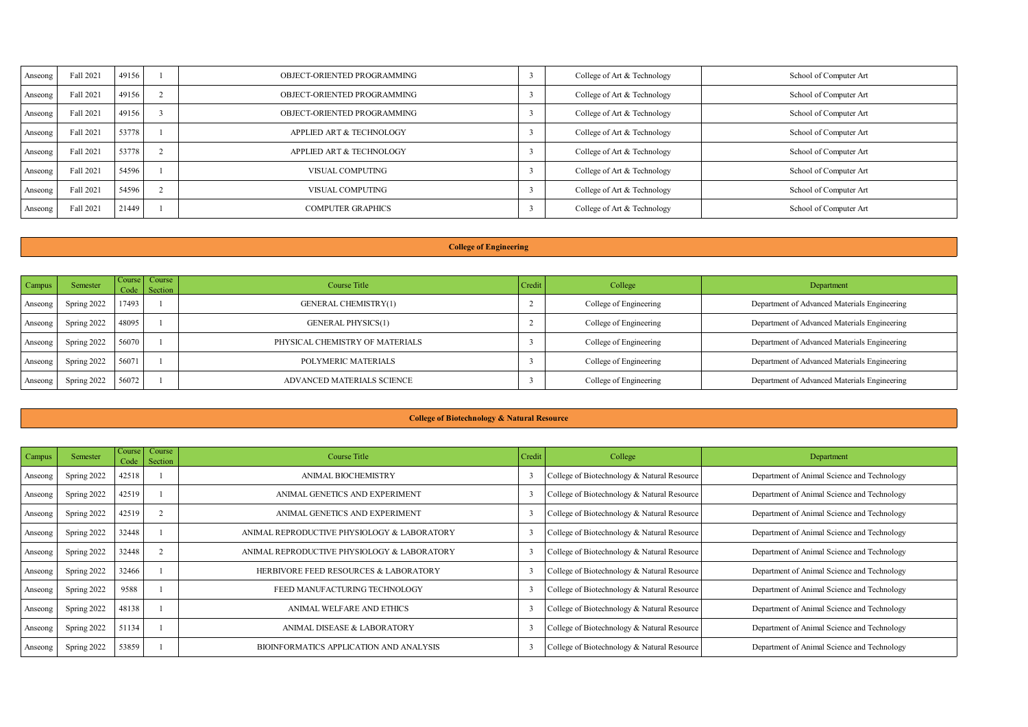| Anseona | Fall 2021 | 49156 | ORIECT ORIENTED PROGRAMMING | College of Art & Technology | School of Computer Art |
|---------|-----------|-------|-----------------------------|-----------------------------|------------------------|
| Anseona | Fall 2021 | 49156 | OBJECT-ORIENTED PROGRAMMING | College of Art & Technology | School of Computer Art |
| Anseona | Fall 2021 | 49156 | OBJECT-ORIENTED PROGRAMMING | College of Art & Technology | School of Computer Art |
| Anseona | Fall 2021 | 53778 | APPLIED ART & TECHNOLOGY    | College of Art & Technology | School of Computer Art |
| Anseona | Fall 2021 | 53778 | APPLIED ART & TECHNOLOGY    | College of Art & Technology | School of Computer Art |
| Anseona | Fall 2021 | 54596 | VISHAL COMPUTING            | College of Art & Technology | School of Computer Art |
| Anseona | Fall 2021 | 54596 | VISUAL COMPUTING            | College of Art & Technology | School of Computer Art |
| Anseona | Fall 2021 | 21449 | <b>COMPUTER GRAPHICS</b>    | College of Art & Technology | School of Computer Art |

# **College of Engineering**

| <b>Campus</b> | <b>Semester</b>   |       | Course Course<br>Code Section | Course Title                    | Credit | College                | Department                                   |
|---------------|-------------------|-------|-------------------------------|---------------------------------|--------|------------------------|----------------------------------------------|
| Anseona       | Spring 2022       | 17493 |                               | GENERAL CHEMISTRY(1)            |        | College of Engineering | Department of Advanced Materials Engineering |
| Anseona       | Spring 2022 48095 |       |                               | <b>GENERAL PHYSICS(1)</b>       |        | College of Engineering | Department of Advanced Materials Engineering |
| Anseona       | Spring 2022 56070 |       |                               | PHYSICAL CHEMISTRY OF MATERIALS |        | College of Engineering | Department of Advanced Materials Engineering |
| Anseona       | Spring 2022 56071 |       |                               | POLYMERIC MATERIALS             |        | College of Engineering | Department of Advanced Materials Engineering |
| Anseona       | Spring 2022       | 56072 |                               | ADVANCED MATERIALS SCIENCE      |        | College of Engineering | Department of Advanced Materials Engineering |

### **College of Biotechnology & Natural Resource**

| Campus  | Semester    | <b>Course</b><br>Code | Course<br>Section | Course Title                                   | Credit | College                                     | Department                                  |
|---------|-------------|-----------------------|-------------------|------------------------------------------------|--------|---------------------------------------------|---------------------------------------------|
| Anseone | Spring 2022 | 42518                 |                   | ANIMAL BIOCHEMISTRY                            |        | College of Biotechnology & Natural Resource | Department of Animal Science and Technology |
| Anseone | Spring 2022 | 42519                 |                   | ANIMAL GENETICS AND EXPERIMENT                 |        | College of Biotechnology & Natural Resource | Department of Animal Science and Technology |
| Anseone | Spring 2022 | 42519                 |                   | ANIMAL GENETICS AND EXPERIMENT                 |        | College of Biotechnology & Natural Resource | Department of Animal Science and Technology |
| Anseone | Spring 2022 | 32448                 |                   | ANIMAL REPRODUCTIVE PHYSIOLOGY & LABORATORY    |        | College of Biotechnology & Natural Resource | Department of Animal Science and Technology |
| Anseone | Spring 2022 | 32448                 |                   | ANIMAL REPRODUCTIVE PHYSIOLOGY & LABORATORY    |        | College of Biotechnology & Natural Resource | Department of Animal Science and Technology |
| Anseone | Spring 2022 | 32466                 |                   | HERBIVORE FEED RESOURCES & LABORATORY          |        | College of Biotechnology & Natural Resource | Department of Animal Science and Technology |
| Anseone | Spring 2022 | 9581                  |                   | FEED MANUFACTURING TECHNOLOGY                  |        | College of Biotechnology & Natural Resource | Department of Animal Science and Technology |
| Anseone | Spring 2022 | 48138                 |                   | ANIMAL WELFARE AND ETHICS                      |        | College of Biotechnology & Natural Resource | Department of Animal Science and Technology |
| Anseone | Spring 2022 | 51134                 |                   | ANIMAL DISEASE & LABORATORY                    |        | College of Biotechnology & Natural Resource | Department of Animal Science and Technology |
| Anseone | Spring 2022 | 53859                 |                   | <b>RIOINFORMATICS APPLICATION AND ANALYSIS</b> |        | College of Biotechnology & Natural Resource | Department of Animal Science and Technology |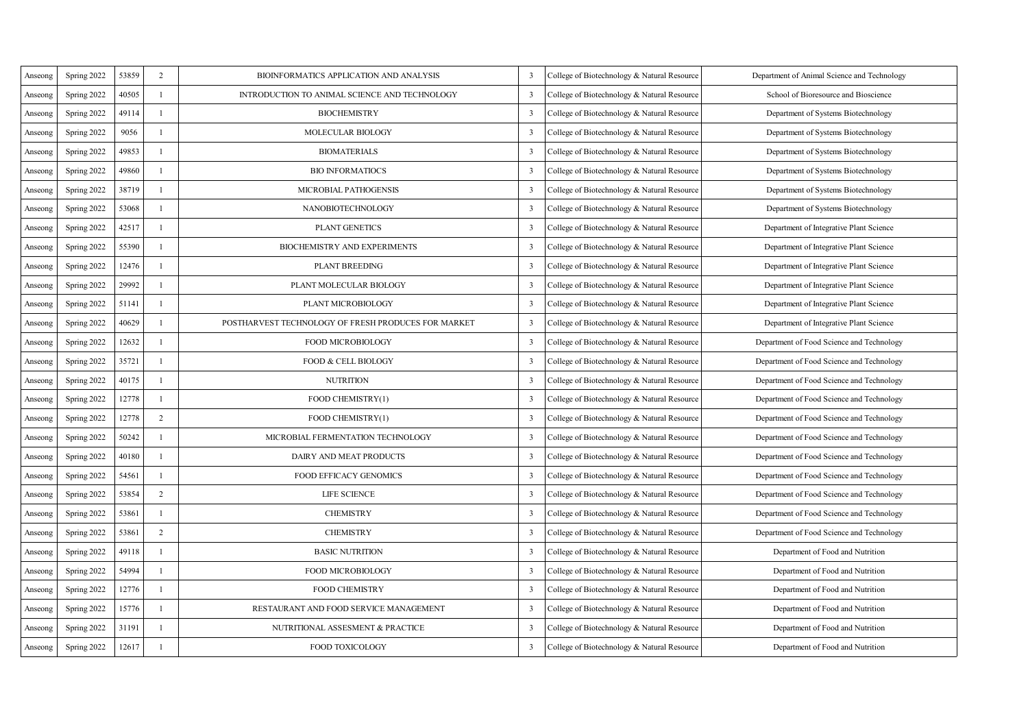| Anseone  | Spring 2022 | 53859 | $\overline{2}$ | BIOINFORMATICS APPLICATION AND ANALYSIS             | ٦                       | College of Biotechnology & Natural Resource | Department of Animal Science and Technology |
|----------|-------------|-------|----------------|-----------------------------------------------------|-------------------------|---------------------------------------------|---------------------------------------------|
| Anseone  | Spring 2022 | 40505 | L.             | INTRODUCTION TO ANIMAL SCIENCE AND TECHNOLOGY       | $\overline{\mathbf{3}}$ | College of Biotechnology & Natural Resource | School of Bioresource and Bioscience        |
| Anseone  | Spring 2022 | 49114 | L.             | <b>BJOCHEMISTRY</b>                                 | 3                       | College of Biotechnology & Natural Resource | Department of Systems Biotechnology         |
| Anseone  | Spring 2022 | 9056  | L.             | MOLECULAR BIOLOGY                                   | $\overline{\mathbf{3}}$ | College of Biotechnology & Natural Resource | Department of Systems Biotechnology         |
| Anseone  | Spring 2022 | 49853 | ×.             | <b>BIOMATERIALS</b>                                 | 3                       | College of Biotechnology & Natural Resource | Department of Systems Biotechnology         |
| Anseone  | Spring 2022 | 49860 | L.             | <b>BIO INFORMATIOCS</b>                             | ٦                       | College of Biotechnology & Natural Resource | Department of Systems Biotechnology         |
| Anseone  | Spring 2022 | 38719 | L.             | MICROBIAL PATHOGENSIS                               | 3                       | College of Biotechnology & Natural Resource | Department of Systems Biotechnology         |
| Anseone  | Spring 2022 | 53068 | L.             | NANOBIOTECHNOLOGY                                   | 3                       | College of Biotechnology & Natural Resource | Department of Systems Biotechnology         |
| Anseone  | Spring 2022 | 42517 | L.             | <b>PLANT GENETICS</b>                               | $\overline{\mathbf{3}}$ | College of Biotechnology & Natural Resource | Department of Integrative Plant Science     |
| Anseone  | Spring 2022 | 55390 | 1              | <b>BIOCHEMISTRY AND EXPERIMENTS</b>                 | 3                       | College of Biotechnology & Natural Resource | Department of Integrative Plant Science     |
| Anseceng | Spring 2022 | 12476 | 1              | <b>PLANT BREEDING</b>                               | 3                       | College of Biotechnology & Natural Resource | Department of Integrative Plant Science     |
| Anseong  | Spring 2022 | 29992 | J.             | PLANT MOLECULAR BIOLOGY                             | 3                       | College of Biotechnology & Natural Resource | Department of Integrative Plant Science     |
| Anseone  | Spring 2022 | 51141 | 1              | PLANT MICROBIOLOGY                                  | 3                       | College of Biotechnology & Natural Resource | Department of Integrative Plant Science     |
| Anseona  | Spring 2022 | 40629 | $\mathbf{I}$   | POSTHARVEST TECHNOLOGY OF FRESH PRODUCES FOR MARKET | $\overline{\mathbf{3}}$ | College of Biotechnology & Natural Resource | Department of Integrative Plant Science     |
| Anseona  | Spring 2022 | 12632 | J.             | FOOD MICROBIOLOGY                                   | ٦                       | College of Biotechnology & Natural Resource | Department of Food Science and Technology   |
| Anseceng | Spring 2022 | 35721 | 1              | FOOD & CELL BJOLOGY                                 | 3                       | College of Biotechnology & Natural Resource | Department of Food Science and Technology   |
| Anseone  | Spring 2022 | 40175 | J.             | <b>NUTRITION</b>                                    | $\overline{\mathbf{3}}$ | College of Biotechnology & Natural Resource | Department of Food Science and Technology   |
| Anseone  | Spring 2022 | 12778 | 1              | FOOD CHEMISTRY(1)                                   | 3                       | College of Biotechnology & Natural Resource | Department of Food Science and Technology   |
| Anseone  | Spring 2022 | 12778 | $\overline{2}$ | FOOD CHEMISTRY(1)                                   | $\overline{\mathbf{3}}$ | College of Biotechnology & Natural Resource | Department of Food Science and Technology   |
| Anseona  | Spring 2022 | 50242 | л.             | MICROBIAL FERMENTATION TECHNOLOGY                   | ٦                       | College of Biotechnology & Natural Resource | Department of Food Science and Technology   |
| Anseone  | Spring 2022 | 40180 | J.             | DAIRY AND MEAT PRODUCTS                             | 3                       | College of Biotechnology & Natural Resource | Department of Food Science and Technology   |
| Anseone  | Spring 2022 | 54561 | J.             | <b>FOOD EFFICACY GENOMICS</b>                       | 3                       | College of Biotechnology & Natural Resource | Department of Food Science and Technology   |
| Anseone  | Spring 2022 | 53854 | $\overline{2}$ | <b>LIFE SCIENCE</b>                                 | 3                       | College of Biotechnology & Natural Resource | Department of Food Science and Technology   |
| Anseceng | Spring 2022 | 53861 | $\mathbf{I}$   | <b>CHEMISTRY</b>                                    | $\overline{\mathbf{3}}$ | College of Biotechnology & Natural Resource | Department of Food Science and Technology   |
| Anseona  | Spring 2022 | 53861 | $\overline{2}$ | <b>CHEMISTRY</b>                                    | 3                       | College of Biotechnology & Natural Resource | Department of Food Science and Technology   |
| Anseone  | Spring 2022 | 49118 | $\mathbf{I}$   | <b>BASIC NUTRITION</b>                              | ٦                       | College of Biotechnology & Natural Resource | Department of Food and Nutrition            |
| Anseone  | Spring 2022 | 54994 | J.             | FOOD MICROBIOLOGY                                   | 3                       | College of Biotechnology & Natural Resource | Department of Food and Nutrition            |
| Anseone  | Spring 2022 | 12776 | 1              | <b>FOOD CHEMISTRY</b>                               | $\overline{\mathbf{3}}$ | College of Biotechnology & Natural Resource | Department of Food and Nutrition            |
| Anseceng | Spring 2022 | 15776 | J.             | RESTAURANT AND FOOD SERVICE MANAGEMENT              | 3                       | College of Biotechnology & Natural Resource | Department of Food and Nutrition            |
| Anseone  | Spring 2022 | 31191 | J.             | NUTRITIONAL ASSESMENT & PRACTICE                    | ٦                       | College of Biotechnology & Natural Resourc  | Department of Food and Nutrition            |
| Anseona  | Spring 2022 | 12617 | J.             | FOOD TOXICOLOGY                                     | ٦                       | College of Biotechnology & Natural Resource | Department of Food and Nutrition            |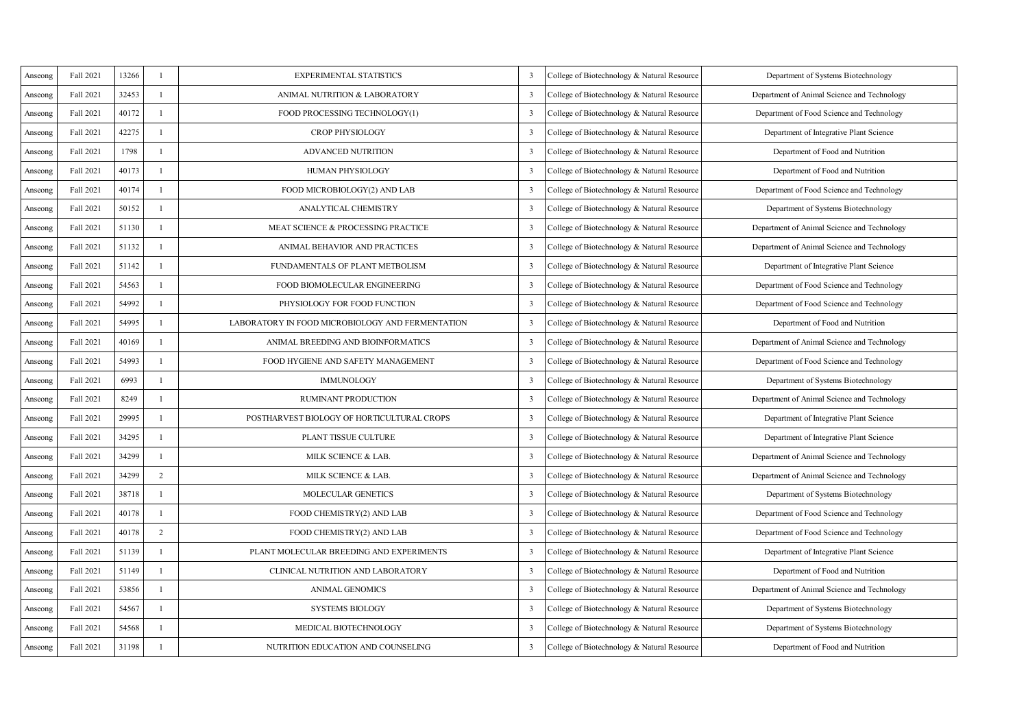| Anseone  | Fall 2021 | 13266  |                | <b>EXPERIMENTAL STATISTICS</b>                   | ٦                       | College of Biotechnology & Natural Resource | Department of Systems Biotechnology         |
|----------|-----------|--------|----------------|--------------------------------------------------|-------------------------|---------------------------------------------|---------------------------------------------|
| Anseone  | Fall 2021 | 32453  | ×              | ANIMAL NUTRITION & LABORATORY                    | 3                       | College of Biotechnology & Natural Resource | Department of Animal Science and Technology |
| Anseone  | Fall 2021 | 40172  | ٠              | FOOD PROCESSING TECHNOLOGY(1)                    | 3                       | College of Biotechnology & Natural Resource | Department of Food Science and Technology   |
| Anseone  | Fall 2021 | 42275  | ×              | <b>CROP PHYSIOLOGY</b>                           | 3                       | College of Biotechnology & Natural Resource | Department of Integrative Plant Science     |
| Anseone  | Fall 2021 | 1798   | ×              | ADVANCED NUTRITION                               | 3                       | College of Biotechnology & Natural Resource | Department of Food and Nutrition            |
| Anseone  | Fall 2021 | 40173  | ×              | HUMAN PHYSIOLOGY                                 | ٦                       | College of Biotechnology & Natural Resource | Department of Food and Nutrition            |
| Anseone  | Fall 2021 | 40174  | ×              | FOOD MICROBIOLOGY(2) AND LAB                     | ٦                       | College of Biotechnology & Natural Resource | Department of Food Science and Technology   |
| Anseceng | Fall 2021 | 50152  | ٠              | <b>ANALYTICAL CHEMISTRY</b>                      | 3                       | College of Biotechnology & Natural Resource | Department of Systems Biotechnology         |
| Anseone  | Fall 2021 | 51130  | ×              | MEAT SCIENCE & PROCESSING PRACTICE               | 3                       | College of Biotechnology & Natural Resource | Department of Animal Science and Technology |
| Anseceng | Fall 2021 | 51132  | J.             | ANIMAL BEHAVIOR AND PRACTICES                    | 3                       | College of Biotechnology & Natural Resource | Department of Animal Science and Technology |
| Anseceng | Fall 2021 | 51142  | J.             | FUNDAMENTALS OF PLANT METBOLISM                  | 3                       | College of Biotechnology & Natural Resource | Department of Integrative Plant Science     |
| Anseone  | Fall 2021 | 54563  | J.             | FOOD BIOMOLECULAR ENGINEERING                    | ٦                       | College of Biotechnology & Natural Resource | Department of Food Science and Technology   |
| Anseone  | Fall 2021 | 54992  | 1              | PHYSIOLOGY FOR FOOD FUNCTION                     | 3                       | College of Biotechnology & Natural Resource | Department of Food Science and Technology   |
| Anseone  | Fall 2021 | \$4995 | J.             | LABORATORY IN FOOD MICROBIOLOGY AND FERMENTATION | $\overline{\mathbf{3}}$ | College of Biotechnology & Natural Resource | Department of Food and Nutrition            |
| Anseone  | Fall 2021 | 40169  | J.             | ANIMAL BREEDING AND BIOINFORMATICS               | ٦                       | College of Biotechnology & Natural Resource | Department of Animal Science and Technology |
| Anseone  | Fall 2021 | 54993  | J.             | FOOD HYGIENE AND SAFETY MANAGEMENT               | 3                       | College of Biotechnology & Natural Resource | Department of Food Science and Technology   |
| Anseceng | Fall 2021 | 6993   | J.             | <b>IMMUNOLOGY</b>                                | 3                       | College of Biotechnology & Natural Resource | Department of Systems Biotechnology         |
| Anseone  | Fall 2021 | 8249   | J.             | <b>RUMINANT PRODUCTION</b>                       | 3                       | College of Biotechnology & Natural Resource | Department of Animal Science and Technology |
| Anseone  | Fall 2021 | 29995  | J.             | POSTHARVEST BIOLOGY OF HORTICULTURAL CROPS       | 3                       | College of Biotechnology & Natural Resource | Department of Integrative Plant Science     |
| Anseone  | Fall 2021 | 34295  | л.             | PLANT TISSUE CULTURE                             | ٦                       | College of Biotechnology & Natural Resource | Department of Integrative Plant Science     |
| Anseone  | Fall 2021 | 34299  | J.             | MILK SCIENCE & LAB.                              | 3                       | College of Biotechnology & Natural Resource | Department of Animal Science and Technology |
| Anseone  | Fall 2021 | 34299  | $\overline{ }$ | MILK SCIENCE & LAB.                              | 3                       | College of Biotechnology & Natural Resource | Department of Animal Science and Technology |
| Anseceng | Fall 2021 | 38718  | J.             | <b>MOLECULAR GENETICS</b>                        | 3                       | College of Biotechnology & Natural Resource | Department of Systems Biotechnology         |
| Anseceng | Fall 2021 | 40178  | J.             | FOOD CHEMISTRY(2) AND LAB                        | 3                       | College of Biotechnology & Natural Resource | Department of Food Science and Technology   |
| Anseone  | Fall 2021 | 40178  | $\overline{a}$ | FOOD CHEMISTRY(2) AND LAB                        | 3                       | College of Biotechnology & Natural Resource | Department of Food Science and Technology   |
| Anseone  | Fall 2021 | 51139  | J.             | PLANT MOLECULAR BREEDING AND EXPERIMENTS         | ٦                       | College of Biotechnology & Natural Resource | Department of Integrative Plant Science     |
| Anseceng | Fall 2021 | 51149  | J.             | CLINICAL NUTRITION AND LABORATORY                | 3                       | College of Biotechnology & Natural Resource | Department of Food and Nutrition            |
| Anseons  | Fall 2021 | 53856  | J.             | <b>ANIMAL GENOMICS</b>                           | $\overline{\mathbf{3}}$ | College of Biotechnology & Natural Resource | Department of Animal Science and Technology |
| Anseceng | Fall 2021 | 54567  | J.             | <b>SYSTEMS BIOLOGY</b>                           | 3                       | College of Biotechnology & Natural Resource | Department of Systems Biotechnology         |
| Anseone  | Fall 2021 | 54568  | J.             | MEDICAL BIOTECHNOLOGY                            | ٦                       | College of Biotechnology & Natural Resource | Department of Systems Biotechnology         |
| Anseone  | Fall 2021 | 31198  | J.             | NUTRITION EDUCATION AND COUNSELING               | ٦                       | College of Biotechnology & Natural Resource | Department of Food and Nutrition            |